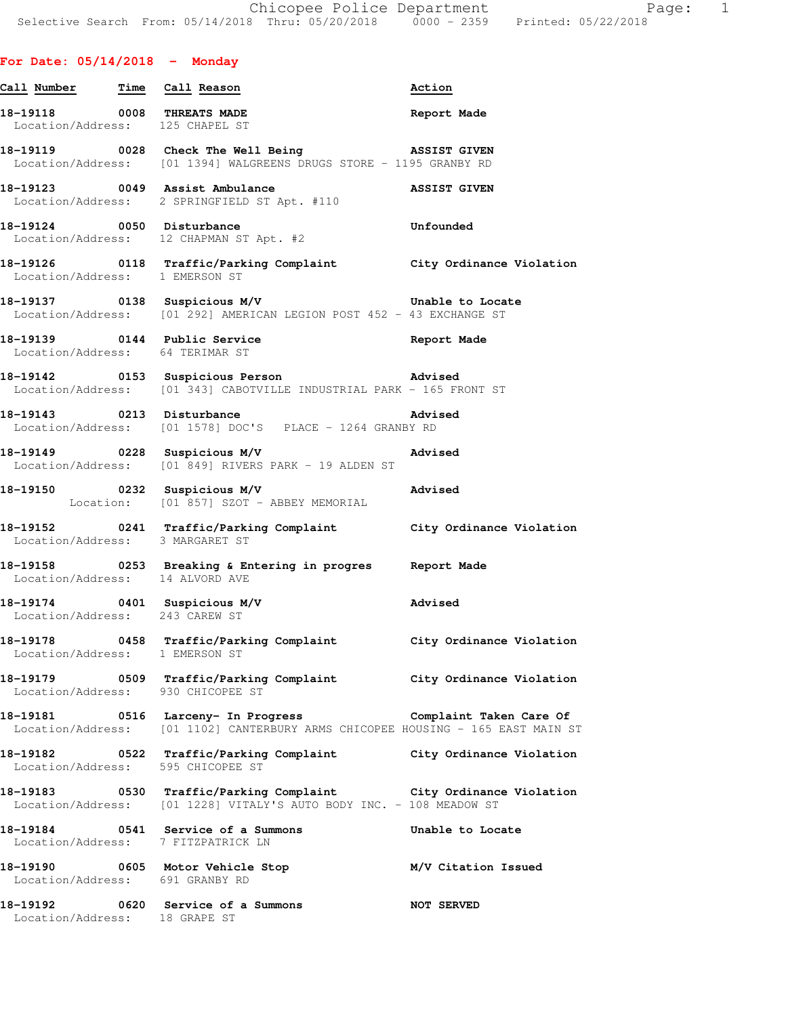## **For Date: 05/14/2018 - Monday**

| Call Number Time Call Reason    |                                                                                                                                         | Action              |
|---------------------------------|-----------------------------------------------------------------------------------------------------------------------------------------|---------------------|
|                                 | 18-19118 0008 THREATS MADE Report Made Location/Address: 125 CHAPEL ST                                                                  |                     |
|                                 | 18-19119 0028 Check The Well Being ASSIST GIVEN<br>Location/Address: [01 1394] WALGREENS DRUGS STORE - 1195 GRANBY RD                   |                     |
|                                 | 18-19123 0049 Assist Ambulance ASSIST GIVEN<br>Location/Address: 2 SPRINGFIELD ST Apt. #110                                             |                     |
|                                 | 18-19124 0050 Disturbance<br>Location/Address: 12 CHAPMAN ST Apt. #2                                                                    | Unfounded           |
| Location/Address: 1 EMERSON ST  | 18-19126 118 Traffic/Parking Complaint City Ordinance Violation                                                                         |                     |
|                                 | 18-19137 0138 Suspicious M/V<br>Location/Address: [01 292] AMERICAN LEGION POST 452 - 43 EXCHANGE ST                                    | Unable to Locate    |
|                                 | Location/Address: 64 TERIMAR ST                                                                                                         |                     |
|                                 | Location/Address: [01 343] CABOTVILLE INDUSTRIAL PARK - 165 FRONT ST                                                                    |                     |
|                                 | 18-19143 0213 Disturbance<br>Location/Address: [01 1578] DOC'S PLACE - 1264 GRANBY RD                                                   |                     |
|                                 | Advised<br>18-19149 0228 Suspicious M/V<br>Location/Address: [01 849] RIVERS PARK - 19 ALDEN ST                                         |                     |
|                                 |                                                                                                                                         |                     |
| Location/Address: 3 MARGARET ST | 18-19152 18941 Traffic/Parking Complaint City Ordinance Violation                                                                       |                     |
| Location/Address: 14 ALVORD AVE | 18-19158 18-19158 0253 Breaking & Entering in progres Report Made                                                                       |                     |
| Location/Address: 243 CAREW ST  | 18-19174   0401   Suspicious M/V   Change   Advised                                                                                     |                     |
| Location/Address: 1 EMERSON ST  | 18-19178 		 0458 Traffic/Parking Complaint 		 City Ordinance Violation                                                                  |                     |
|                                 | 18-19179 		 0509 Traffic/Parking Complaint 		 City Ordinance Violation<br>Location/Address: 930 CHICOPEE ST                             |                     |
|                                 | Location/Address: [01 1102] CANTERBURY ARMS CHICOPEE HOUSING - 165 EAST MAIN ST                                                         |                     |
|                                 | Location/Address: 595 CHICOPEE ST                                                                                                       |                     |
|                                 | 18-19183 0530 Traffic/Parking Complaint City Ordinance Violation<br>Location/Address: [01 1228] VITALY'S AUTO BODY INC. - 108 MEADOW ST |                     |
|                                 | 18-19184 0541 Service of a Summons<br>Location/Address: 7 FITZPATRICK LN                                                                | Unable to Locate    |
| Location/Address: 691 GRANBY RD | 18-19190 0605 Motor Vehicle Stop                                                                                                        | M/V Citation Issued |
| Location/Address: 18 GRAPE ST   | 18-19192 0620 Service of a Summons                                                                                                      | <b>NOT SERVED</b>   |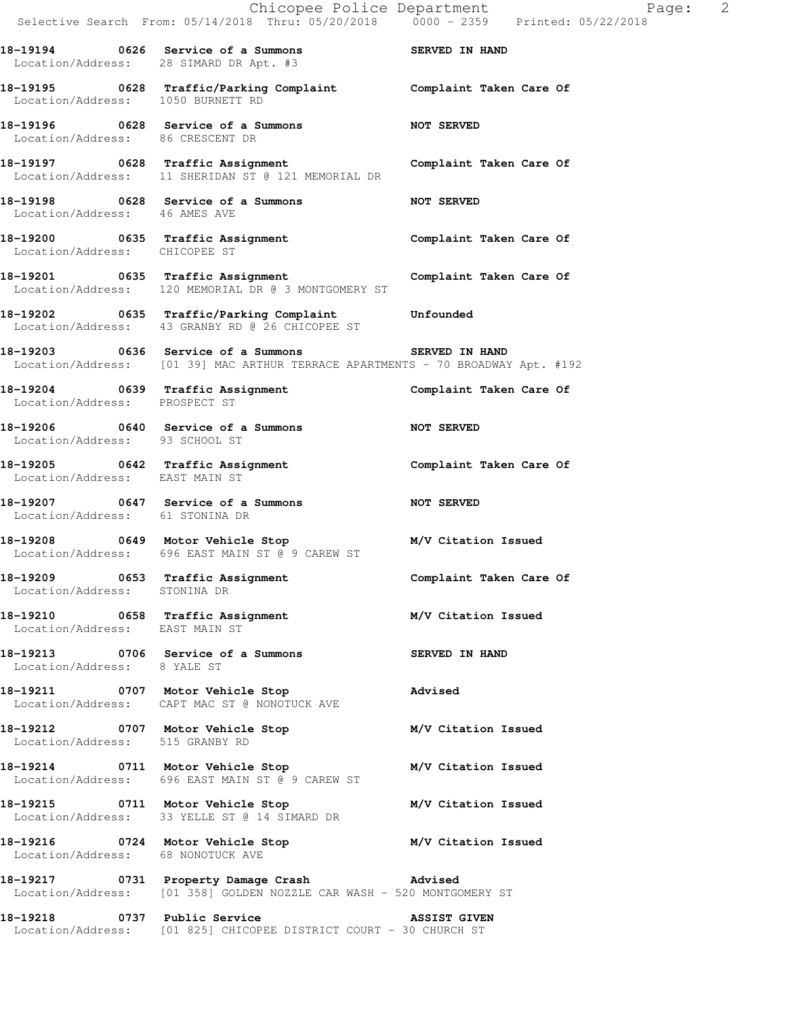|                                   | Chicopee Police Department<br>Selective Search From: 05/14/2018 Thru: 05/20/2018 0000 - 2359 Printed: 05/22/2018                     |                         |
|-----------------------------------|--------------------------------------------------------------------------------------------------------------------------------------|-------------------------|
|                                   |                                                                                                                                      |                         |
|                                   | 18-19194 6626 Service of a Summons SERVED IN HAND<br>Location/Address: 28 SIMARD DR Apt. #3                                          |                         |
|                                   | 18-19195 0628 Traffic/Parking Complaint Complaint Taken Care Of Location/Address: 1050 BURNETT RD                                    |                         |
|                                   | 18-19196 0628 Service of a Summons NOT SERVED<br>Location/Address: 86 CRESCENT DR                                                    |                         |
|                                   | 18-19197 0628 Traffic Assignment Complaint Taken Care Of Location/Address: 11 SHERIDAN ST @ 121 MEMORIAL DR                          |                         |
| Location/Address: 46 AMES AVE     | 18-19198 0628 Service of a Summons NOT SERVED                                                                                        |                         |
| Location/Address: CHICOPEE ST     | 18-19200 0635 Traffic Assignment <b>18-19200</b> Complaint Taken Care Of                                                             |                         |
|                                   | 18-19201 0635 Traffic Assignment Complaint Taken Care Of Location/Address: 120 MEMORIAL DR @ 3 MONTGOMERY ST                         |                         |
|                                   | 18-19202 0635 Traffic/Parking Complaint Unfounded<br>Location/Address: 43 GRANBY RD @ 26 CHICOPEE ST                                 |                         |
|                                   | 18-19203 0636 Service of a Summons SERVED IN HAND<br>Location/Address: [01 39] MAC ARTHUR TERRACE APARTMENTS - 70 BROADWAY Apt. #192 |                         |
| Location/Address: PROSPECT ST     | 18-19204 0639 Traffic Assignment <b>18-19201 Complaint Taken Care Of</b>                                                             |                         |
| Location/Address: 93 SCHOOL ST    | 18-19206 0640 Service of a Summons NOT SERVED                                                                                        |                         |
|                                   | 18-19205 0642 Traffic Assignment Complaint Taken Care Of Location/Address: EAST MAIN ST                                              |                         |
| Location/Address: 61 STONINA DR   | 18-19207 0647 Service of a Summons NOT SERVED                                                                                        |                         |
|                                   | 18-19208 0649 Motor Vehicle Stop<br>Location/Address: 696 EAST MAIN ST @ 9 CAREW ST                                                  | M/V Citation Issued     |
| Location/Address: STONINA DR      | 18-19209 0653 Traffic Assignment                                                                                                     | Complaint Taken Care Of |
| Location/Address: EAST MAIN ST    | 18-19210 0658 Traffic Assignment M/V Citation Issued                                                                                 |                         |
| Location/Address: 8 YALE ST       | 18-19213 0706 Service of a Summons SERVED IN HAND                                                                                    |                         |
|                                   | 18-19211 0707 Motor Vehicle Stop<br>Location/Address: CAPT MAC ST @ NONOTUCK AVE                                                     | Advised                 |
| Location/Address: 515 GRANBY RD   | 18-19212 0707 Motor Vehicle Stop M/V Citation Issued                                                                                 |                         |
|                                   | 18-19214 0711 Motor Vehicle Stop M/V Citation Issued<br>Location/Address: 696 EAST MAIN ST @ 9 CAREW ST                              |                         |
|                                   | 18-19215 0711 Motor Vehicle Stop<br>Location/Address: 33 YELLE ST @ 14 SIMARD DR                                                     | M/V Citation Issued     |
| Location/Address: 68 NONOTUCK AVE | 18-19216 0724 Motor Vehicle Stop M/V Citation Issued                                                                                 |                         |
|                                   | 18-19217 0731 Property Damage Crash Movised<br>Location/Address: [01 358] GOLDEN NOZZLE CAR WASH - 520 MONTGOMERY ST                 |                         |
|                                   |                                                                                                                                      |                         |

Location/Address: [01 825] CHICOPEE DISTRICT COURT - 30 CHURCH ST

Page:  $2/2018$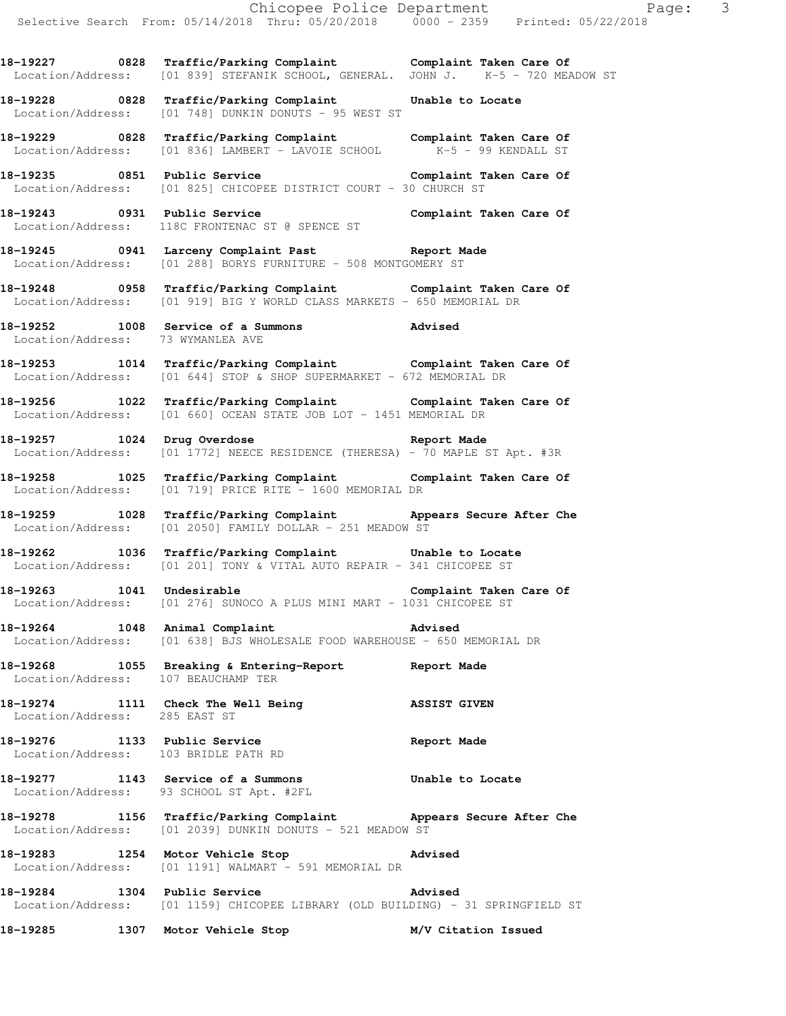**18-19227 0828 Traffic/Parking Complaint Complaint Taken Care Of**  Location/Address: [01 839] STEFANIK SCHOOL, GENERAL. JOHN J. K-5 - 720 MEADOW ST

**18-19228 0828 Traffic/Parking Complaint Unable to Locate**  Location/Address: [01 748] DUNKIN DONUTS - 95 WEST ST

**18-19229 0828 Traffic/Parking Complaint Complaint Taken Care Of**  Location/Address: [01 836] LAMBERT - LAVOIE SCHOOL K-5 - 99 KENDALL ST

**18-19235 0851 Public Service Complaint Taken Care Of**  Location/Address: [01 825] CHICOPEE DISTRICT COURT - 30 CHURCH ST

**18-19243 0931 Public Service Complaint Taken Care Of**  Location/Address: 118C FRONTENAC ST @ SPENCE ST

**18-19245 0941 Larceny Complaint Past Report Made**  Location/Address: [01 288] BORYS FURNITURE - 508 MONTGOMERY ST

**18-19248 0958 Traffic/Parking Complaint Complaint Taken Care Of**  Location/Address: [01 919] BIG Y WORLD CLASS MARKETS - 650 MEMORIAL DR

**18-19252 1008 Service of a Summons Advised**  Location/Address: 73 WYMANLEA AVE

**18-19253 1014 Traffic/Parking Complaint Complaint Taken Care Of**  Location/Address: [01 644] STOP & SHOP SUPERMARKET - 672 MEMORIAL DR

**18-19256 1022 Traffic/Parking Complaint Complaint Taken Care Of**  Location/Address: [01 660] OCEAN STATE JOB LOT - 1451 MEMORIAL DR

**18-19257 1024 Drug Overdose Report Made**  Location/Address: [01 1772] NEECE RESIDENCE (THERESA) - 70 MAPLE ST Apt. #3R

**18-19258 1025 Traffic/Parking Complaint Complaint Taken Care Of**  Location/Address: [01 719] PRICE RITE - 1600 MEMORIAL DR

**18-19259 1028 Traffic/Parking Complaint Appears Secure After Che**  Location/Address: [01 2050] FAMILY DOLLAR - 251 MEADOW ST

**18-19262 1036 Traffic/Parking Complaint Unable to Locate**  Location/Address: [01 201] TONY & VITAL AUTO REPAIR - 341 CHICOPEE ST

18-19263 1041 Undesirable **Complaint Taken Care Of** Location/Address: [01 276] SUNOCO A PLUS MINI MART - 1031 CHICOPEE ST

**18-19264 1048 Animal Complaint Advised**  Location/Address: [01 638] BJS WHOLESALE FOOD WAREHOUSE - 650 MEMORIAL DR

**18-19268 1055 Breaking & Entering-Report Report Made**  Location/Address: 107 BEAUCHAMP TER

**18-19274 1111 Check The Well Being ASSIST GIVEN**  Location/Address: 285 EAST ST

**18-19276 1133 Public Service Report Made**  Location/Address: 103 BRIDLE PATH RD

**18-19277 1143 Service of a Summons Unable to Locate**  Location/Address: 93 SCHOOL ST Apt. #2FL

**18-19278 1156 Traffic/Parking Complaint Appears Secure After Che**  Location/Address: [01 2039] DUNKIN DONUTS - 521 MEADOW ST

**18-19283 1254 Motor Vehicle Stop Advised**  Location/Address: [01 1191] WALMART - 591 MEMORIAL DR

**18-19284 1304 Public Service Advised**  Location/Address: [01 1159] CHICOPEE LIBRARY (OLD BUILDING) - 31 SPRINGFIELD ST

**18-19285 1307 Motor Vehicle Stop M/V Citation Issued**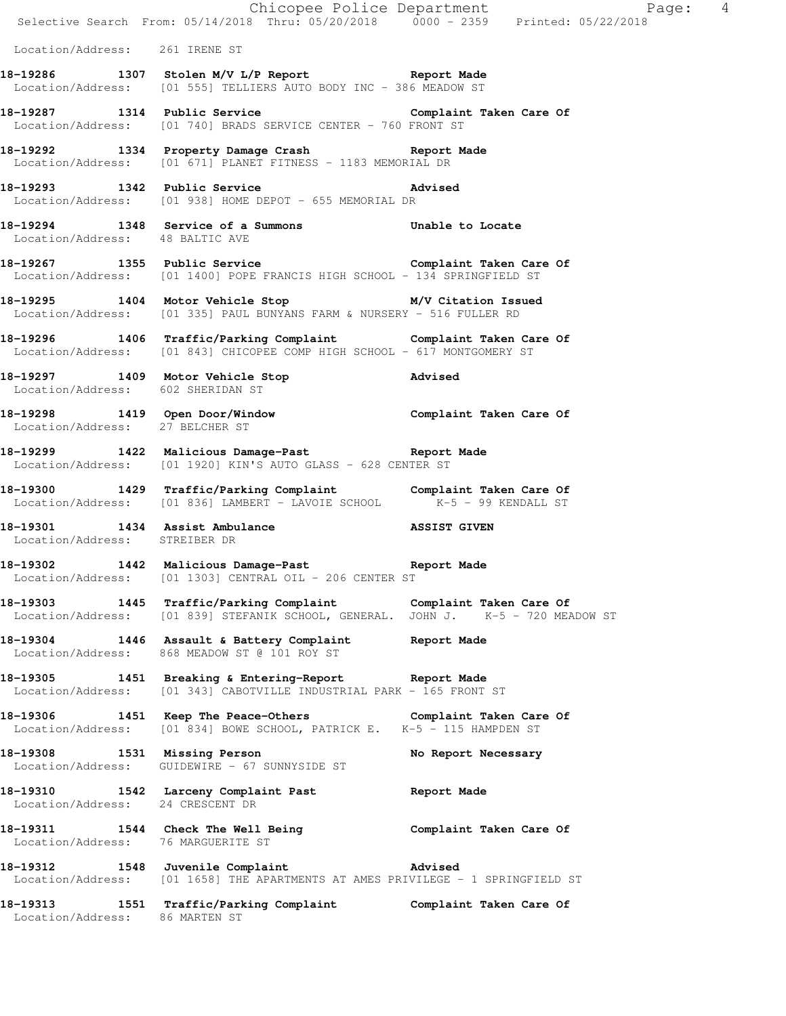|                                    |                                                                                                                                                     | Page: 4<br>Selective Search From: 05/14/2018 Thru: 05/20/2018 0000 - 2359 Printed: 05/22/2018 |
|------------------------------------|-----------------------------------------------------------------------------------------------------------------------------------------------------|-----------------------------------------------------------------------------------------------|
| Location/Address: 261 IRENE ST     |                                                                                                                                                     |                                                                                               |
|                                    | 18-19286 1307 Stolen M/V L/P Report 1307 Stolen M/V L/P Report<br>Location/Address: [01 555] TELLIERS AUTO BODY INC - 386 MEADOW ST                 |                                                                                               |
|                                    | 18-19287 1314 Public Service Complaint Taken Care Of<br>Location/Address: [01 740] BRADS SERVICE CENTER - 760 FRONT ST                              |                                                                                               |
|                                    | 18-19292 1334 Property Damage Crash Report Made<br>Location/Address: [01 671] PLANET FITNESS - 1183 MEMORIAL DR                                     |                                                                                               |
|                                    | 18-19293 1342 Public Service 2011 2013 Advised<br>Location/Address: [01 938] HOME DEPOT - 655 MEMORIAL DR                                           |                                                                                               |
| Location/Address: 48 BALTIC AVE    | 18-19294 1348 Service of a Summons Unable to Locate                                                                                                 |                                                                                               |
|                                    | 18-19267 1355 Public Service Complaint Taken Care Of Location/Address: [01 1400] POPE FRANCIS HIGH SCHOOL - 134 SPRINGFIELD ST                      |                                                                                               |
|                                    | 18-19295 1404 Motor Vehicle Stop M/V Citation Issued<br>Location/Address: [01 335] PAUL BUNYANS FARM & NURSERY - 516 FULLER RD                      |                                                                                               |
|                                    | 18-19296 1406 Traffic/Parking Complaint Complaint Taken Care Of<br>Location/Address: [01 843] CHICOPEE COMP HIGH SCHOOL - 617 MONTGOMERY ST         |                                                                                               |
| Location/Address: 602 SHERIDAN ST  | 18-19297 1409 Motor Vehicle Stop 30 Advised                                                                                                         |                                                                                               |
| Location/Address: 27 BELCHER ST    | 18-19298 1419 Open Door/Window Complaint Taken Care Of                                                                                              |                                                                                               |
|                                    | 18-19299 1422 Malicious Damage-Past 18-19299<br>Location/Address: [01 1920] KIN'S AUTO GLASS - 628 CENTER ST                                        |                                                                                               |
|                                    | 18-19300 1429 Traffic/Parking Complaint Complaint Taken Care Of Location/Address: [01 836] LAMBERT - LAVOIE SCHOOL $K-5$ - 99 KENDALL ST            |                                                                                               |
| Location/Address: STREIBER DR      | 18-19301 1434 Assist Ambulance NSSIST GIVEN                                                                                                         |                                                                                               |
|                                    | 18-19302 1442 Malicious Damage-Past Report Made<br>Location/Address: [01 1303] CENTRAL OIL - 206 CENTER ST                                          |                                                                                               |
|                                    | 18-19303 1445 Traffic/Parking Complaint Complaint Taken Care Of<br>Location/Address: [01 839] STEFANIK SCHOOL, GENERAL. JOHN J. K-5 - 720 MEADOW ST |                                                                                               |
|                                    | 18-19304 1446 Assault & Battery Complaint Report Made<br>Location/Address: 868 MEADOW ST @ 101 ROY ST                                               |                                                                                               |
|                                    | 18-19305 1451 Breaking & Entering-Report Neport Made<br>Location/Address: [01 343] CABOTVILLE INDUSTRIAL PARK - 165 FRONT ST                        |                                                                                               |
|                                    | 18-19306 1451 Keep The Peace-Others Complaint Taken Care Of Location/Address: [01 834] BOWE SCHOOL, PATRICK E. K-5 - 115 HAMPDEN ST                 |                                                                                               |
|                                    | 18-19308 1531 Missing Person<br>Location/Address: GUIDEWIRE - 67 SUNNYSIDE ST                                                                       | No Report Necessary                                                                           |
| Location/Address: 24 CRESCENT DR   | 18-19310 1542 Larceny Complaint Past                                                                                                                | Report Made                                                                                   |
| Location/Address: 76 MARGUERITE ST | 18-19311 1544 Check The Well Being Complaint Taken Care Of                                                                                          |                                                                                               |
|                                    | 18-19312 1548 Juvenile Complaint Advised<br>Location/Address: [01 1658] THE APARTMENTS AT AMES PRIVILEGE - 1 SPRINGFIELD ST                         |                                                                                               |
| Location/Address: 86 MARTEN ST     | 18-19313 1551 Traffic/Parking Complaint Complaint Taken Care Of                                                                                     |                                                                                               |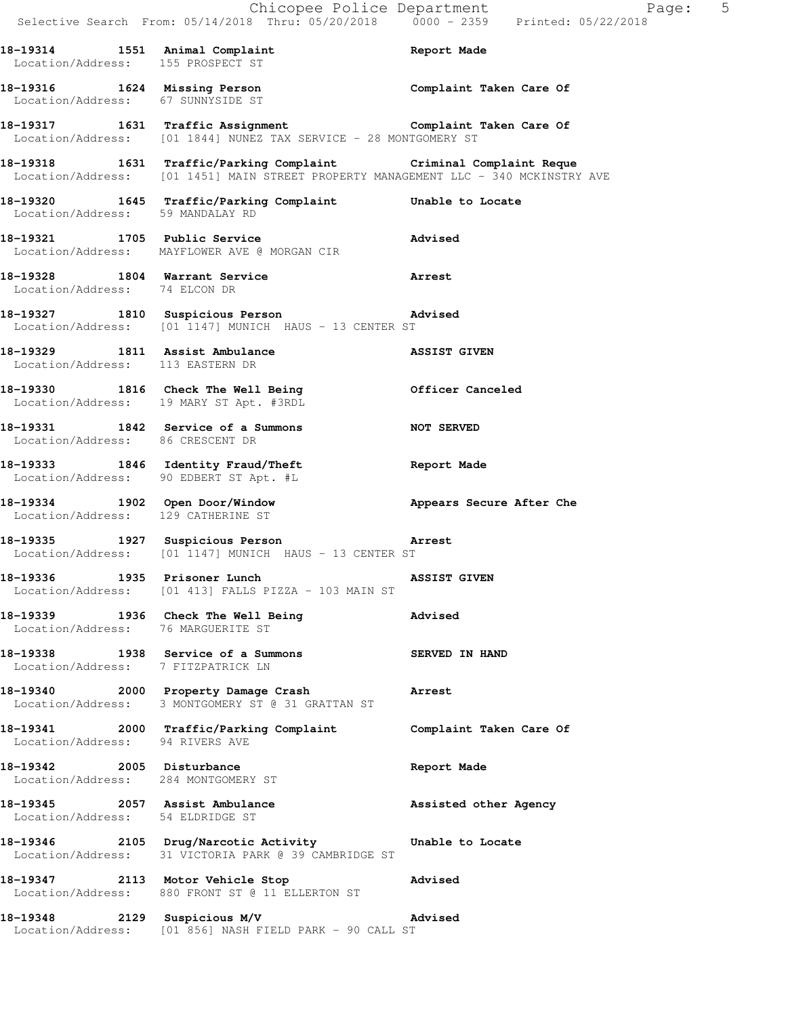|                                                                  | Chicopee Police Department                                                                                                                              | Selective Search From: 05/14/2018 Thru: 05/20/2018 0000 - 2359 Printed: 05/22/2018 |
|------------------------------------------------------------------|---------------------------------------------------------------------------------------------------------------------------------------------------------|------------------------------------------------------------------------------------|
|                                                                  | 18-19314 1551 Animal Complaint Report Made<br>Location/Address: 155 PROSPECT ST                                                                         |                                                                                    |
|                                                                  | 18-19316 1624 Missing Person Complaint Taken Care Of Location/Address: 67 SUNNYSIDE ST                                                                  |                                                                                    |
|                                                                  | 18-19317   1631   Traffic Assignment<br>Location/Address: [01 1844] NUNEZ TAX SERVICE - 28 MONTGOMERY ST                                                |                                                                                    |
|                                                                  | 18-19318 1631 Traffic/Parking Complaint Criminal Complaint Reque<br>Location/Address: [01 1451] MAIN STREET PROPERTY MANAGEMENT LLC - 340 MCKINSTRY AVE |                                                                                    |
|                                                                  | 18-19320 1645 Traffic/Parking Complaint Unable to Locate Location/Address: 59 MANDALAY RD                                                               |                                                                                    |
|                                                                  | 18-19321 1705 Public Service<br>Location/Address: MAYFLOWER AVE @ MORGAN CIR                                                                            | Advised                                                                            |
| Location/Address: 74 ELCON DR                                    | 18-19328 1804 Warrant Service                                                                                                                           | Arrest                                                                             |
|                                                                  | 18-19327 1810 Suspicious Person advised<br>Location/Address: [01 1147] MUNICH HAUS - 13 CENTER ST                                                       |                                                                                    |
| Location/Address: 113 EASTERN DR                                 | 18-19329 1811 Assist Ambulance Nassist Given                                                                                                            |                                                                                    |
|                                                                  | 18-19330 1816 Check The Well Being Officer Canceled Location/Address: 19 MARY ST Apt. #3RDL                                                             |                                                                                    |
|                                                                  | 18-19331 1842 Service of a Summons NOT SERVED<br>Location/Address: 86 CRESCENT DR                                                                       |                                                                                    |
|                                                                  | 18-19333 1846 Identity Fraud/Theft<br>Location/Address: 90 EDBERT ST Apt. #L                                                                            | <b>Report Made</b>                                                                 |
| Location/Address: 129 CATHERINE ST                               | 18-19334 1902 Open Door/Window                                                                                                                          | Appears Secure After Che                                                           |
|                                                                  | 18-19335 1927 Suspicious Person <b>Arrest</b><br>Location/Address: [01 1147] MUNICH HAUS - 13 CENTER ST                                                 |                                                                                    |
|                                                                  | 18-19336 1935 Prisoner Lunch NSSIST GIVEN<br>Location/Address: [01 413] FALLS PIZZA - 103 MAIN ST                                                       |                                                                                    |
| Location/Address: 76 MARGUERITE ST                               | 18-19339 1936 Check The Well Being 18-19339                                                                                                             |                                                                                    |
| Location/Address: 7 FITZPATRICK LN                               | 18-19338 1938 Service of a Summons SERVED IN HAND                                                                                                       |                                                                                    |
|                                                                  | 18-19340 2000 Property Damage Crash Marrest<br>Location/Address: 3 MONTGOMERY ST @ 31 GRATTAN ST                                                        |                                                                                    |
| Location/Address: 94 RIVERS AVE                                  | 18-19341 2000 Traffic/Parking Complaint <b>Complaint Taken Care Of</b>                                                                                  |                                                                                    |
| 18-19342 2005 Disturbance<br>Location/Address: 284 MONTGOMERY ST |                                                                                                                                                         | Report Made                                                                        |
| Location/Address: 54 ELDRIDGE ST                                 | 18-19345 2057 Assist Ambulance and Assisted other Agency                                                                                                |                                                                                    |
|                                                                  | 18-19346 2105 Drug/Narcotic Activity Unable to Locate<br>Location/Address: 31 VICTORIA PARK @ 39 CAMBRIDGE ST                                           |                                                                                    |
|                                                                  | 18-19347 2113 Motor Vehicle Stop<br>Location/Address: 880 FRONT ST @ 11 ELLERTON ST                                                                     | <b>Advised</b>                                                                     |
|                                                                  | 18-19348 2129 Suspicious M/V<br>Location/Address: [01 856] NASH FIELD PARK - 90 CALL ST                                                                 | Advised                                                                            |

Page: 5<br><sub>L8</sub>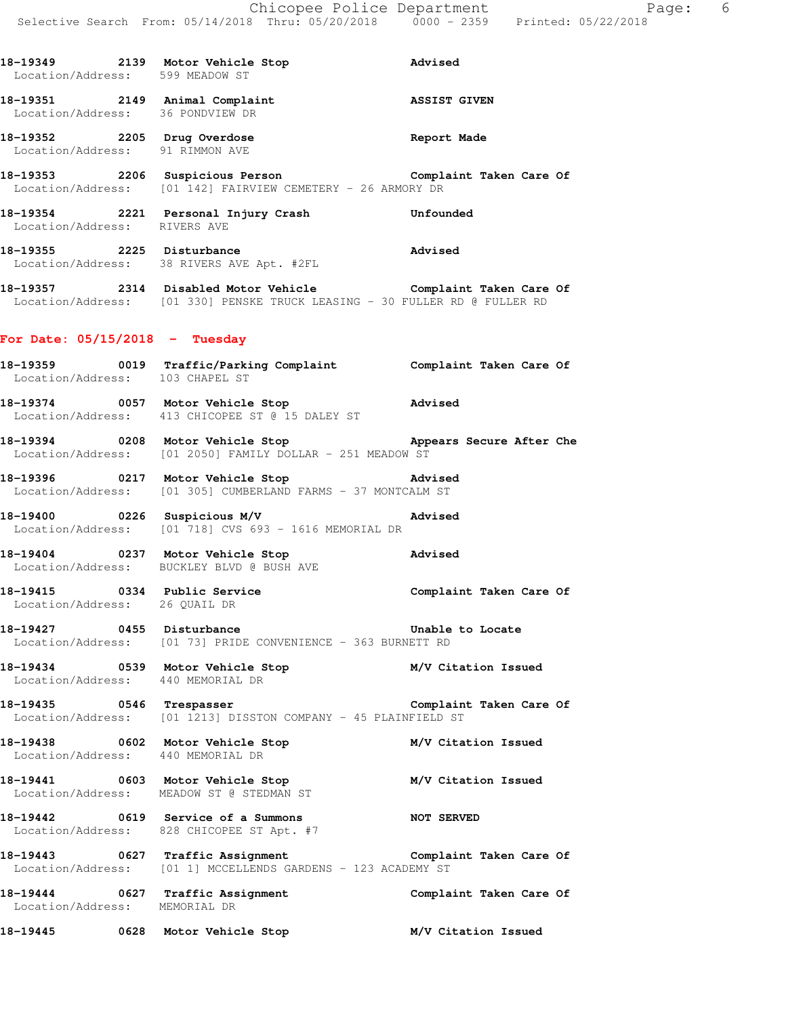**18-19349 2139 Motor Vehicle Stop Advised**  Location/Address: 599 MEADOW ST **18-19351 2149 Animal Complaint ASSIST GIVEN**  Location/Address: 36 PONDVIEW DR **18-19352 2205 Drug Overdose Report Made**  Location/Address: 91 RIMMON AVE **18-19353 2206 Suspicious Person Complaint Taken Care Of**  Location/Address: [01 142] FAIRVIEW CEMETERY - 26 ARMORY DR **18-19354 2221 Personal Injury Crash Unfounded**  Location/Address: RIVERS AVE **18-19355 2225 Disturbance Advised**  Location/Address: 38 RIVERS AVE Apt. #2FL **18-19357 2314 Disabled Motor Vehicle Complaint Taken Care Of**  Location/Address: [01 330] PENSKE TRUCK LEASING - 30 FULLER RD @ FULLER RD **For Date: 05/15/2018 - Tuesday 18-19359 0019 Traffic/Parking Complaint Complaint Taken Care Of**  Location/Address: 103 CHAPEL ST **18-19374 0057 Motor Vehicle Stop Advised**  Location/Address: 413 CHICOPEE ST @ 15 DALEY ST **18-19394 0208 Motor Vehicle Stop Appears Secure After Che**  Location/Address: [01 2050] FAMILY DOLLAR - 251 MEADOW ST **18-19396 0217 Motor Vehicle Stop Advised**  Location/Address: [01 305] CUMBERLAND FARMS - 37 MONTCALM ST **18-19400 0226 Suspicious M/V Advised**  Location/Address: [01 718] CVS 693 - 1616 MEMORIAL DR **18-19404 0237 Motor Vehicle Stop Advised**  Location/Address: BUCKLEY BLVD @ BUSH AVE **18-19415 0334 Public Service Complaint Taken Care Of**  Location/Address: 26 QUAIL DR **18-19427 0455 Disturbance Unable to Locate**  Location/Address: [01 73] PRIDE CONVENIENCE - 363 BURNETT RD **18-19434 0539 Motor Vehicle Stop M/V Citation Issued**  Location/Address: 440 MEMORIAL DR 18-19435 **0546** Trespasser **Complaint Taken Care Of**  Location/Address: [01 1213] DISSTON COMPANY - 45 PLAINFIELD ST **18-19438 0602 Motor Vehicle Stop M/V Citation Issued**  Location/Address: 440 MEMORIAL DR **18-19441 0603 Motor Vehicle Stop M/V Citation Issued**  Location/Address: MEADOW ST @ STEDMAN ST **18-19442 0619 Service of a Summons NOT SERVED**  Location/Address: 828 CHICOPEE ST Apt. #7 **18-19443 0627 Traffic Assignment Complaint Taken Care Of**  Location/Address: [01 1] MCCELLENDS GARDENS - 123 ACADEMY ST **18-19444 0627 Traffic Assignment Complaint Taken Care Of**  Location/Address: MEMORIAL DR **18-19445 0628 Motor Vehicle Stop M/V Citation Issued**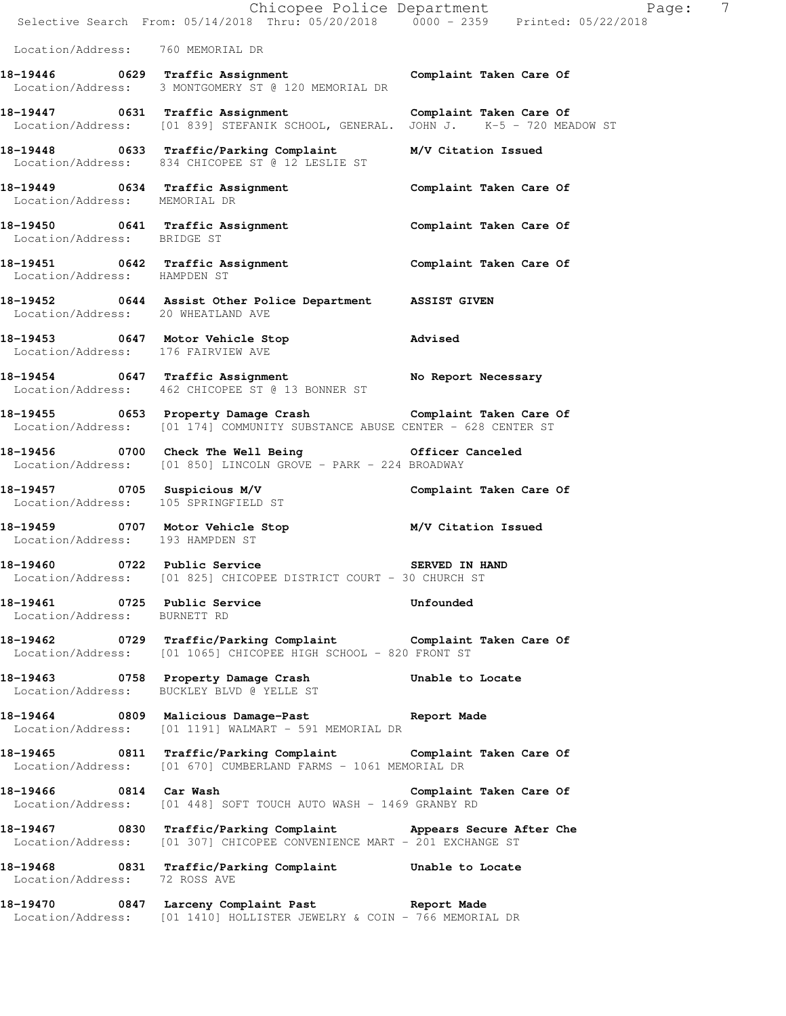|                                    | E Chicopee Police Department<br>Selective Search From: 05/14/2018 Thru: 05/20/2018 0000 - 2359 Printed: 05/22/2018                           | $\overline{7}$<br>Paqe: |
|------------------------------------|----------------------------------------------------------------------------------------------------------------------------------------------|-------------------------|
| Location/Address: 760 MEMORIAL DR  |                                                                                                                                              |                         |
|                                    | 18-19446 0629 Traffic Assignment Complaint Taken Care Of<br>Location/Address: 3 MONTGOMERY ST @ 120 MEMORIAL DR                              |                         |
|                                    | 18-19447 0631 Traffic Assignment Complaint Taken Care Of<br>Location/Address: [01 839] STEFANIK SCHOOL, GENERAL. JOHN J. K-5 - 720 MEADOW ST |                         |
|                                    | 18-19448 0633 Traffic/Parking Complaint M/V Citation Issued<br>Location/Address: 834 CHICOPEE ST @ 12 LESLIE ST                              |                         |
| Location/Address: MEMORIAL DR      | 18-19449    0634 Traffic Assignment    Complaint Taken Care Of                                                                               |                         |
| Location/Address: BRIDGE ST        | 18-19450 0641 Traffic Assignment Complaint Taken Care Of                                                                                     |                         |
|                                    | 18-19451   0642   Traffic Assignment   Complaint Taken Care Of Location/Address: HAMPDEN ST                                                  |                         |
| Location/Address: 20 WHEATLAND AVE | 18-19452 0644 Assist Other Police Department ASSIST GIVEN                                                                                    |                         |
| Location/Address: 176 FAIRVIEW AVE | 18-19453 0647 Motor Vehicle Stop Motors Advised                                                                                              |                         |
|                                    | 18-19454 0647 Traffic Assignment No Report Necessary<br>Location/Address: 462 CHICOPEE ST @ 13 BONNER ST                                     |                         |
|                                    | 18-19455 0653 Property Damage Crash Complaint Taken Care Of<br>Location/Address: [01 174] COMMUNITY SUBSTANCE ABUSE CENTER - 628 CENTER ST   |                         |
|                                    | 18-19456 0700 Check The Well Being 60fficer Canceled<br>Location/Address: [01 850] LINCOLN GROVE - PARK - 224 BROADWAY                       |                         |
|                                    | 18-19457 0705 Suspicious M/V<br>Location/Address: 105 SPRINGFIELD ST                                                                         | Complaint Taken Care Of |
| Location/Address: 193 HAMPDEN ST   | 18-19459 0707 Motor Vehicle Stop M/V Citation Issued                                                                                         |                         |
|                                    | 18-19460 0722 Public Service<br>Location/Address: [01 825] CHICOPEE DISTRICT COURT - 30 CHURCH ST                                            | SERVED IN HAND          |
| Location/Address: BURNETT RD       | 18-19461 0725 Public Service                                                                                                                 | Unfounded               |
|                                    | 18-19462   0729   Traffic/Parking Complaint   Complaint Taken Care Of Location/Address: [01 1065] CHICOPEE HIGH SCHOOL - 820   FRONT ST      |                         |
|                                    | 18-19463 0758 Property Damage Crash Unable to Locate<br>Location/Address: BUCKLEY BLVD @ YELLE ST                                            |                         |
|                                    | 18-19464 0809 Malicious Damage-Past Neport Made<br>Location/Address: [01 1191] WALMART - 591 MEMORIAL DR                                     |                         |
|                                    | 18-19465 0811 Traffic/Parking Complaint Complaint Taken Care Of<br>Location/Address: [01 670] CUMBERLAND FARMS - 1061 MEMORIAL DR            |                         |
|                                    | Location/Address: [01 448] SOFT TOUCH AUTO WASH - 1469 GRANBY RD                                                                             |                         |
|                                    | 18-19467 0830 Traffic/Parking Complaint Appears Secure After Che<br>Location/Address: [01 307] CHICOPEE CONVENIENCE MART - 201 EXCHANGE ST   |                         |
| Location/Address: 72 ROSS AVE      | 18-19468 0831 Traffic/Parking Complaint Unable to Locate                                                                                     |                         |
|                                    | 18-19470 0847 Larceny Complaint Past Report Made<br>Location/Address: [01 1410] HOLLISTER JEWELRY & COIN - 766 MEMORIAL DR                   |                         |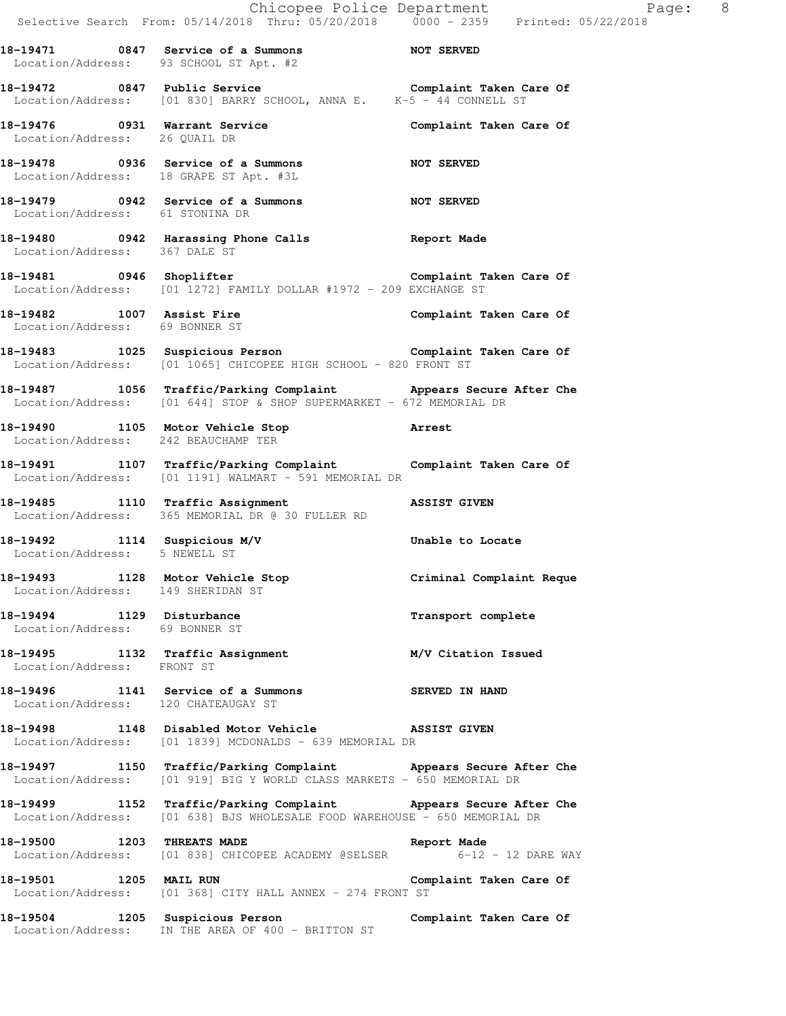Selective Search From: 05/14/2018 Thru: 05/20/2018 0000 - 2359 Printed: 05/22/2018 **18-19471 0847 Service of a Summons NOT SERVED**  Location/Address: 93 SCHOOL ST Apt. #2 **18-19472 0847 Public Service Complaint Taken Care Of**  Location/Address: [01 830] BARRY SCHOOL, ANNA E. K-5 - 44 CONNELL ST **18-19476 0931 Warrant Service Complaint Taken Care Of**  Location/Address: 26 QUAIL DR **18-19478 0936 Service of a Summons NOT SERVED**  Location/Address: 18 GRAPE ST Apt. #3L **18-19479 0942 Service of a Summons NOT SERVED**  Location/Address: 61 STONINA DR **18-19480 0942 Harassing Phone Calls Report Made**  Location/Address: 367 DALE ST **18-19481 0946 Shoplifter Complaint Taken Care Of**  Location/Address: [01 1272] FAMILY DOLLAR #1972 - 209 EXCHANGE ST **18-19482 1007 Assist Fire Complaint Taken Care Of**  Location/Address: 69 BONNER ST **18-19483 1025 Suspicious Person Complaint Taken Care Of**  Location/Address: [01 1065] CHICOPEE HIGH SCHOOL - 820 FRONT ST **18-19487 1056 Traffic/Parking Complaint Appears Secure After Che**  Location/Address: [01 644] STOP & SHOP SUPERMARKET - 672 MEMORIAL DR **18-19490 1105 Motor Vehicle Stop Arrest**  Location/Address: 242 BEAUCHAMP TER **18-19491 1107 Traffic/Parking Complaint Complaint Taken Care Of**  Location/Address: [01 1191] WALMART - 591 MEMORIAL DR **18-19485 1110 Traffic Assignment ASSIST GIVEN**  Location/Address: 365 MEMORIAL DR @ 30 FULLER RD **18-19492 1114 Suspicious M/V Unable to Locate**  Location/Address: 5 NEWELL ST **18-19493 1128 Motor Vehicle Stop Criminal Complaint Reque**  Location/Address: 149 SHERIDAN ST **18-19494 1129 Disturbance Transport complete**  Location/Address: 69 BONNER ST **18-19495 1132 Traffic Assignment M/V Citation Issued**  Location/Address: FRONT ST **18-19496 1141 Service of a Summons SERVED IN HAND**  Location/Address: 120 CHATEAUGAY ST **18-19498 1148 Disabled Motor Vehicle ASSIST GIVEN**  Location/Address: [01 1839] MCDONALDS - 639 MEMORIAL DR **18-19497 1150 Traffic/Parking Complaint Appears Secure After Che**  Location/Address: [01 919] BIG Y WORLD CLASS MARKETS - 650 MEMORIAL DR **18-19499 1152 Traffic/Parking Complaint Appears Secure After Che**  Location/Address: [01 638] BJS WHOLESALE FOOD WAREHOUSE - 650 MEMORIAL DR **18-19500 1203 THREATS MADE Report Made**  Location/Address: [01 838] CHICOPEE ACADEMY @SELSER 6-12 - 12 DARE WAY **18-19501 1205 MAIL RUN Complaint Taken Care Of**  Location/Address: [01 368] CITY HALL ANNEX - 274 FRONT ST **18-19504 1205 Suspicious Person Complaint Taken Care Of**  Location/Address: IN THE AREA OF 400 - BRITTON ST

Chicopee Police Department The Page: 8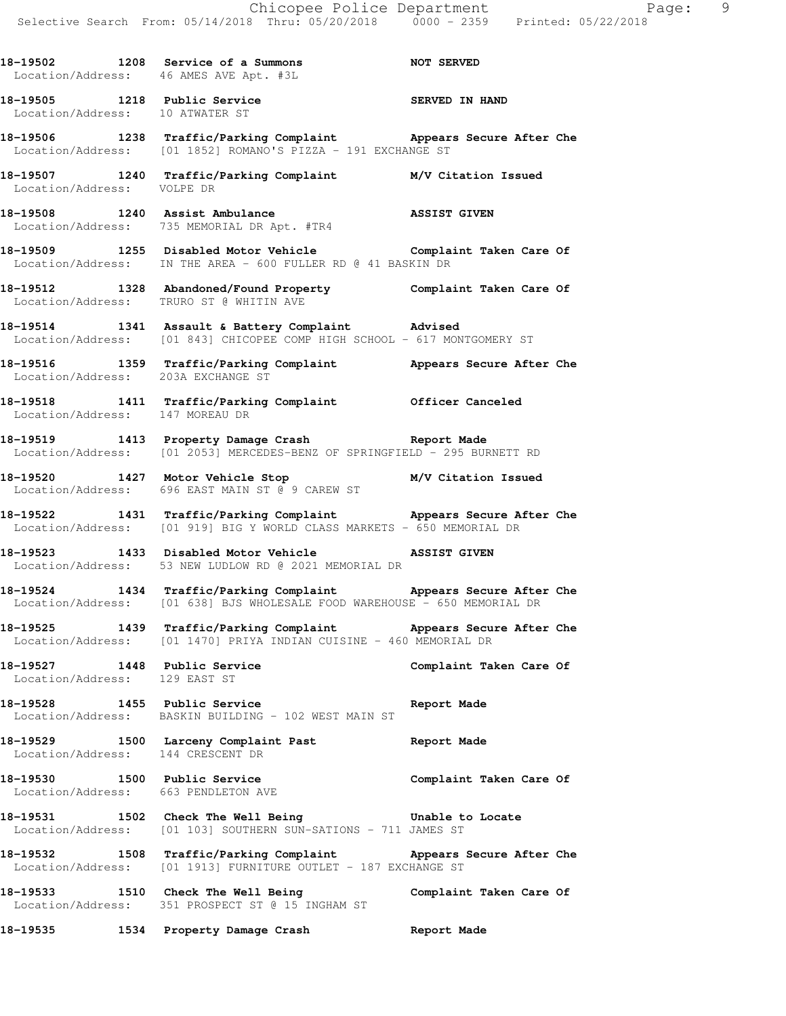**18-19502 1208 Service of a Summons NOT SERVED**  Location/Address: 46 AMES AVE Apt. #3L

18-19505 1218 Public Service **1986 SERVED IN HAND** Location/Address: 10 ATWATER ST

**18-19506 1238 Traffic/Parking Complaint Appears Secure After Che**  Location/Address: [01 1852] ROMANO'S PIZZA - 191 EXCHANGE ST

**18-19507 1240 Traffic/Parking Complaint M/V Citation Issued**  Location/Address: VOLPE DR

**18-19508 1240 Assist Ambulance ASSIST GIVEN**  Location/Address: 735 MEMORIAL DR Apt. #TR4

18-19509 1255 Disabled Motor Vehicle **18-1950** Complaint Taken Care Of Location/Address: IN THE AREA - 600 FULLER RD @ 41 BASKIN DR

**18-19512 1328 Abandoned/Found Property Complaint Taken Care Of**  Location/Address: TRURO ST @ WHITIN AVE

**18-19514 1341 Assault & Battery Complaint Advised**  Location/Address: [01 843] CHICOPEE COMP HIGH SCHOOL - 617 MONTGOMERY ST

**18-19516 1359 Traffic/Parking Complaint Appears Secure After Che**  Location/Address: 203A EXCHANGE ST

**18-19518 1411 Traffic/Parking Complaint Officer Canceled**  Location/Address: 147 MOREAU DR

**18-19519 1413 Property Damage Crash Report Made**  Location/Address: [01 2053] MERCEDES-BENZ OF SPRINGFIELD - 295 BURNETT RD

**18-19520 1427 Motor Vehicle Stop M/V Citation Issued**  Location/Address: 696 EAST MAIN ST @ 9 CAREW ST

**18-19522 1431 Traffic/Parking Complaint Appears Secure After Che**  Location/Address: [01 919] BIG Y WORLD CLASS MARKETS - 650 MEMORIAL DR

**18-19523 1433 Disabled Motor Vehicle ASSIST GIVEN**  Location/Address: 53 NEW LUDLOW RD @ 2021 MEMORIAL DR

**18-19524 1434 Traffic/Parking Complaint Appears Secure After Che**  Location/Address: [01 638] BJS WHOLESALE FOOD WAREHOUSE - 650 MEMORIAL DR

**18-19525 1439 Traffic/Parking Complaint Appears Secure After Che**  Location/Address: [01 1470] PRIYA INDIAN CUISINE - 460 MEMORIAL DR

18-19527 1448 Public Service **Complaint Taken Care Of** Location/Address: 129 EAST ST

**18-19528 1455 Public Service Report Made**  Location/Address: BASKIN BUILDING - 102 WEST MAIN ST

**18-19529 1500 Larceny Complaint Past Report Made**  Location/Address: 144 CRESCENT DR

**18-19530 1500 Public Service Complaint Taken Care Of**  Location/Address: 663 PENDLETON AVE

**18-19531 1502 Check The Well Being Unable to Locate**  Location/Address: [01 103] SOUTHERN SUN-SATIONS - 711 JAMES ST

**18-19532 1508 Traffic/Parking Complaint Appears Secure After Che**  Location/Address: [01 1913] FURNITURE OUTLET - 187 EXCHANGE ST

**18-19533 1510 Check The Well Being Complaint Taken Care Of**  Location/Address: 351 PROSPECT ST @ 15 INGHAM ST

**18-19535 1534 Property Damage Crash Report Made**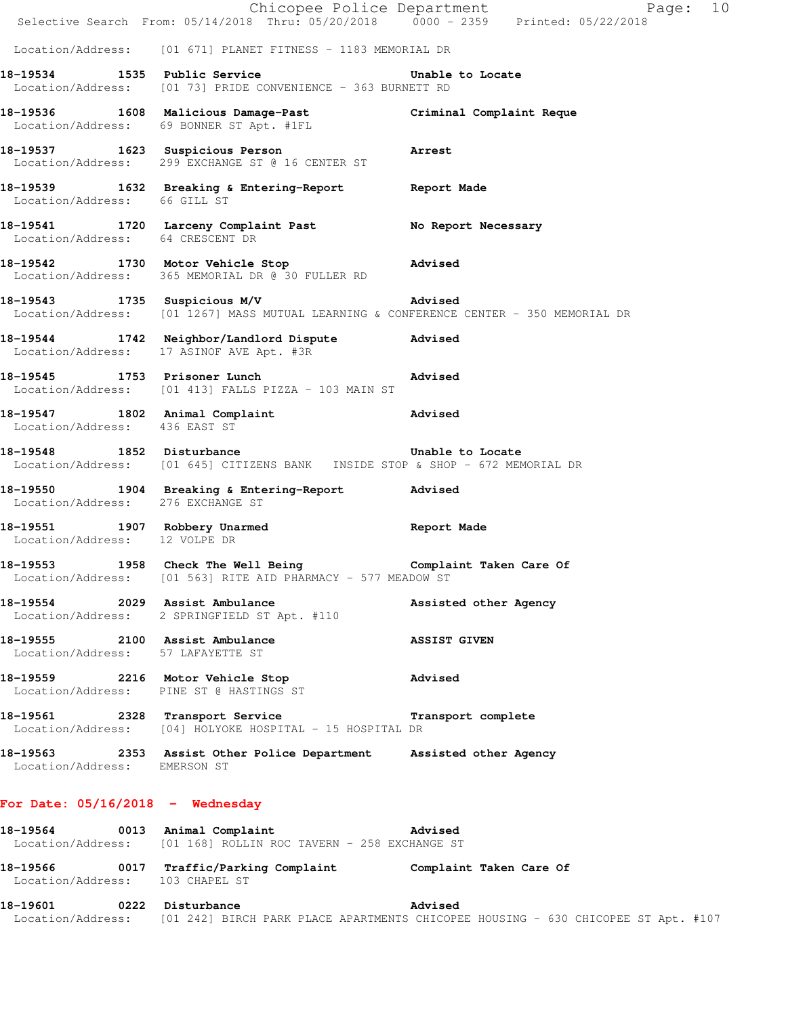|                                                                     | Chicopee Police Department<br>Selective Search From: 05/14/2018 Thru: 05/20/2018 0000 - 2359 Printed: 05/22/2018                  | Page: 10              |
|---------------------------------------------------------------------|-----------------------------------------------------------------------------------------------------------------------------------|-----------------------|
|                                                                     | Location/Address: [01 671] PLANET FITNESS - 1183 MEMORIAL DR                                                                      |                       |
|                                                                     | 18-19534 1535 Public Service<br>Location/Address: [01 73] PRIDE CONVENIENCE - 363 BURNETT RD                                      | Unable to Locate      |
|                                                                     | 18-19536 1608 Malicious Damage-Past Criminal Complaint Reque<br>Location/Address: 69 BONNER ST Apt. #1FL                          |                       |
|                                                                     | 18-19537 1623 Suspicious Person 18-19537<br>Location/Address: 299 EXCHANGE ST @ 16 CENTER ST                                      |                       |
| Location/Address: 66 GILL ST                                        | 18-19539 1632 Breaking & Entering-Report 18eport Made                                                                             |                       |
|                                                                     | 18-19541 1720 Larceny Complaint Past No Report Necessary<br>Location/Address: 64 CRESCENT DR                                      |                       |
|                                                                     | 18-19542 1730 Motor Vehicle Stop Advised<br>Location/Address: 365 MEMORIAL DR @ 30 FULLER RD                                      |                       |
|                                                                     | 18-19543 1735 Suspicious M/V 18-19543<br>Location/Address: [01 1267] MASS MUTUAL LEARNING & CONFERENCE CENTER - 350 MEMORIAL DR   |                       |
|                                                                     | 18-19544 1742 Neighbor/Landlord Dispute Advised<br>Location/Address: 17 ASINOF AVE Apt. #3R                                       |                       |
| 18-19545 1753 Prisoner Lunch                                        | Location/Address: [01 413] FALLS PIZZA - 103 MAIN ST                                                                              | Advised               |
| Location/Address: 436 EAST ST                                       | 18-19547 1802 Animal Complaint 1803 and Movised                                                                                   |                       |
|                                                                     | 18-19548 1852 Disturbance 1854 Unable to Locate<br>Location/Address: [01 645] CITIZENS BANK  INSIDE STOP & SHOP - 672 MEMORIAL DR |                       |
| Location/Address: 276 EXCHANGE ST                                   | 18-19550 1904 Breaking & Entering-Report Advised                                                                                  |                       |
| Location/Address: 12 VOLPE DR                                       | 18-19551 1907 Robbery Unarmed Report Made                                                                                         |                       |
|                                                                     | 18-19553 1958 Check The Well Being Complaint Taken Care Of<br>Location/Address: [01 563] RITE AID PHARMACY - 577 MEADOW ST        |                       |
| 18-19554 2029 Assist Ambulance                                      | Location/Address: 2 SPRINGFIELD ST Apt. #110                                                                                      | Assisted other Agency |
| 18-19555 2100 Assist Ambulance<br>Location/Address: 57 LAFAYETTE ST |                                                                                                                                   | <b>ASSIST GIVEN</b>   |
|                                                                     | 18-19559 2216 Motor Vehicle Stop<br>Location/Address: PINE ST @ HASTINGS ST                                                       | <b>Advised</b>        |
|                                                                     | 18-19561 2328 Transport Service<br>Location/Address: [04] HOLYOKE HOSPITAL - 15 HOSPITAL DR                                       | Transport complete    |
| Location/Address: EMERSON ST                                        | 18-19563 2353 Assist Other Police Department Assisted other Agency                                                                |                       |
| For Date: $05/16/2018$ - Wednesday                                  |                                                                                                                                   |                       |
|                                                                     | 18-19564 0013 Animal Complaint 1997 Advised<br>Location/Address: [01 168] ROLLIN ROC TAVERN - 258 EXCHANGE ST                     |                       |
| Location/Address: 103 CHAPEL ST                                     | 18-19566 0017 Traffic/Parking Complaint Complaint Taken Care Of                                                                   |                       |
| 18-19601 0222 Disturbance                                           |                                                                                                                                   | Advised               |

Location/Address: [01 242] BIRCH PARK PLACE APARTMENTS CHICOPEE HOUSING - 630 CHICOPEE ST Apt. #107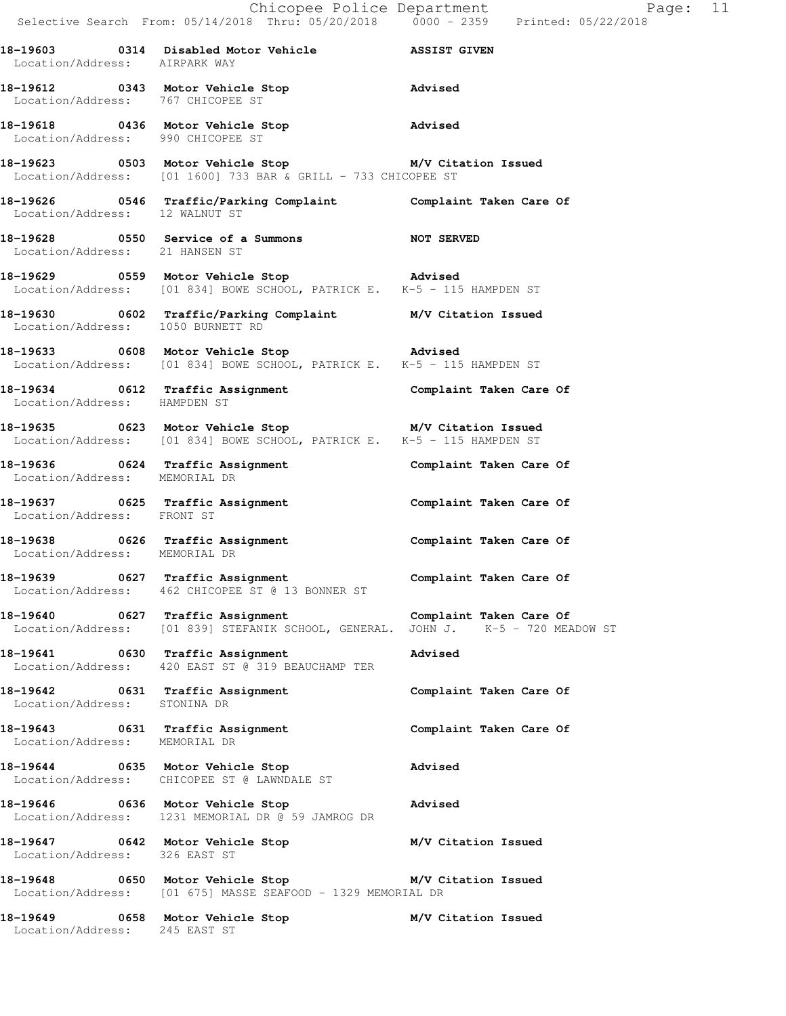**18-19612 0343 Motor Vehicle Stop Advised**  Location/Address: 767 CHICOPEE ST

**18-19618 0436 Motor Vehicle Stop Advised**  Location/Address: 990 CHICOPEE ST

**18-19623 0503 Motor Vehicle Stop M/V Citation Issued**  Location/Address: [01 1600] 733 BAR & GRILL - 733 CHICOPEE ST

**18-19626 0546 Traffic/Parking Complaint Complaint Taken Care Of**  Location/Address: 12 WALNUT ST

**18-19628 0550 Service of a Summons NOT SERVED**  Location/Address: 21 HANSEN ST

**18-19629 0559 Motor Vehicle Stop Advised**  Location/Address: [01 834] BOWE SCHOOL, PATRICK E. K-5 - 115 HAMPDEN ST

**18-19630 0602 Traffic/Parking Complaint M/V Citation Issued**  Location/Address: 1050 BURNETT RD

**18-19633 0608 Motor Vehicle Stop Advised**  Location/Address: [01 834] BOWE SCHOOL, PATRICK E. K-5 - 115 HAMPDEN ST

**18-19634 0612 Traffic Assignment Complaint Taken Care Of**  Location/Address: HAMPDEN ST

**18-19635 0623 Motor Vehicle Stop M/V Citation Issued**  Location/Address: [01 834] BOWE SCHOOL, PATRICK E. K-5 - 115 HAMPDEN ST

**18-19636 0624 Traffic Assignment Complaint Taken Care Of**  Location/Address: MEMORIAL DR

**18-19637 0625 Traffic Assignment Complaint Taken Care Of**  Location/Address: FRONT ST

**18-19638 0626 Traffic Assignment Complaint Taken Care Of**  Location/Address: MEMORIAL DR

**18-19639 0627 Traffic Assignment Complaint Taken Care Of**  Location/Address: 462 CHICOPEE ST @ 13 BONNER ST

**18-19640 0627 Traffic Assignment Complaint Taken Care Of**  Location/Address: [01 839] STEFANIK SCHOOL, GENERAL. JOHN J. K-5 - 720 MEADOW ST

**18-19641 0630 Traffic Assignment Advised**  Location/Address: 420 EAST ST @ 319 BEAUCHAMP TER

18-19642 **0631** Traffic Assignment **Complaint Taken Care Of** Location/Address: STONINA DR

**18-19643 0631 Traffic Assignment Complaint Taken Care Of**  Location/Address: MEMORIAL DR

**18-19644 0635 Motor Vehicle Stop Advised**  Location/Address: CHICOPEE ST @ LAWNDALE ST

**18-19646 0636 Motor Vehicle Stop Advised**  Location/Address: 1231 MEMORIAL DR @ 59 JAMROG DR

**18-19647 0642 Motor Vehicle Stop M/V Citation Issued**  Location/Address: 326 EAST ST

**18-19648 0650 Motor Vehicle Stop M/V Citation Issued**  Location/Address: [01 675] MASSE SEAFOOD - 1329 MEMORIAL DR

**18-19649 0658 Motor Vehicle Stop M/V Citation Issued**  Location/Address: 245 EAST ST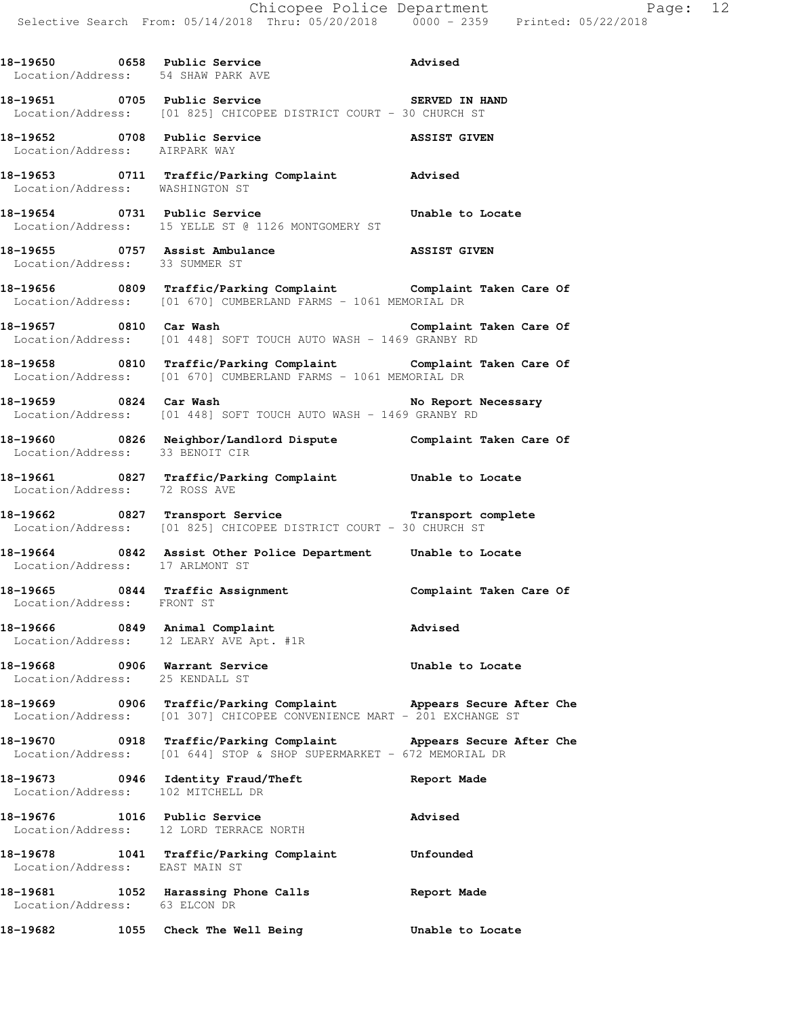|                                                                  | 18-19650 0658 Public Service<br>Location/Address: 54 SHAW PARK AVE<br>Advised                                                              |                         |
|------------------------------------------------------------------|--------------------------------------------------------------------------------------------------------------------------------------------|-------------------------|
|                                                                  | 18-19651 0705 Public Service <b>18 COVERTS</b> SERVED IN HAND<br>Location/Address: [01 825] CHICOPEE DISTRICT COURT - 30 CHURCH ST         |                         |
| Location/Address: AIRPARK WAY                                    | 18-19652 0708 Public Service ASSIST GIVEN                                                                                                  |                         |
| Location/Address: WASHINGTON ST                                  | 18-19653 0711 Traffic/Parking Complaint Advised                                                                                            |                         |
|                                                                  | 18-19654 0731 Public Service <b>18-1965</b> Unable to Locate<br>Location/Address: 15 YELLE ST @ 1126 MONTGOMERY ST                         |                         |
| Location/Address: 33 SUMMER ST                                   | 18-19655 0757 Assist Ambulance and ASSIST GIVEN                                                                                            |                         |
|                                                                  | 18-19656 0809 Traffic/Parking Complaint Complaint Taken Care Of<br>Location/Address: [01 670] CUMBERLAND FARMS - 1061 MEMORIAL DR          |                         |
|                                                                  | Location/Address: [01 448] SOFT TOUCH AUTO WASH - 1469 GRANBY RD                                                                           |                         |
|                                                                  | 18-19658 0810 Traffic/Parking Complaint Complaint Taken Care Of<br>Location/Address: [01 670] CUMBERLAND FARMS - 1061 MEMORIAL DR          |                         |
|                                                                  |                                                                                                                                            |                         |
| Location/Address: 33 BENOIT CIR                                  | 18-19660 0826 Neighbor/Landlord Dispute Complaint Taken Care Of                                                                            |                         |
|                                                                  | 18-19661 0827 Traffic/Parking Complaint Unable to Locate<br>Location/Address: 72 ROSS AVE                                                  |                         |
|                                                                  | -<br>18-19662 1827 Transport Service 1988 Transport complete<br>Location/Address: [01 825] CHICOPEE DISTRICT COURT - 30 CHURCH ST          |                         |
| Location/Address: 17 ARLMONT ST                                  | 18-19664 0842 Assist Other Police Department Unable to Locate                                                                              |                         |
| Location/Address: FRONT ST                                       | 18-19665 0844 Traffic Assignment                                                                                                           | Complaint Taken Care Of |
| 18-19666 0849 Animal Complaint                                   | Location/Address: 12 LEARY AVE Apt. #1R                                                                                                    | Advised                 |
| 18-19668 0906 Warrant Service<br>Location/Address: 25 KENDALL ST |                                                                                                                                            | Unable to Locate        |
|                                                                  | 18-19669 0906 Traffic/Parking Complaint Appears Secure After Che<br>Location/Address: [01 307] CHICOPEE CONVENIENCE MART - 201 EXCHANGE ST |                         |
|                                                                  | 18-19670 0918 Traffic/Parking Complaint Appears Secure After Che<br>Location/Address: [01 644] STOP & SHOP SUPERMARKET - 672 MEMORIAL DR   |                         |
|                                                                  | 18-19673 0946 Identity Fraud/Theft<br>Location/Address: 102 MITCHELL DR                                                                    | Report Made             |
| 18-19676 1016 Public Service                                     | Location/Address: 12 LORD TERRACE NORTH                                                                                                    | Advised                 |
|                                                                  | 18-19678 1041 Traffic/Parking Complaint Unfounded Location/Address: EAST MAIN ST                                                           |                         |
| Location/Address: 63 ELCON DR                                    | 18-19681 1052 Harassing Phone Calls                                                                                                        | Report Made             |
| 18-19682                                                         | 1055 Check The Well Being                                                                                                                  | Unable to Locate        |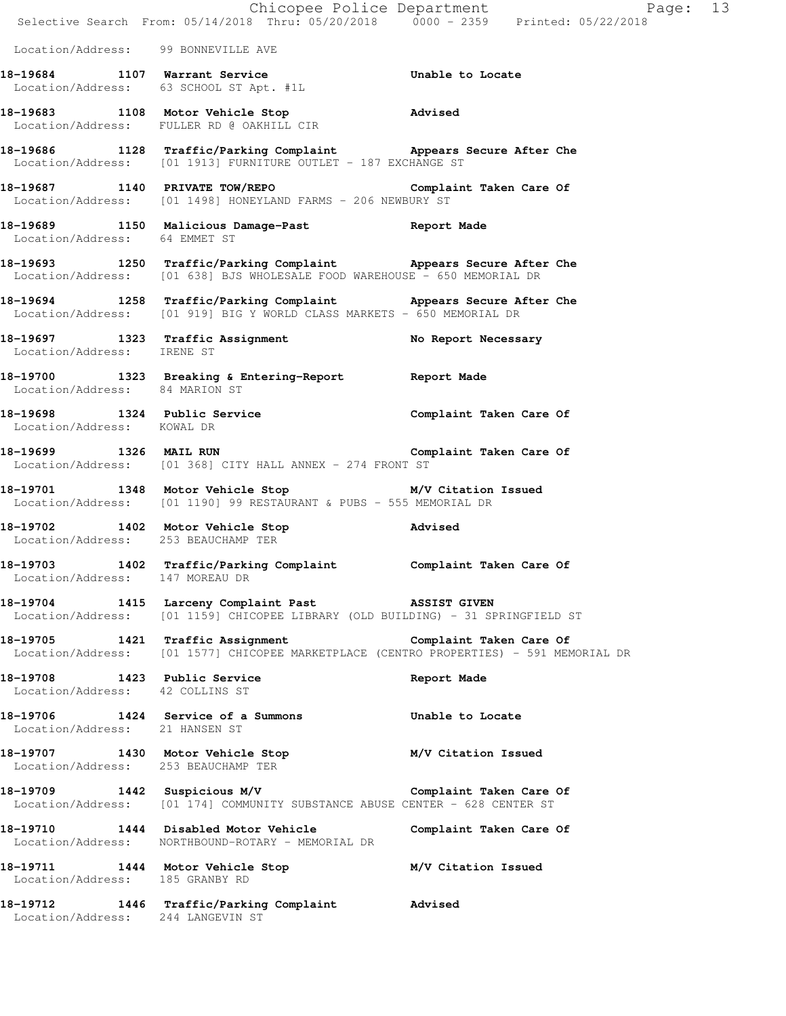|                                                                 | Chicopee Police Department<br>Selective Search From: 05/14/2018 Thru: 05/20/2018 0000 - 2359 Printed: 05/22/2018                                   | Page: 13                |
|-----------------------------------------------------------------|----------------------------------------------------------------------------------------------------------------------------------------------------|-------------------------|
| Location/Address: 99 BONNEVILLE AVE                             |                                                                                                                                                    |                         |
|                                                                 | 18-19684 1107 Warrant Service<br>Location/Address: 63 SCHOOL ST Apt. #1L                                                                           | Unable to Locate        |
|                                                                 | 18-19683 1108 Motor Vehicle Stop 310 Movised<br>Location/Address: FULLER RD @ OAKHILL CIR                                                          |                         |
|                                                                 | 18-19686 1128 Traffic/Parking Complaint Appears Secure After Che<br>Location/Address: [01 1913] FURNITURE OUTLET - 187 EXCHANGE ST                 |                         |
|                                                                 | 18-19687 1140 PRIVATE TOW/REPO<br>Location/Address: [01 1498] HONEYLAND FARMS - 206 NEWBURY ST                                                     | Complaint Taken Care Of |
| Location/Address: 64 EMMET ST                                   | 18-19689 1150 Malicious Damage-Past 18-19689 Report Made                                                                                           |                         |
|                                                                 | 18-19693 1250 Traffic/Parking Complaint Appears Secure After Che<br>Location/Address: [01 638] BJS WHOLESALE FOOD WAREHOUSE - 650 MEMORIAL DR      |                         |
|                                                                 | 18-19694 1258 Traffic/Parking Complaint Appears Secure After Che<br>Location/Address: [01 919] BIG Y WORLD CLASS MARKETS - 650 MEMORIAL DR         |                         |
| Location/Address: IRENE ST                                      | 18-19697 1323 Traffic Assignment No Report Necessary                                                                                               |                         |
| Location/Address: 84 MARION ST                                  | 18-19700 1323 Breaking & Entering-Report Neport Made                                                                                               |                         |
| 18-19698 1324 Public Service<br>Location/Address: KOWAL DR      |                                                                                                                                                    | Complaint Taken Care Of |
|                                                                 | 18-19699 1326 MAIL RUN 18-19699 20 Complaint Taken Care Of<br>Location/Address: [01 368] CITY HALL ANNEX - 274 FRONT ST                            |                         |
|                                                                 | 18-19701 1348 Motor Vehicle Stop M/V Citation Issued<br>Location/Address: [01 1190] 99 RESTAURANT & PUBS - 555 MEMORIAL DR                         |                         |
| Location/Address: 253 BEAUCHAMP TER                             | 18-19702 1402 Motor Vehicle Stop                                                                                                                   | <b>Advised</b>          |
| 18-19703<br>1402<br>Location/Address: 147 MOREAU DR             | Traffic/Parking Complaint Complaint Taken Care Of                                                                                                  |                         |
|                                                                 | 18-19704 1415 Larceny Complaint Past ASSIST GIVEN<br>Location/Address: [01 1159] CHICOPEE LIBRARY (OLD BUILDING) - 31 SPRINGFIELD ST               |                         |
|                                                                 | 18-19705 1421 Traffic Assignment Complaint Taken Care Of<br>Location/Address: [01 1577] CHICOPEE MARKETPLACE (CENTRO PROPERTIES) - 591 MEMORIAL DR |                         |
| 18-19708 1423 Public Service<br>Location/Address: 42 COLLINS ST |                                                                                                                                                    | Report Made             |
| Location/Address: 21 HANSEN ST                                  | 18-19706 1424 Service of a Summons                                                                                                                 | Unable to Locate        |
| Location/Address: 253 BEAUCHAMP TER                             | 18-19707 1430 Motor Vehicle Stop<br>Lecation (Address: 252 PEAUCHAMP TEP                                                                           | M/V Citation Issued     |
|                                                                 | 18-19709 1442 Suspicious M/V Complaint Taken Care Of<br>Location/Address: [01 174] COMMUNITY SUBSTANCE ABUSE CENTER - 628 CENTER ST                |                         |
|                                                                 | 18-19710 1444 Disabled Motor Vehicle<br>Location/Address: NORTHBOUND-ROTARY - MEMORIAL DR                                                          | Complaint Taken Care Of |
| Location/Address: 185 GRANBY RD                                 | 18-19711 1444 Motor Vehicle Stop                                                                                                                   | M/V Citation Issued     |
| Location/Address: 244 LANGEVIN ST                               | 18-19712 1446 Traffic/Parking Complaint Advised                                                                                                    |                         |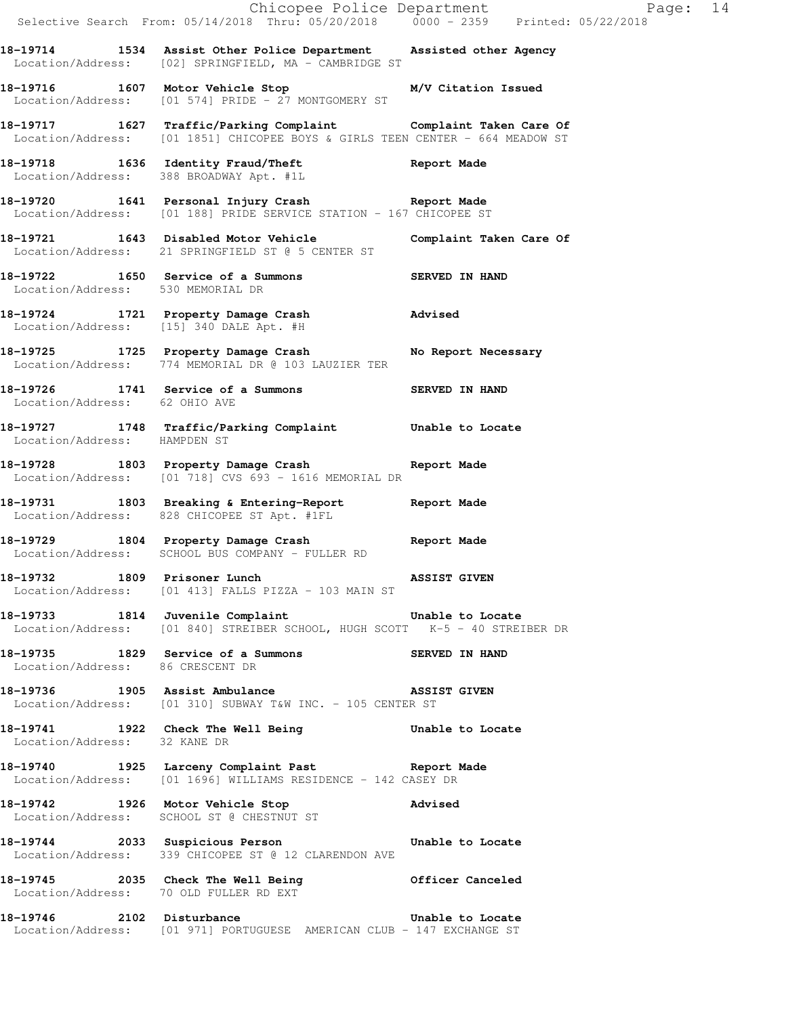|                                   |                                                                                                                                               | Chicopee Police Department<br>Selective Search From: 05/14/2018 Thru: 05/20/2018 0000 - 2359 Printed: 05/22/2018 |
|-----------------------------------|-----------------------------------------------------------------------------------------------------------------------------------------------|------------------------------------------------------------------------------------------------------------------|
|                                   | 18-19714 1534 Assist Other Police Department Assisted other Agency<br>Location/Address: [02] SPRINGFIELD, MA - CAMBRIDGE ST                   |                                                                                                                  |
|                                   | 18-19716 1607 Motor Vehicle Stop 18-19716 M/V Citation Issued<br>Location/Address: [01 574] PRIDE - 27 MONTGOMERY ST                          |                                                                                                                  |
|                                   | 18-19717 1627 Traffic/Parking Complaint Complaint Taken Care Of Location/Address: [01 1851] CHICOPEE BOYS & GIRLS TEEN CENTER - 664 MEADOW ST |                                                                                                                  |
|                                   | 18-19718 1636 Identity Fraud/Theft Report Made Location/Address: 388 BROADWAY Apt. #1L                                                        |                                                                                                                  |
|                                   | 18-19720 1641 Personal Injury Crash Neport Made<br>Location/Address: [01 188] PRIDE SERVICE STATION - 167 CHICOPEE ST                         |                                                                                                                  |
|                                   | 18-19721 1643 Disabled Motor Vehicle Complaint Taken Care Of<br>Location/Address: 21 SPRINGFIELD ST @ 5 CENTER ST                             |                                                                                                                  |
| Location/Address: 530 MEMORIAL DR | 18-19722 1650 Service of a Summons SERVED IN HAND                                                                                             |                                                                                                                  |
|                                   | 18-19724 1721 Property Damage Crash Madvised<br>Location/Address: [15] 340 DALE Apt. #H                                                       |                                                                                                                  |
|                                   | 18-19725 1725 Property Damage Crash<br>Location/Address: 774 MEMORIAL DR @ 103 LAUZIER TER                                                    | No Report Necessary                                                                                              |
| Location/Address: 62 OHIO AVE     | 18-19726 1741 Service of a Summons                                                                                                            | <b>SERVED IN HAND</b>                                                                                            |
| Location/Address: HAMPDEN ST      | 18-19727 1748 Traffic/Parking Complaint Unable to Locate                                                                                      |                                                                                                                  |
|                                   | 18-19728 1803 Property Damage Crash Neport Made<br>Location/Address: [01 718] CVS 693 - 1616 MEMORIAL DR                                      |                                                                                                                  |
|                                   | 18-19731 1803 Breaking & Entering-Report 19731<br>Location/Address: 828 CHICOPEE ST Apt. #1FL                                                 |                                                                                                                  |
|                                   | 18-19729 1804 Property Damage Crash Neport Made<br>Location/Address: SCHOOL BUS COMPANY - FULLER RD                                           |                                                                                                                  |
|                                   | 18-19732 1809 Prisoner Lunch NSSIST GIVEN<br>Location/Address: [01 413] FALLS PIZZA - 103 MAIN ST                                             |                                                                                                                  |
|                                   | 18-19733 1814 Juvenile Complaint 18-19733 1814<br>Location/Address: [01 840] STREIBER SCHOOL, HUGH SCOTT K-5 - 40 STREIBER DR                 |                                                                                                                  |
| Location/Address: 86 CRESCENT DR  | 18–19735 1829 Service of a Summons SERVED IN HAND                                                                                             |                                                                                                                  |
|                                   | 18-19736 1905 Assist Ambulance NSSIST GIVEN<br>Location/Address: [01 310] SUBWAY T&W INC. - 105 CENTER ST                                     |                                                                                                                  |
| Location/Address: 32 KANE DR      | 18-19741 1922 Check The Well Being The Unable to Locate                                                                                       |                                                                                                                  |
|                                   | 18-19740 1925 Larceny Complaint Past <b>18-19740</b> Report Made<br>Location/Address: [01 1696] WILLIAMS RESIDENCE - 142 CASEY DR             |                                                                                                                  |
|                                   | 18-19742 1926 Motor Vehicle Stop Noticle Stop<br>Location/Address: SCHOOL ST @ CHESTNUT ST                                                    |                                                                                                                  |
|                                   | 18-19744 2033 Suspicious Person <b>18-1974</b> Unable to Locate<br>Location/Address: 339 CHICOPEE ST @ 12 CLARENDON AVE                       |                                                                                                                  |
|                                   | 18-19745 2035 Check The Well Being 611 Officer Canceled Location/Address: 70 OLD FULLER RD EXT                                                |                                                                                                                  |
|                                   | 18-19746 2102 Disturbance Channel Unable to Locate<br>Location/Address: [01 971] PORTUGUESE AMERICAN CLUB - 147 EXCHANGE ST                   |                                                                                                                  |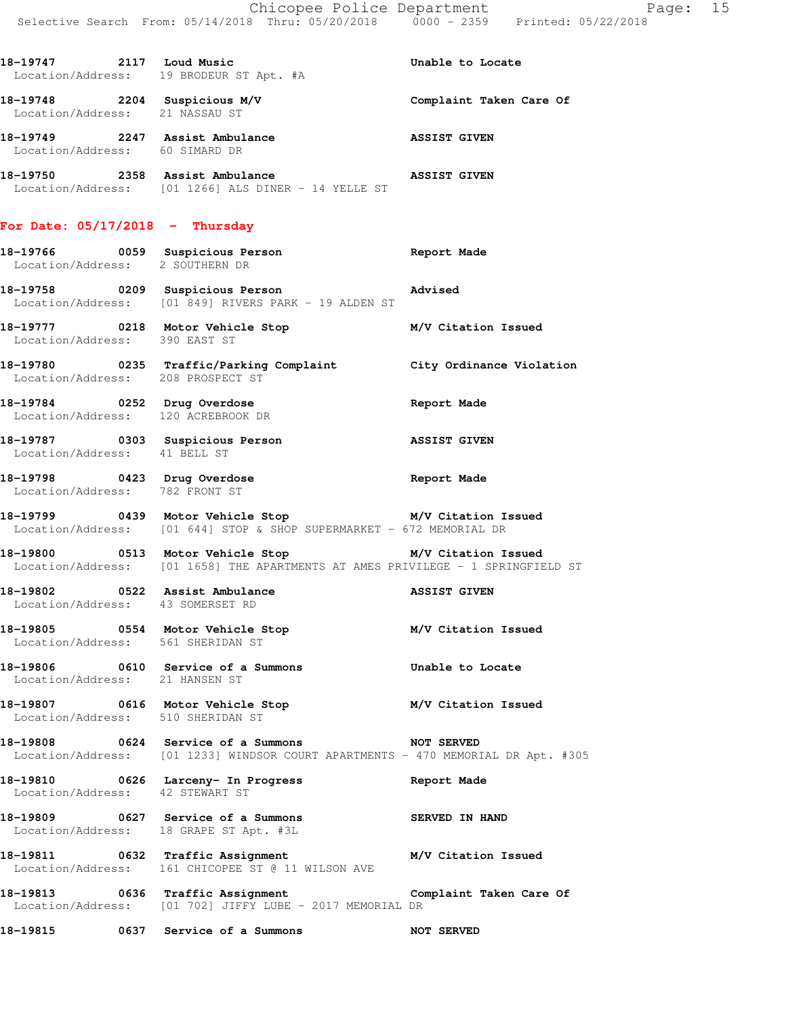| 18-19747 2117 Loud Music                                           | Location/Address: 19 BRODEUR ST Apt. #A                                          | Unable to Locate        |
|--------------------------------------------------------------------|----------------------------------------------------------------------------------|-------------------------|
| 18-19748 2204 Suspicious M/V<br>Location/Address: 21 NASSAU ST     |                                                                                  | Complaint Taken Care Of |
| 18-19749 2247 Assist Ambulance<br>Location/Address: 60 SIMARD DR   |                                                                                  | <b>ASSIST GIVEN</b>     |
|                                                                    | Location/Address: [01 1266] ALS DINER - 14 YELLE ST                              |                         |
| For Date: $05/17/2018$ - Thursday                                  |                                                                                  |                         |
| 18-19766 0059 Suspicious Person<br>Location/Address: 2 SOUTHERN DR |                                                                                  | Report Made             |
| 18-19758 0209 Suspicious Person                                    | <b>Example 2</b> Advised<br>Location/Address: [01 849] RIVERS PARK - 19 ALDEN ST |                         |
| 18-19777 0218 Motor Vehicle Stop<br>Location/Address: 390 EAST ST  |                                                                                  | M/V Citation Issued     |

**18-19780 0235 Traffic/Parking Complaint City Ordinance Violation**  Location/Address: 208 PROSPECT ST

**18-19784 0252 Drug Overdose Report Made**  Location/Address: 120 ACREBROOK DR **18-19787 0303 Suspicious Person ASSIST GIVEN** 

Location/Address: 41 BELL ST

**18-19798 0423 Drug Overdose Report Made**  Location/Address: 782 FRONT ST

**18-19799 0439 Motor Vehicle Stop M/V Citation Issued**  Location/Address: [01 644] STOP & SHOP SUPERMARKET - 672 MEMORIAL DR

**18-19800 0513 Motor Vehicle Stop M/V Citation Issued**  Location/Address: [01 1658] THE APARTMENTS AT AMES PRIVILEGE - 1 SPRINGFIELD ST

**18-19802 0522 Assist Ambulance ASSIST GIVEN**  Location/Address: 43 SOMERSET RD

**18-19805 0554 Motor Vehicle Stop M/V Citation Issued** 

Location/Address: 561 SHERIDAN ST

**18-19806 0610 Service of a Summons Unable to Locate**  Location/Address: 21 HANSEN ST

**18-19807 0616 Motor Vehicle Stop M/V Citation Issued**  Location/Address: 510 SHERIDAN ST

**18-19808 0624 Service of a Summons NOT SERVED**  Location/Address: [01 1233] WINDSOR COURT APARTMENTS - 470 MEMORIAL DR Apt. #305

**18-19810 0626 Larceny- In Progress Report Made**  Location/Address: 42 STEWART ST

**18-19809 0627 Service of a Summons SERVED IN HAND**  Location/Address: 18 GRAPE ST Apt. #3L

**18-19811 0632 Traffic Assignment M/V Citation Issued**  Location/Address: 161 CHICOPEE ST @ 11 WILSON AVE

**18-19813 0636 Traffic Assignment Complaint Taken Care Of**  Location/Address: [01 702] JIFFY LUBE - 2017 MEMORIAL DR

**18-19815 0637 Service of a Summons NOT SERVED**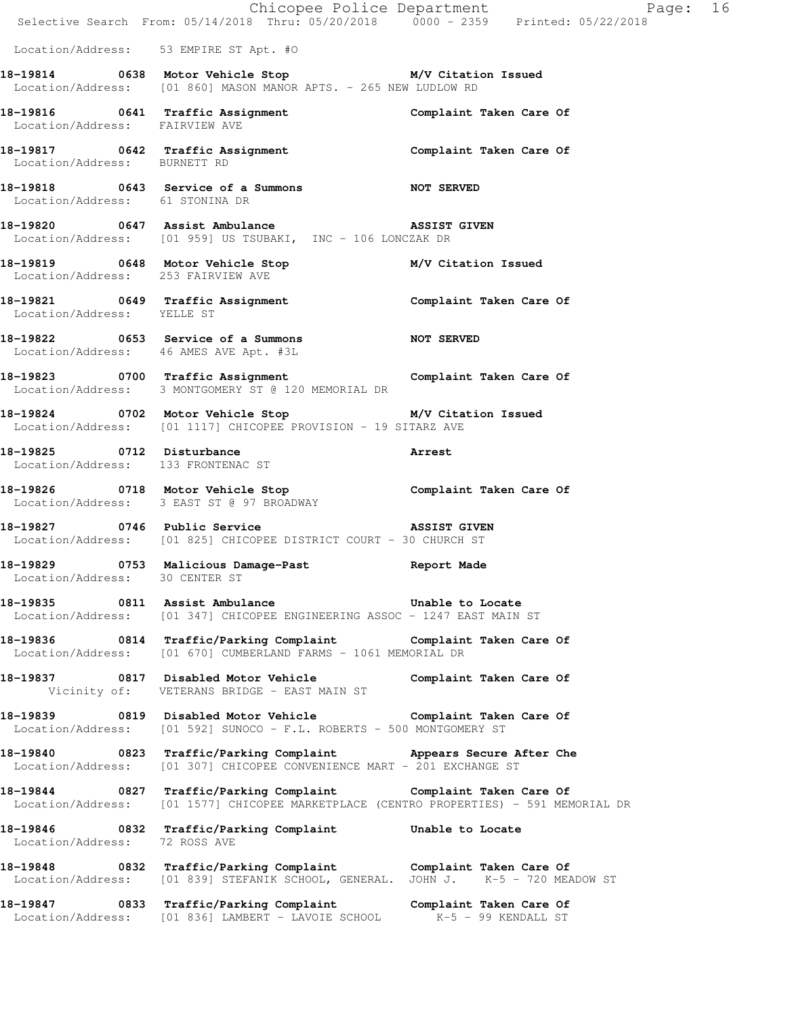|                                        | Chicopee Police Department<br>Selective Search From: 05/14/2018 Thru: 05/20/2018 0000 - 2359 Printed: 05/22/2018                                          |                         | Page: 16 |  |
|----------------------------------------|-----------------------------------------------------------------------------------------------------------------------------------------------------------|-------------------------|----------|--|
| Location/Address: 53 EMPIRE ST Apt. #0 |                                                                                                                                                           |                         |          |  |
|                                        | 18-19814 0638 Motor Vehicle Stop M/V Citation Issued<br>Location/Address: [01 860] MASON MANOR APTS. - 265 NEW LUDLOW RD                                  |                         |          |  |
| Location/Address: FAIRVIEW AVE         |                                                                                                                                                           |                         |          |  |
| Location/Address: BURNETT RD           | 18-19817 18-19817 0642 Traffic Assignment 18-19817 Complaint Taken Care Of                                                                                |                         |          |  |
| Location/Address: 61 STONINA DR        |                                                                                                                                                           |                         |          |  |
|                                        | 18-19820 0647 Assist Ambulance 2008 ASSIST GIVEN<br>Location/Address: [01 959] US TSUBAKI, INC - 106 LONCZAK DR                                           |                         |          |  |
|                                        | 18-19819   0648   Motor Vehicle Stop   M/V Citation Issued<br>Location/Address: 253 FAIRVIEW AVE                                                          |                         |          |  |
| Location/Address: YELLE ST             | 18-19821 0649 Traffic Assignment 18-19821 Complaint Taken Care Of                                                                                         |                         |          |  |
|                                        | 18-19822 0653 Service of a Summons NOT SERVED<br>Location/Address: 46 AMES AVE Apt. #3L                                                                   |                         |          |  |
|                                        | 18-19823 0700 Traffic Assignment Complaint Taken Care Of<br>Location/Address: 3 MONTGOMERY ST @ 120 MEMORIAL DR                                           |                         |          |  |
|                                        | 18-19824 0702 Motor Vehicle Stop M/V Citation Issued<br>Location/Address: [01 1117] CHICOPEE PROVISION - 19 SITARZ AVE                                    |                         |          |  |
|                                        | 18-19825 0712 Disturbance<br>Arrest<br>Location/Address: 133 FRONTENAC ST                                                                                 |                         |          |  |
|                                        | 18-19826 0718 Motor Vehicle Stop Complaint Taken Care Of<br>Location/Address: 3 EAST ST @ 97 BROADWAY                                                     |                         |          |  |
|                                        | 18-19827 0746 Public Service <b>18-19827</b> ASSIST GIVEN<br>Location/Address: [01 825] CHICOPEE DISTRICT COURT - 30 CHURCH ST                            |                         |          |  |
| Location/Address: 30 CENTER ST         | 18-19829 0753 Malicious Damage-Past Neport Made                                                                                                           |                         |          |  |
|                                        | 18-19835 0811 Assist Ambulance 5 Unable to Locate<br>Location/Address: [01 347] CHICOPEE ENGINEERING ASSOC - 1247 EAST MAIN ST                            |                         |          |  |
|                                        | 18-19836 0814 Traffic/Parking Complaint Complaint Taken Care Of<br>Location/Address: [01 670] CUMBERLAND FARMS - 1061 MEMORIAL DR                         |                         |          |  |
|                                        | 18-19837 0817 Disabled Motor Vehicle<br>Vicinity of: VETERANS BRIDGE - EAST MAIN ST                                                                       | Complaint Taken Care Of |          |  |
|                                        | 18-19839 0819 Disabled Motor Vehicle Complaint Taken Care Of<br>Location/Address: [01 592] SUNOCO - F.L. ROBERTS - 500 MONTGOMERY ST                      |                         |          |  |
| Location/Address:                      | 18-19840 0823 Traffic/Parking Complaint Appears Secure After Che<br>[01 307] CHICOPEE CONVENIENCE MART - 201 EXCHANGE ST                                  |                         |          |  |
|                                        | 18-19844 0827 Traffic/Parking Complaint Complaint Taken Care Of<br>Location/Address: [01 1577] CHICOPEE MARKETPLACE (CENTRO PROPERTIES) - 591 MEMORIAL DR |                         |          |  |
| Location/Address: 72 ROSS AVE          | 18-19846 0832 Traffic/Parking Complaint Unable to Locate                                                                                                  |                         |          |  |
|                                        | 18-19848 0832 Traffic/Parking Complaint Complaint Taken Care Of<br>Location/Address: [01 839] STEFANIK SCHOOL, GENERAL. JOHN J. K-5 - 720 MEADOW ST       |                         |          |  |
|                                        | 18-19847 0833 Traffic/Parking Complaint Complaint Taken Care Of<br>Location/Address: [01 836] LAMBERT - LAVOIE SCHOOL K-5 - 99 KENDALL ST                 |                         |          |  |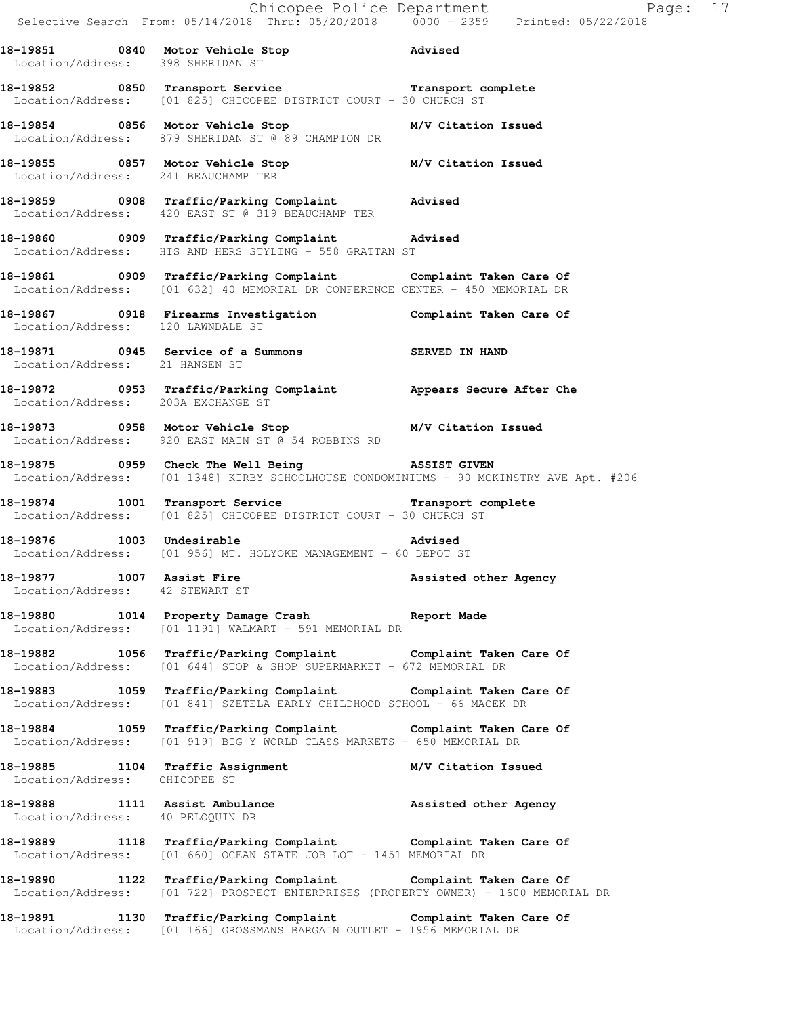|                                                              |                                                                                                                                                        | Chicopee Police Department<br>Selective Search From: 05/14/2018 Thru: 05/20/2018 0000 - 2359 Printed: 05/22/2018 |  |
|--------------------------------------------------------------|--------------------------------------------------------------------------------------------------------------------------------------------------------|------------------------------------------------------------------------------------------------------------------|--|
| Location/Address: 398 SHERIDAN ST                            | 18-19851 0840 Motor Vehicle Stop 31 Movised                                                                                                            |                                                                                                                  |  |
|                                                              | 18-19852 0850 Transport Service Transport Transport complete<br>Location/Address: [01 825] CHICOPEE DISTRICT COURT - 30 CHURCH ST                      |                                                                                                                  |  |
|                                                              | 18-19854 0856 Motor Vehicle Stop M/V Citation Issued<br>Location/Address: 879 SHERIDAN ST @ 89 CHAMPION DR                                             |                                                                                                                  |  |
|                                                              | 18-19855 0857 Motor Vehicle Stop M/V Citation Issued<br>Location/Address: 241 BEAUCHAMP TER                                                            |                                                                                                                  |  |
|                                                              | 18-19859 0908 Traffic/Parking Complaint Advised<br>Location/Address: 420 EAST ST @ 319 BEAUCHAMP TER                                                   |                                                                                                                  |  |
|                                                              | 18-19860 0909 Traffic/Parking Complaint Advised<br>Location/Address: HIS AND HERS STYLING - 558 GRATTAN ST                                             |                                                                                                                  |  |
|                                                              | 18-19861 0909 Traffic/Parking Complaint Complaint Taken Care Of Location/Address: [01 632] 40 MEMORIAL DR CONFERENCE CENTER - 450 MEMORIAL DR          |                                                                                                                  |  |
| Location/Address: 120 LAWNDALE ST                            | 18-19867 0918 Firearms Investigation Complaint Taken Care Of                                                                                           |                                                                                                                  |  |
| Location/Address: 21 HANSEN ST                               | 18-19871 0945 Service of a Summons SERVED IN HAND                                                                                                      |                                                                                                                  |  |
| Location/Address: 203A EXCHANGE ST                           | 18-19872 18953 Traffic/Parking Complaint Appears Secure After Che                                                                                      |                                                                                                                  |  |
|                                                              | 18-19873 18-19873 Motor Vehicle Stop 18-19873<br>Location/Address: 920 EAST MAIN ST @ 54 ROBBINS RD                                                    |                                                                                                                  |  |
|                                                              | 18-19875 0959 Check The Well Being NSSIST GIVEN<br>Location/Address: [01 1348] KIRBY SCHOOLHOUSE CONDOMINIUMS - 90 MCKINSTRY AVE Apt. #206             |                                                                                                                  |  |
|                                                              | 18-19874 1001 Transport Service 1 Transport complete<br>Location/Address: [01 825] CHICOPEE DISTRICT COURT - 30 CHURCH ST                              |                                                                                                                  |  |
|                                                              | 18-19876 1003 Undesirable Advised<br>Location/Address: [01 956] MT. HOLYOKE MANAGEMENT - 60 DEPOT ST                                                   |                                                                                                                  |  |
| 18-19877 1007 Assist Fire<br>Location/Address: 42 STEWART ST |                                                                                                                                                        | Assisted other Agency                                                                                            |  |
|                                                              | 18-19880 1014 Property Damage Crash Report Made<br>Location/Address: [01 1191] WALMART - 591 MEMORIAL DR                                               |                                                                                                                  |  |
|                                                              | 18-19882 1056 Traffic/Parking Complaint the Complaint Taken Care Of<br>Location/Address: [01 644] STOP & SHOP SUPERMARKET - 672 MEMORIAL DR            |                                                                                                                  |  |
|                                                              | 18-19883 1059 Traffic/Parking Complaint Complaint Taken Care Of<br>Location/Address: [01 841] SZETELA EARLY CHILDHOOD SCHOOL - 66 MACEK DR             |                                                                                                                  |  |
|                                                              | 18-19884 1059 Traffic/Parking Complaint Complaint Taken Care Of<br>Location/Address: [01 919] BIG Y WORLD CLASS MARKETS - 650 MEMORIAL DR              |                                                                                                                  |  |
| Location/Address: CHICOPEE ST                                | 18-19885 1104 Traffic Assignment M/V Citation Issued                                                                                                   |                                                                                                                  |  |
| Location/Address: 40 PELOQUIN DR                             | 18-19888 1111 Assist Ambulance 1988 assisted other Agency                                                                                              |                                                                                                                  |  |
|                                                              | 18-19889 1118 Traffic/Parking Complaint Complaint Taken Care Of<br>Location/Address: [01 660] OCEAN STATE JOB LOT - 1451 MEMORIAL DR                   |                                                                                                                  |  |
|                                                              | 18-19890 1122 Traffic/Parking Complaint Complaint Taken Care Of<br>Location/Address: [01 722] PROSPECT ENTERPRISES (PROPERTY OWNER) - 1600 MEMORIAL DR |                                                                                                                  |  |
|                                                              | 18-19891 1130 Traffic/Parking Complaint Complaint Taken Care Of Location/Address: [01 166] GROSSMANS BARGAIN OUTLET - 1956 MEMORIAL DR                 |                                                                                                                  |  |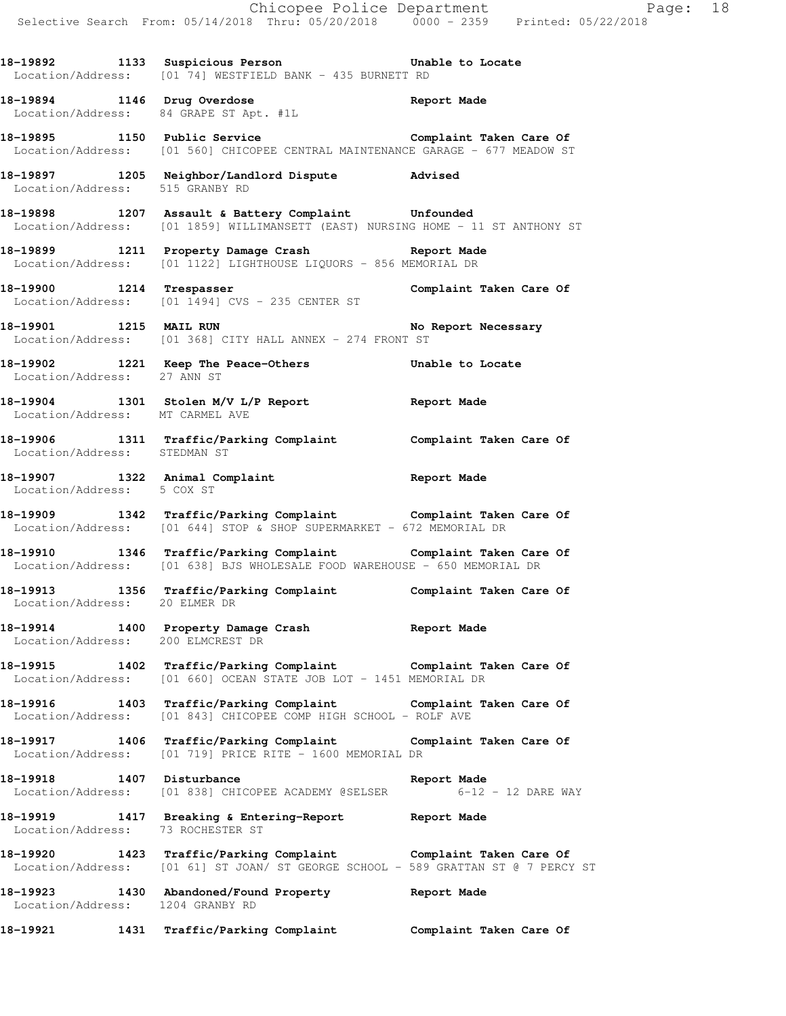Chicopee Police Department Fage: 18 Selective Search From: 05/14/2018 Thru: 05/20/2018 0000 - 2359 Printed: 05/22/2018 **18-19892 1133 Suspicious Person Unable to Locate**  Location/Address: [01 74] WESTFIELD BANK - 435 BURNETT RD **18-19894 1146 Drug Overdose Report Made**  Location/Address: 84 GRAPE ST Apt. #1L 18-19895 1150 Public Service **1198** Complaint Taken Care Of Location/Address: [01 560] CHICOPEE CENTRAL MAINTENANCE GARAGE - 677 MEADOW ST **18-19897 1205 Neighbor/Landlord Dispute Advised**  Location/Address: 515 GRANBY RD **18-19898 1207 Assault & Battery Complaint Unfounded**  Location/Address: [01 1859] WILLIMANSETT (EAST) NURSING HOME - 11 ST ANTHONY ST **18-19899 1211 Property Damage Crash Report Made**  Location/Address: [01 1122] LIGHTHOUSE LIQUORS - 856 MEMORIAL DR **18-19900 1214 Trespasser Complaint Taken Care Of**  Location/Address: [01 1494] CVS - 235 CENTER ST 18-19901 1215 MAIL RUN **No Report Necessary**  Location/Address: [01 368] CITY HALL ANNEX - 274 FRONT ST **18-19902 1221 Keep The Peace-Others Unable to Locate**  Location/Address: 27 ANN ST **18-19904 1301 Stolen M/V L/P Report Report Made**  Location/Address: MT CARMEL AVE **18-19906 1311 Traffic/Parking Complaint Complaint Taken Care Of**  Location/Address: STEDMAN ST **18-19907 1322 Animal Complaint Report Made**  Location/Address: 5 COX ST **18-19909 1342 Traffic/Parking Complaint Complaint Taken Care Of**  Location/Address: [01 644] STOP & SHOP SUPERMARKET - 672 MEMORIAL DR **18-19910 1346 Traffic/Parking Complaint Complaint Taken Care Of**  Location/Address: [01 638] BJS WHOLESALE FOOD WAREHOUSE - 650 MEMORIAL DR **18-19913 1356 Traffic/Parking Complaint Complaint Taken Care Of**  Location/Address: 20 ELMER DR **18-19914 1400 Property Damage Crash Report Made**  Location/Address: 200 ELMCREST DR **18-19915 1402 Traffic/Parking Complaint Complaint Taken Care Of**  Location/Address: [01 660] OCEAN STATE JOB LOT - 1451 MEMORIAL DR **18-19916 1403 Traffic/Parking Complaint Complaint Taken Care Of**  Location/Address: [01 843] CHICOPEE COMP HIGH SCHOOL - ROLF AVE **18-19917 1406 Traffic/Parking Complaint Complaint Taken Care Of**  Location/Address: [01 719] PRICE RITE - 1600 MEMORIAL DR **18-19918 1407 Disturbance Report Made**  Location/Address: [01 838] CHICOPEE ACADEMY @SELSER 6-12 - 12 DARE WAY **18-19919 1417 Breaking & Entering-Report Report Made**  Location/Address: 73 ROCHESTER ST **18-19920 1423 Traffic/Parking Complaint Complaint Taken Care Of**  Location/Address: [01 61] ST JOAN/ ST GEORGE SCHOOL - 589 GRATTAN ST @ 7 PERCY ST **18-19923 1430 Abandoned/Found Property Report Made**  Location/Address: 1204 GRANBY RD **18-19921 1431 Traffic/Parking Complaint Complaint Taken Care Of**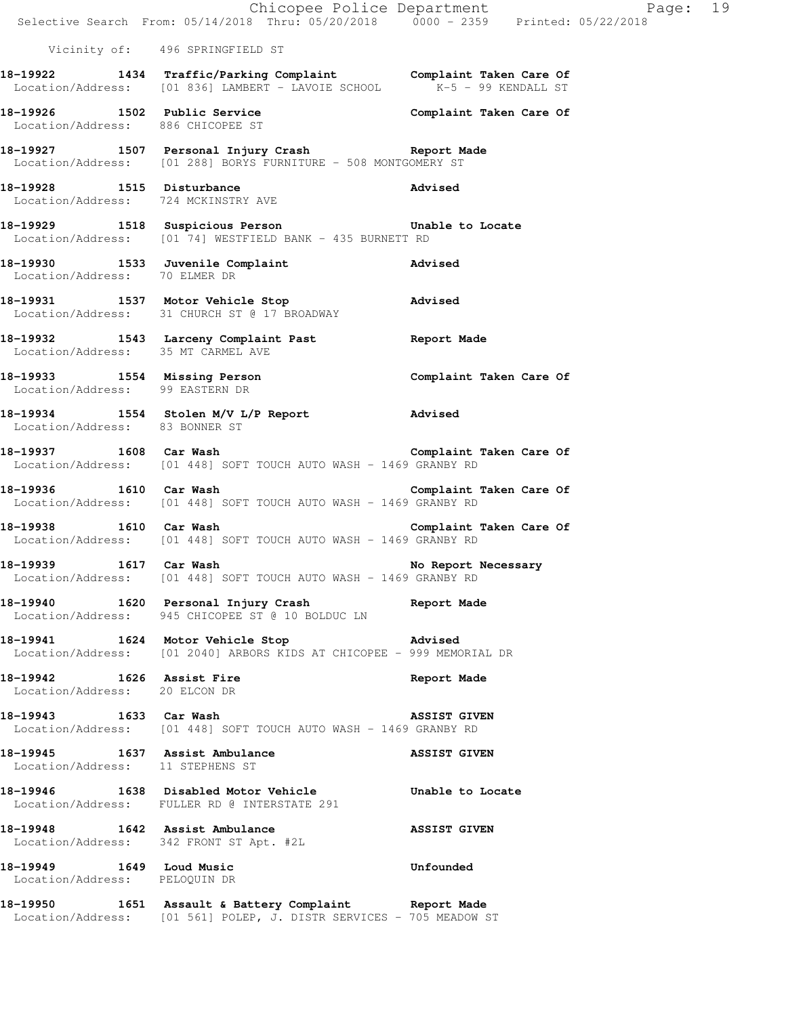|                                                            | Chicopee Police Department<br>Selective Search From: 05/14/2018 Thru: 05/20/2018 0000 - 2359 Printed: 05/22/2018                       | Page: 19            |
|------------------------------------------------------------|----------------------------------------------------------------------------------------------------------------------------------------|---------------------|
|                                                            | Vicinity of: 496 SPRINGFIELD ST                                                                                                        |                     |
|                                                            | 18-19922 1434 Traffic/Parking Complaint Complaint Taken Care Of Location/Address: [01 836] LAMBERT - LAVOIE SCHOOL K-5 - 99 KENDALL ST |                     |
| Location/Address: 886 CHICOPEE ST                          | 18-19926 1502 Public Service <b>18.1 Complaint Taken Care Of</b>                                                                       |                     |
|                                                            | 18-19927 1507 Personal Injury Crash 18-19927<br>Location/Address: [01 288] BORYS FURNITURE - 508 MONTGOMERY ST                         |                     |
| Location/Address: 724 MCKINSTRY AVE                        | 18-19928 1515 Disturbance                                                                                                              | Advised             |
|                                                            | 18-19929 1518 Suspicious Person 18-19929 Unable to Locate<br>Location/Address: [01 74] WESTFIELD BANK - 435 BURNETT RD                 |                     |
|                                                            | 18-19930 1533 Juvenile Complaint Advised<br>Location/Address: 70 ELMER DR                                                              |                     |
|                                                            | 18-19931 1537 Motor Vehicle Stop 18-19931<br>Location/Address: 31 CHURCH ST @ 17 BROADWAY                                              |                     |
| Location/Address: 35 MT CARMEL AVE                         | 18-19932 1543 Larceny Complaint Past Report Made                                                                                       |                     |
| Location/Address: 99 EASTERN DR                            | 18-19933 1554 Missing Person Complaint Taken Care Of                                                                                   |                     |
| Location/Address: 83 BONNER ST                             | 18-19934 1554 Stolen M/V L/P Report Advised                                                                                            |                     |
|                                                            | Location/Address: [01 448] SOFT TOUCH AUTO WASH - 1469 GRANBY RD                                                                       |                     |
| 18-19936 1610 Car Wash                                     | Complaint Taken Care Of<br>Location/Address: [01 448] SOFT TOUCH AUTO WASH - 1469 GRANBY RD                                            |                     |
|                                                            | 18-19938 1610 Car Wash Complaint Taken Care Of<br>Location/Address: [01 448] SOFT TOUCH AUTO WASH - 1469 GRANBY RD                     |                     |
| 1617 Car Wash<br>18–19939                                  | Location/Address: [01 448] SOFT TOUCH AUTO WASH - 1469 GRANBY RD                                                                       | No Report Necessary |
|                                                            | 18-19940 1620 Personal Injury Crash<br>Location/Address: 945 CHICOPEE ST @ 10 BOLDUC LN                                                | Report Made         |
|                                                            | 18-19941 1624 Motor Vehicle Stop<br>Location/Address: [01 2040] ARBORS KIDS AT CHICOPEE - 999 MEMORIAL DR                              | Advised             |
| 18-19942 1626 Assist Fire<br>Location/Address: 20 ELCON DR |                                                                                                                                        | Report Made         |
| 18-19943 1633 Car Wash                                     | Location/Address: [01 448] SOFT TOUCH AUTO WASH - 1469 GRANBY RD                                                                       | <b>ASSIST GIVEN</b> |
| Location/Address: 11 STEPHENS ST                           | 18-19945 1637 Assist Ambulance                                                                                                         | <b>ASSIST GIVEN</b> |
|                                                            | 18-19946 1638 Disabled Motor Vehicle Chable to Locate<br>Location/Address: FULLER RD @ INTERSTATE 291                                  |                     |
| Location/Address: 342 FRONT ST Apt. #2L                    | 18-19948 1642 Assist Ambulance                                                                                                         | <b>ASSIST GIVEN</b> |
| 18-19949 1649 Loud Music<br>Location/Address: PELOQUIN DR  |                                                                                                                                        | Unfounded           |
|                                                            | 18-19950 1651 Assault & Battery Complaint Report Made<br>Location/Address: [01 561] POLEP, J. DISTR SERVICES - 705 MEADOW ST           |                     |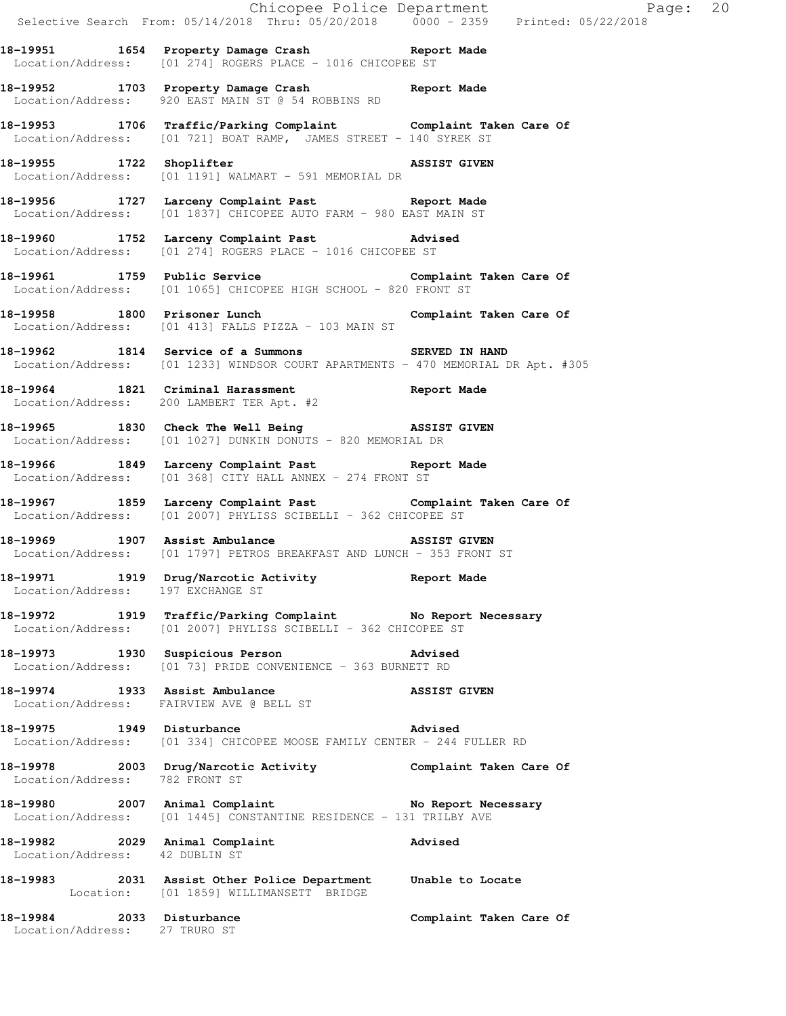Chicopee Police Department Fage: 20 Selective Search From: 05/14/2018 Thru: 05/20/2018 0000 - 2359 Printed: 05/22/2018 **18-19951 1654 Property Damage Crash Report Made**  Location/Address: [01 274] ROGERS PLACE - 1016 CHICOPEE ST **18-19952 1703 Property Damage Crash Report Made**  Location/Address: 920 EAST MAIN ST @ 54 ROBBINS RD **18-19953 1706 Traffic/Parking Complaint Complaint Taken Care Of**  Location/Address: [01 721] BOAT RAMP, JAMES STREET - 140 SYREK ST **18-19955 1722 Shoplifter ASSIST GIVEN**  Location/Address: [01 1191] WALMART - 591 MEMORIAL DR **18-19956 1727 Larceny Complaint Past Report Made**  Location/Address: [01 1837] CHICOPEE AUTO FARM - 980 EAST MAIN ST **18-19960 1752 Larceny Complaint Past Advised**  Location/Address: [01 274] ROGERS PLACE - 1016 CHICOPEE ST 18-19961 1759 Public Service **18-19961** Complaint Taken Care Of Location/Address: [01 1065] CHICOPEE HIGH SCHOOL - 820 FRONT ST **18-19958 1800 Prisoner Lunch Complaint Taken Care Of**  Location/Address: [01 413] FALLS PIZZA - 103 MAIN ST **18-19962 1814 Service of a Summons SERVED IN HAND**  Location/Address: [01 1233] WINDSOR COURT APARTMENTS - 470 MEMORIAL DR Apt. #305 **18-19964 1821 Criminal Harassment Report Made**  Location/Address: 200 LAMBERT TER Apt. #2 **18-19965 1830 Check The Well Being ASSIST GIVEN**  Location/Address: [01 1027] DUNKIN DONUTS - 820 MEMORIAL DR **18-19966 1849 Larceny Complaint Past Report Made**  Location/Address: [01 368] CITY HALL ANNEX - 274 FRONT ST **18-19967 1859 Larceny Complaint Past Complaint Taken Care Of**  Location/Address: [01 2007] PHYLISS SCIBELLI - 362 CHICOPEE ST **18-19969 1907 Assist Ambulance ASSIST GIVEN**  Location/Address: [01 1797] PETROS BREAKFAST AND LUNCH - 353 FRONT ST **18-19971 1919 Drug/Narcotic Activity Report Made**  Location/Address: 197 EXCHANGE ST **18-19972 1919 Traffic/Parking Complaint No Report Necessary**  Location/Address: [01 2007] PHYLISS SCIBELLI - 362 CHICOPEE ST **18-19973 1930 Suspicious Person Advised**  Location/Address: [01 73] PRIDE CONVENIENCE - 363 BURNETT RD **18-19974 1933 Assist Ambulance ASSIST GIVEN**  Location/Address: FAIRVIEW AVE @ BELL ST **18-19975 1949 Disturbance Advised**  Location/Address: [01 334] CHICOPEE MOOSE FAMILY CENTER - 244 FULLER RD **18-19978 2003 Drug/Narcotic Activity Complaint Taken Care Of**  Location/Address: 782 FRONT ST 18-19980 2007 Animal Complaint **No Report Necessary**  Location/Address: [01 1445] CONSTANTINE RESIDENCE - 131 TRILBY AVE **18-19982 2029 Animal Complaint Advised**  Location/Address: 42 DUBLIN ST **18-19983 2031 Assist Other Police Department Unable to Locate**  Location: [01 1859] WILLIMANSETT BRIDGE **18-19984 2033 Disturbance Complaint Taken Care Of**  Location/Address: 27 TRURO ST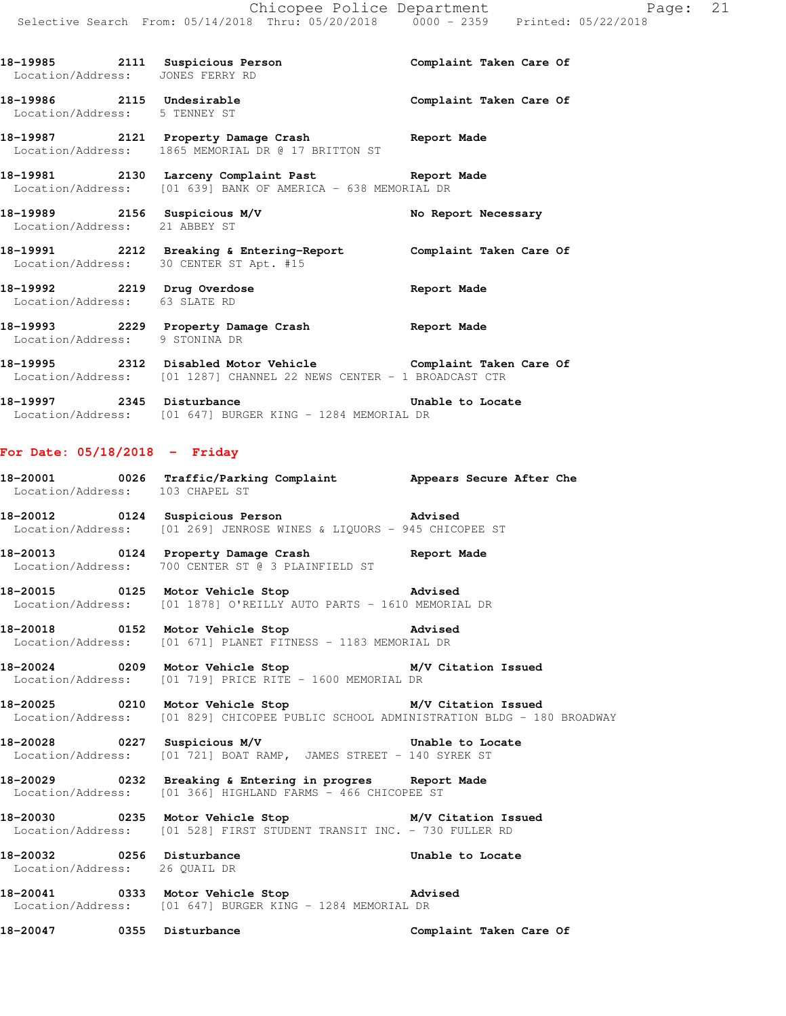**18-19985 2111 Suspicious Person Complaint Taken Care Of**  Location/Address: JONES FERRY RD **18-19986 2115 Undesirable Complaint Taken Care Of**  Location/Address: 5 TENNEY ST **18-19987 2121 Property Damage Crash Report Made**  Location/Address: 1865 MEMORIAL DR @ 17 BRITTON ST **18-19981 2130 Larceny Complaint Past Report Made**  Location/Address: [01 639] BANK OF AMERICA - 638 MEMORIAL DR 18-19989 2156 Suspicious M/V **No Report Necessary**  Location/Address: 21 ABBEY ST **18-19991 2212 Breaking & Entering-Report Complaint Taken Care Of**  Location/Address: 30 CENTER ST Apt. #15 18-19992 2219 Drug Overdose **18-19992** Report Made Location/Address: 63 SLATE RD **18-19993 2229 Property Damage Crash Report Made**  Location/Address: 9 STONINA DR **18-19995 2312 Disabled Motor Vehicle Complaint Taken Care Of**  Location/Address: [01 1287] CHANNEL 22 NEWS CENTER - 1 BROADCAST CTR **18-19997 2345 Disturbance Unable to Locate**  Location/Address: [01 647] BURGER KING - 1284 MEMORIAL DR **For Date: 05/18/2018 - Friday 18-20001 0026 Traffic/Parking Complaint Appears Secure After Che**  Location/Address: 103 CHAPEL ST **18-20012 0124 Suspicious Person Advised**  Location/Address: [01 269] JENROSE WINES & LIQUORS - 945 CHICOPEE ST **18-20013 0124 Property Damage Crash Report Made**  Location/Address: 700 CENTER ST @ 3 PLAINFIELD ST **18-20015 0125 Motor Vehicle Stop Advised**  Location/Address: [01 1878] O'REILLY AUTO PARTS - 1610 MEMORIAL DR **18-20018 0152 Motor Vehicle Stop Advised**  Location/Address: [01 671] PLANET FITNESS - 1183 MEMORIAL DR **18-20024 0209 Motor Vehicle Stop M/V Citation Issued**  Location/Address: [01 719] PRICE RITE - 1600 MEMORIAL DR **18-20025 0210 Motor Vehicle Stop M/V Citation Issued**  Location/Address: [01 829] CHICOPEE PUBLIC SCHOOL ADMINISTRATION BLDG - 180 BROADWAY **18-20028 0227 Suspicious M/V Unable to Locate**  Location/Address: [01 721] BOAT RAMP, JAMES STREET - 140 SYREK ST **18-20029 0232 Breaking & Entering in progres Report Made**  Location/Address: [01 366] HIGHLAND FARMS - 466 CHICOPEE ST **18-20030 0235 Motor Vehicle Stop M/V Citation Issued**  Location/Address: [01 528] FIRST STUDENT TRANSIT INC. - 730 FULLER RD **18-20032 0256 Disturbance Unable to Locate**  Location/Address: 26 QUAIL DR **18-20041 0333 Motor Vehicle Stop Advised**  Location/Address: [01 647] BURGER KING - 1284 MEMORIAL DR **18-20047 0355 Disturbance Complaint Taken Care Of**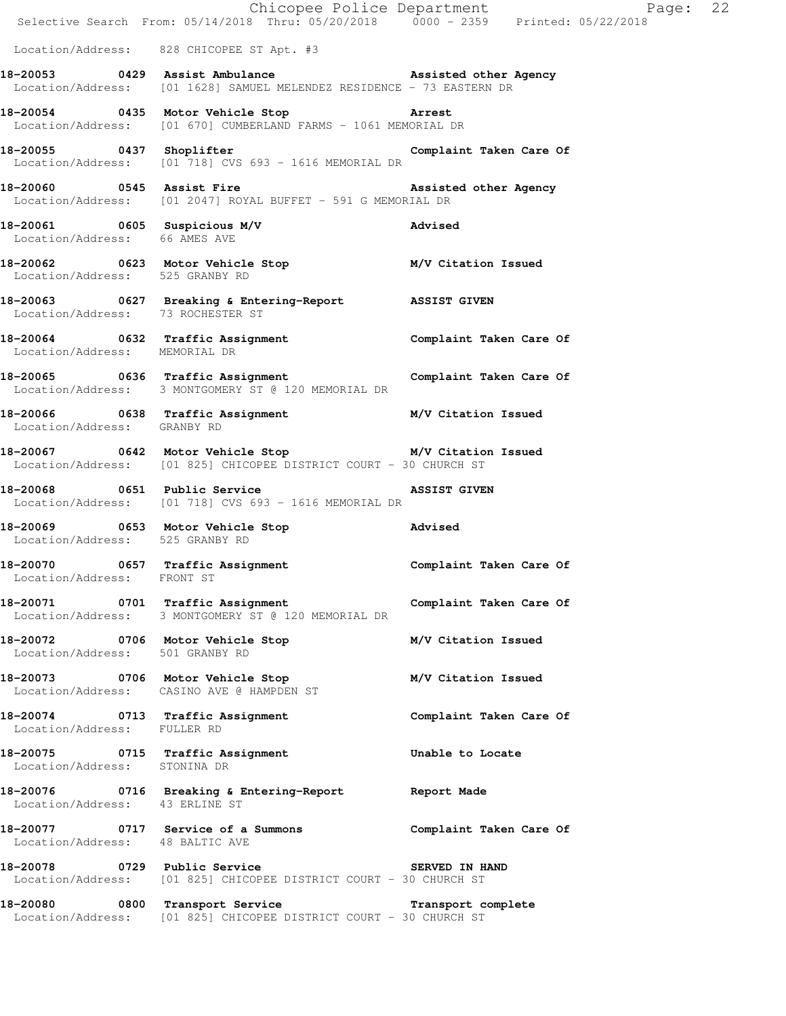|                                                               | E Chicopee Police Department<br>Selective Search From: 05/14/2018 Thru: 05/20/2018 0000 - 2359 Printed: 05/22/2018             | Page: 22                |  |
|---------------------------------------------------------------|--------------------------------------------------------------------------------------------------------------------------------|-------------------------|--|
|                                                               | Location/Address: 828 CHICOPEE ST Apt. #3                                                                                      |                         |  |
|                                                               | 18-20053 0429 Assist Ambulance Massisted other Agency<br>Location/Address: [01 1628] SAMUEL MELENDEZ RESIDENCE - 73 EASTERN DR |                         |  |
|                                                               | 18-20054 0435 Motor Vehicle Stop 31 Arrest<br>Location/Address: [01 670] CUMBERLAND FARMS - 1061 MEMORIAL DR                   |                         |  |
|                                                               | 18-20055 0437 Shoplifter<br>Location/Address: [01 718] CVS 693 - 1616 MEMORIAL DR                                              | Complaint Taken Care Of |  |
|                                                               | Location/Address: [01 2047] ROYAL BUFFET - 591 G MEMORIAL DR                                                                   |                         |  |
| 18-20061 0605 Suspicious M/V<br>Location/Address: 66 AMES AVE |                                                                                                                                | Advised                 |  |
|                                                               | 18-20062 0623 Motor Vehicle Stop M/V Citation Issued<br>Location/Address: 525 GRANBY RD                                        |                         |  |
| Location/Address: 73 ROCHESTER ST                             | 18-20063 0627 Breaking & Entering-Report ASSIST GIVEN                                                                          |                         |  |
| Location/Address: MEMORIAL DR                                 | 18-20064 0632 Traffic Assignment Complaint Taken Care Of                                                                       |                         |  |
|                                                               | 18-20065 0636 Traffic Assignment Complaint Taken Care Of<br>Location/Address: 3 MONTGOMERY ST @ 120 MEMORIAL DR                |                         |  |
| Location/Address: GRANBY RD                                   | 18-20066 0638 Traffic Assignment M/V Citation Issued                                                                           |                         |  |
|                                                               | 18-20067 0642 Motor Vehicle Stop M/V Citation Issued<br>Location/Address: [01 825] CHICOPEE DISTRICT COURT - 30 CHURCH ST      |                         |  |
|                                                               | 18-20068 0651 Public Service<br>Location/Address: [01 718] CVS 693 - 1616 MEMORIAL DR                                          | <b>ASSIST GIVEN</b>     |  |
| Location/Address: 525 GRANBY RD                               | 18-20069 0653 Motor Vehicle Stop 30 Motor Advised                                                                              |                         |  |
| 18-20070<br>Location/Address: FRONT ST                        | 0657 Traffic Assignment Complaint Taken Care Of                                                                                |                         |  |
|                                                               | 18-20071 0701 Traffic Assignment<br>Location/Address: 3 MONTGOMERY ST @ 120 MEMORIAL DR                                        | Complaint Taken Care Of |  |
| Location/Address: 501 GRANBY RD                               | 18-20072 0706 Motor Vehicle Stop                                                                                               | M/V Citation Issued     |  |
|                                                               | 18-20073 0706 Motor Vehicle Stop<br>Location/Address: CASINO AVE @ HAMPDEN ST                                                  | M/V Citation Issued     |  |
| Location/Address: FULLER RD                                   | 18-20074 0713 Traffic Assignment                                                                                               | Complaint Taken Care Of |  |
| Location/Address:                                             | 18-20075 0715 Traffic Assignment<br>STONINA DR                                                                                 | Unable to Locate        |  |
| Location/Address: 43 ERLINE ST                                | 18-20076 0716 Breaking & Entering-Report 6 Report Made                                                                         |                         |  |
| Location/Address: 48 BALTIC AVE                               | 18-20077 		 0717 Service of a Summons 		 Complaint Taken Care Of                                                               |                         |  |
|                                                               | 18-20078 0729 Public Service<br>Location/Address: [01 825] CHICOPEE DISTRICT COURT - 30 CHURCH ST                              | SERVED IN HAND          |  |
|                                                               | 18-20080 0800 Transport Service 1 Transport complete<br>Location/Address: [01 825] CHICOPEE DISTRICT COURT - 30 CHURCH ST      |                         |  |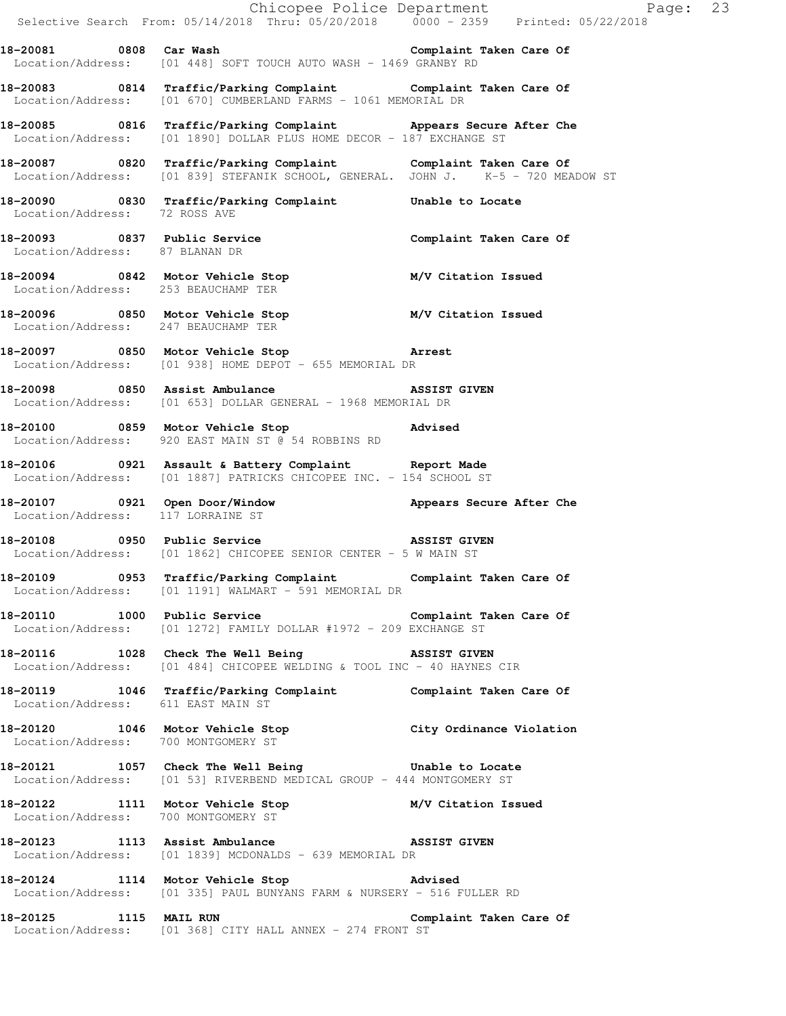|                                     |                                                                                                                                                  | Chicopee Police Department Page: 23<br>Selective Search From: $05/14/2018$ Thru: $05/20/2018$ $0.000 - 2359$ Printed: $05/22/2018$ |  |
|-------------------------------------|--------------------------------------------------------------------------------------------------------------------------------------------------|------------------------------------------------------------------------------------------------------------------------------------|--|
|                                     | Location/Address: [01 448] SOFT TOUCH AUTO WASH - 1469 GRANBY RD                                                                                 |                                                                                                                                    |  |
|                                     | 18-20083 0814 Traffic/Parking Complaint Complaint Taken Care Of<br>Location/Address: [01 670] CUMBERLAND FARMS - 1061 MEMORIAL DR                |                                                                                                                                    |  |
|                                     | 18-20085 0816 Traffic/Parking Complaint Appears Secure After Che<br>Location/Address: [01 1890] DOLLAR PLUS HOME DECOR - 187 EXCHANGE ST         |                                                                                                                                    |  |
|                                     | 18-20087 0820 Traffic/Parking Complaint Complaint Taken Care Of Location/Address: [01 839] STEFANIK SCHOOL, GENERAL. JOHN J. K-5 - 720 MEADOW ST |                                                                                                                                    |  |
| Location/Address: 72 ROSS AVE       | 18-20090 0830 Traffic/Parking Complaint Unable to Locate                                                                                         |                                                                                                                                    |  |
| Location/Address: 87 BLANAN DR      | 18-20093 0837 Public Service Complaint Taken Care Of                                                                                             |                                                                                                                                    |  |
|                                     | 18-20094 0842 Motor Vehicle Stop M/V Citation Issued<br>Location/Address: 253 BEAUCHAMP TER                                                      |                                                                                                                                    |  |
| Location/Address: 247 BEAUCHAMP TER | 18-20096 0850 Motor Vehicle Stop M/V Citation Issued                                                                                             |                                                                                                                                    |  |
|                                     | 18-20097 0850 Motor Vehicle Stop 30 Arrest<br>Location/Address: [01 938] HOME DEPOT - 655 MEMORIAL DR                                            |                                                                                                                                    |  |
|                                     | 18-20098 0850 Assist Ambulance ASSIST GIVEN<br>Location/Address: [01 653] DOLLAR GENERAL - 1968 MEMORIAL DR                                      |                                                                                                                                    |  |
|                                     | 18-20100 0859 Motor Vehicle Stop 30 Motor Advised<br>Location/Address: 920 EAST MAIN ST @ 54 ROBBINS RD                                          |                                                                                                                                    |  |
|                                     | 18-20106 0921 Assault & Battery Complaint Report Made<br>Location/Address: [01 1887] PATRICKS CHICOPEE INC. - 154 SCHOOL ST                      |                                                                                                                                    |  |
| Location/Address: 117 LORRAINE ST   | 18-20107 18-20107 0921 Open Door/Window 18-20107 20107 Appears Secure After Che                                                                  |                                                                                                                                    |  |
|                                     | 18-20108 0950 Public Service <b>18-20108</b> ASSIST GIVEN<br>Location/Address: [01 1862] CHICOPEE SENIOR CENTER - 5 W MAIN ST                    |                                                                                                                                    |  |
|                                     | 18-20109 0953 Traffic/Parking Complaint Complaint Taken Care Of<br>Location/Address: [01 1191] WALMART - 591 MEMORIAL DR                         |                                                                                                                                    |  |
|                                     | 18-20110 1000 Public Service Complaint Taken Care Of<br>Location/Address: [01 1272] FAMILY DOLLAR #1972 - 209 EXCHANGE ST                        |                                                                                                                                    |  |
|                                     | 18-20116 1028 Check The Well Being 3SSIST GIVEN<br>Location/Address: [01 484] CHICOPEE WELDING & TOOL INC - 40 HAYNES CIR                        |                                                                                                                                    |  |
| Location/Address: 611 EAST MAIN ST  | 18-20119 1046 Traffic/Parking Complaint Complaint Taken Care Of                                                                                  |                                                                                                                                    |  |
|                                     | 18-20120 1046 Motor Vehicle Stop City Ordinance Violation<br>Location/Address: 700 MONTGOMERY ST                                                 |                                                                                                                                    |  |
|                                     | 18-20121 1057 Check The Well Being 5 Unable to Locate<br>Location/Address: [01 53] RIVERBEND MEDICAL GROUP - 444 MONTGOMERY ST                   |                                                                                                                                    |  |
|                                     | 18-20122   1111   Motor Vehicle Stop   M/V Citation Issued Location/Address:   700 MONTGOMERY ST                                                 |                                                                                                                                    |  |
|                                     | 18-20123 1113 Assist Ambulance ASSIST GIVEN<br>Location/Address: [01 1839] MCDONALDS - 639 MEMORIAL DR                                           |                                                                                                                                    |  |
|                                     | 18-20124 1114 Motor Vehicle Stop 30 Advised<br>Location/Address: [01 335] PAUL BUNYANS FARM & NURSERY - 516 FULLER RD                            |                                                                                                                                    |  |
| 18-20125 1115 MAIL RUN              |                                                                                                                                                  | Complaint Taken Care Of                                                                                                            |  |

Location/Address: [01 368] CITY HALL ANNEX - 274 FRONT ST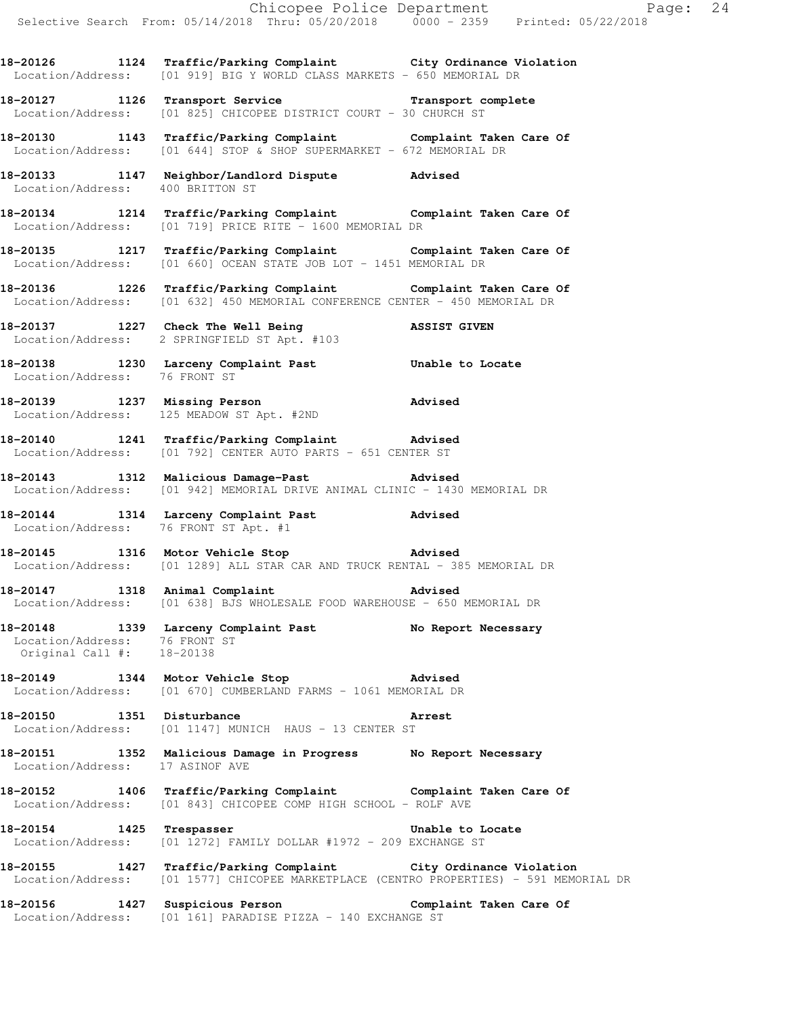**18-20126 1124 Traffic/Parking Complaint City Ordinance Violation**  Location/Address: [01 919] BIG Y WORLD CLASS MARKETS - 650 MEMORIAL DR

**18-20127 1126 Transport Service Transport complete**  Location/Address: [01 825] CHICOPEE DISTRICT COURT - 30 CHURCH ST

**18-20130 1143 Traffic/Parking Complaint Complaint Taken Care Of**  Location/Address: [01 644] STOP & SHOP SUPERMARKET - 672 MEMORIAL DR

**18-20133 1147 Neighbor/Landlord Dispute Advised**  Location/Address: 400 BRITTON ST

**18-20134 1214 Traffic/Parking Complaint Complaint Taken Care Of**  Location/Address: [01 719] PRICE RITE - 1600 MEMORIAL DR

**18-20135 1217 Traffic/Parking Complaint Complaint Taken Care Of**  Location/Address: [01 660] OCEAN STATE JOB LOT - 1451 MEMORIAL DR

**18-20136 1226 Traffic/Parking Complaint Complaint Taken Care Of**  Location/Address: [01 632] 450 MEMORIAL CONFERENCE CENTER - 450 MEMORIAL DR

**18-20137 1227 Check The Well Being ASSIST GIVEN**  Location/Address: 2 SPRINGFIELD ST Apt. #103

**18-20138 1230 Larceny Complaint Past Unable to Locate**  Location/Address: 76 FRONT ST

**18-20139 1237 Missing Person Advised**  Location/Address: 125 MEADOW ST Apt. #2ND

**18-20140 1241 Traffic/Parking Complaint Advised**  Location/Address: [01 792] CENTER AUTO PARTS - 651 CENTER ST

**18-20143 1312 Malicious Damage-Past Advised**  Location/Address: [01 942] MEMORIAL DRIVE ANIMAL CLINIC - 1430 MEMORIAL DR

**18-20144 1314 Larceny Complaint Past Advised**  Location/Address: 76 FRONT ST Apt. #1

**18-20145 1316 Motor Vehicle Stop Advised**  Location/Address: [01 1289] ALL STAR CAR AND TRUCK RENTAL - 385 MEMORIAL DR

**18-20147 1318 Animal Complaint Advised**  Location/Address: [01 638] BJS WHOLESALE FOOD WAREHOUSE - 650 MEMORIAL DR

**18-20148 1339 Larceny Complaint Past No Report Necessary**  Location/Address: 76 FRONT ST Original Call #: 18-20138

**18-20149 1344 Motor Vehicle Stop Advised**  Location/Address: [01 670] CUMBERLAND FARMS - 1061 MEMORIAL DR

**18-20150 1351 Disturbance Arrest**  Location/Address: [01 1147] MUNICH HAUS - 13 CENTER ST

**18-20151 1352 Malicious Damage in Progress No Report Necessary**  Location/Address: 17 ASINOF AVE

**18-20152 1406 Traffic/Parking Complaint Complaint Taken Care Of**  Location/Address: [01 843] CHICOPEE COMP HIGH SCHOOL - ROLF AVE

**18-20154 1425 Trespasser Unable to Locate**  Location/Address: [01 1272] FAMILY DOLLAR #1972 - 209 EXCHANGE ST

**18-20155 1427 Traffic/Parking Complaint City Ordinance Violation**  Location/Address: [01 1577] CHICOPEE MARKETPLACE (CENTRO PROPERTIES) - 591 MEMORIAL DR

**18-20156 1427 Suspicious Person Complaint Taken Care Of**  Location/Address: [01 161] PARADISE PIZZA - 140 EXCHANGE ST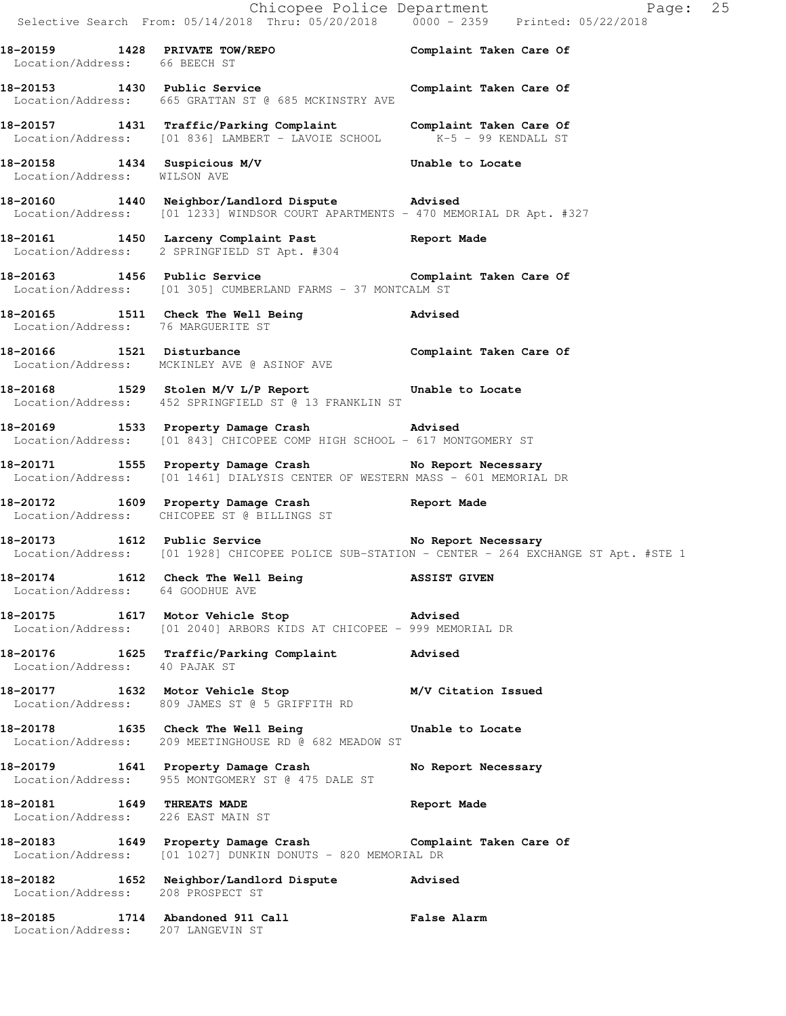Chicopee Police Department Fage: 25 Selective Search From: 05/14/2018 Thru: 05/20/2018 0000 - 2359 Printed: 05/22/2018 **18-20159 1428 PRIVATE TOW/REPO Complaint Taken Care Of**  Location/Address: 66 BEECH ST **18-20153 1430 Public Service Complaint Taken Care Of**  Location/Address: 665 GRATTAN ST @ 685 MCKINSTRY AVE **18-20157 1431 Traffic/Parking Complaint Complaint Taken Care Of**  Location/Address: [01 836] LAMBERT - LAVOIE SCHOOL K-5 - 99 KENDALL ST **18-20158 1434 Suspicious M/V Unable to Locate**  Location/Address: WILSON AVE **18-20160 1440 Neighbor/Landlord Dispute Advised**  Location/Address: [01 1233] WINDSOR COURT APARTMENTS - 470 MEMORIAL DR Apt. #327 **18-20161 1450 Larceny Complaint Past Report Made**  Location/Address: 2 SPRINGFIELD ST Apt. #304 18-20163 1456 Public Service **18-2016** Complaint Taken Care Of Location/Address: [01 305] CUMBERLAND FARMS - 37 MONTCALM ST **18-20165 1511 Check The Well Being Advised**  Location/Address: 76 MARGUERITE ST **18-20166 1521 Disturbance Complaint Taken Care Of**  Location/Address: MCKINLEY AVE @ ASINOF AVE **18-20168 1529 Stolen M/V L/P Report Unable to Locate**  Location/Address: 452 SPRINGFIELD ST @ 13 FRANKLIN ST **18-20169 1533 Property Damage Crash Advised**  Location/Address: [01 843] CHICOPEE COMP HIGH SCHOOL - 617 MONTGOMERY ST **18-20171 1555 Property Damage Crash No Report Necessary**  Location/Address: [01 1461] DIALYSIS CENTER OF WESTERN MASS - 601 MEMORIAL DR **18-20172 1609 Property Damage Crash Report Made**  Location/Address: CHICOPEE ST @ BILLINGS ST **18-20173 1612 Public Service No Report Necessary**  Location/Address: [01 1928] CHICOPEE POLICE SUB-STATION - CENTER - 264 EXCHANGE ST Apt. #STE 1 **18-20174 1612 Check The Well Being ASSIST GIVEN**  Location/Address: 64 GOODHUE AVE **18-20175 1617 Motor Vehicle Stop Advised**  Location/Address: [01 2040] ARBORS KIDS AT CHICOPEE - 999 MEMORIAL DR **18-20176 1625 Traffic/Parking Complaint Advised**  Location/Address: 40 PAJAK ST **18-20177 1632 Motor Vehicle Stop M/V Citation Issued**  Location/Address: 809 JAMES ST @ 5 GRIFFITH RD **18-20178 1635 Check The Well Being Unable to Locate**  Location/Address: 209 MEETINGHOUSE RD @ 682 MEADOW ST 18-20179 1641 Property Damage Crash No Report Necessary Location/Address: 955 MONTGOMERY ST @ 475 DALE ST **18-20181 1649 THREATS MADE Report Made**  Location/Address: 226 EAST MAIN ST **18-20183 1649 Property Damage Crash Complaint Taken Care Of**  Location/Address: [01 1027] DUNKIN DONUTS - 820 MEMORIAL DR **18-20182 1652 Neighbor/Landlord Dispute Advised**  Location/Address: 208 PROSPECT ST **18-20185 1714 Abandoned 911 Call False Alarm**  Location/Address: 207 LANGEVIN ST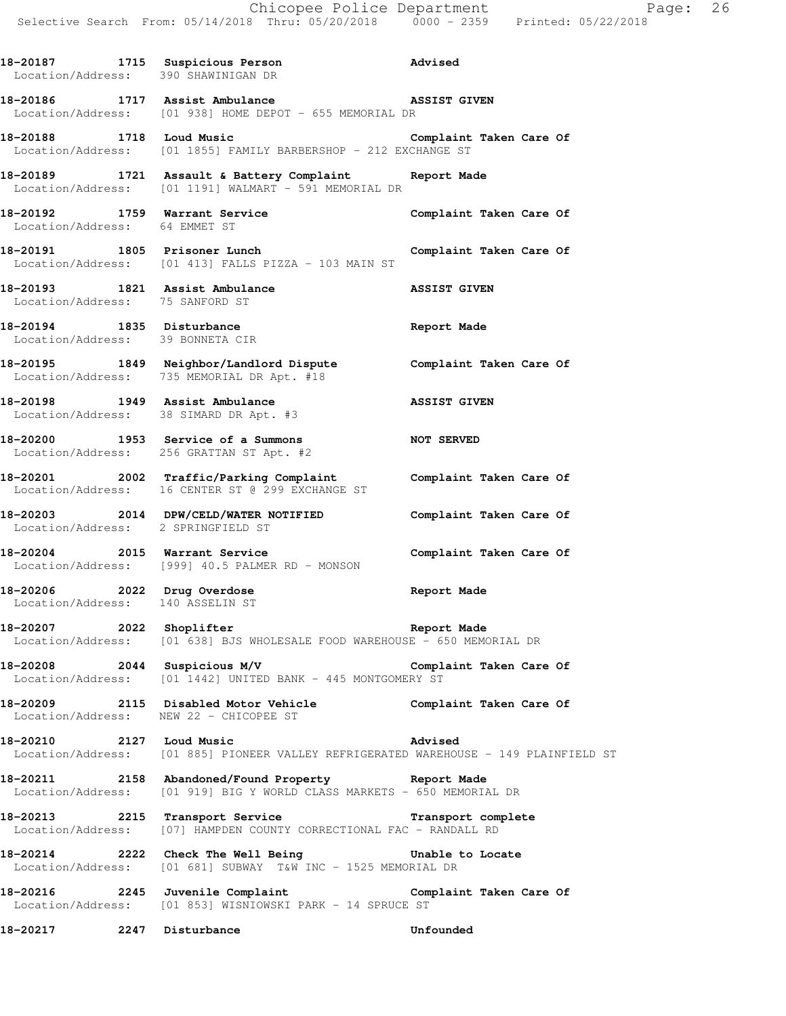| 18-20187 1715 Suspicious Person<br>Location/Address: 390 SHAWINIGAN DR |                                                                                                                                          | Advised                 |
|------------------------------------------------------------------------|------------------------------------------------------------------------------------------------------------------------------------------|-------------------------|
|                                                                        | 18-20186 1717 Assist Ambulance ASSIST GIVEN<br>Location/Address: [01 938] HOME DEPOT - 655 MEMORIAL DR                                   |                         |
|                                                                        | 18-20188 1718 Loud Music<br>Location/Address: [01 1855] FAMILY BARBERSHOP - 212 EXCHANGE ST                                              | Complaint Taken Care Of |
|                                                                        | 18-20189 1721 Assault & Battery Complaint Report Made<br>Location/Address: [01 1191] WALMART - 591 MEMORIAL DR                           |                         |
| 18-20192 1759 Warrant Service<br>Location/Address: 64 EMMET ST         |                                                                                                                                          | Complaint Taken Care Of |
|                                                                        | 18-20191 1805 Prisoner Lunch<br>Location/Address: [01 413] FALLS PIZZA - 103 MAIN ST                                                     | Complaint Taken Care Of |
| 18-20193 1821 Assist Ambulance<br>Location/Address: 75 SANFORD ST      |                                                                                                                                          | <b>ASSIST GIVEN</b>     |
| 18-20194 1835 Disturbance<br>Location/Address: 39 BONNETA CIR          |                                                                                                                                          | Report Made             |
|                                                                        | 18-20195 1849 Neighbor/Landlord Dispute Complaint Taken Care Of<br>Location/Address: 735 MEMORIAL DR Apt. #18                            |                         |
|                                                                        | 18-20198 1949 Assist Ambulance<br>Location/Address: 38 SIMARD DR Apt. #3                                                                 | <b>ASSIST GIVEN</b>     |
|                                                                        | 18-20200 1953 Service of a Summons<br>Location/Address: 256 GRATTAN ST Apt. #2                                                           | <b>NOT SERVED</b>       |
|                                                                        | 18-20201 2002 Traffic/Parking Complaint Complaint Taken Care Of Location/Address: 16 CENTER ST @ 299 EXCHANGE ST                         |                         |
|                                                                        | 18-20203 2014 DPW/CELD/WATER NOTIFIED Complaint Taken Care Of Location/Address: 2 SPRINGFIELD ST                                         |                         |
| 18-20204 2015 Warrant Service                                          | Location/Address: [999] 40.5 PALMER RD - MONSON                                                                                          | Complaint Taken Care Of |
|                                                                        | 18-20206 2022 Drug Overdose<br>Location/Address: 140 ASSELIN ST                                                                          | Report Made             |
| 18-20207 2022 Shoplifter                                               | <b>Example 2018</b> Report Made<br>Location/Address: [01 638] BJS WHOLESALE FOOD WAREHOUSE - 650 MEMORIAL DR                             |                         |
|                                                                        | 18-20208 2044 Suspicious M/V Complaint Taken Care Of<br>Location/Address: [01 1442] UNITED BANK - 445 MONTGOMERY ST                      |                         |
|                                                                        | 18-20209 2115 Disabled Motor Vehicle Complaint Taken Care Of<br>Location/Address: NEW 22 - CHICOPEE ST                                   |                         |
| 18-20210 2127 Loud Music                                               | Location/Address: [01 885] PIONEER VALLEY REFRIGERATED WAREHOUSE - 149 PLAINFIELD ST                                                     | Advised                 |
|                                                                        | 18-20211 2158 Abandoned/Found Property Report Made<br>Location/Address: [01 919] BIG Y WORLD CLASS MARKETS - 650 MEMORIAL DR             |                         |
|                                                                        | 18-20213 2215 Transport Service <b>18-2021</b> Transport complete<br>Location/Address: [07] HAMPDEN COUNTY CORRECTIONAL FAC - RANDALL RD |                         |
|                                                                        | 18-20214 2222 Check The Well Being Chable to Locate<br>Location/Address: [01 681] SUBWAY T&W INC - 1525 MEMORIAL DR                      |                         |
|                                                                        | 18-20216 2245 Juvenile Complaint Complaint Taken Care Of<br>Location/Address: [01 853] WISNIOWSKI PARK - 14 SPRUCE ST                    |                         |
| 18-20217 2247 Disturbance                                              |                                                                                                                                          | Unfounded               |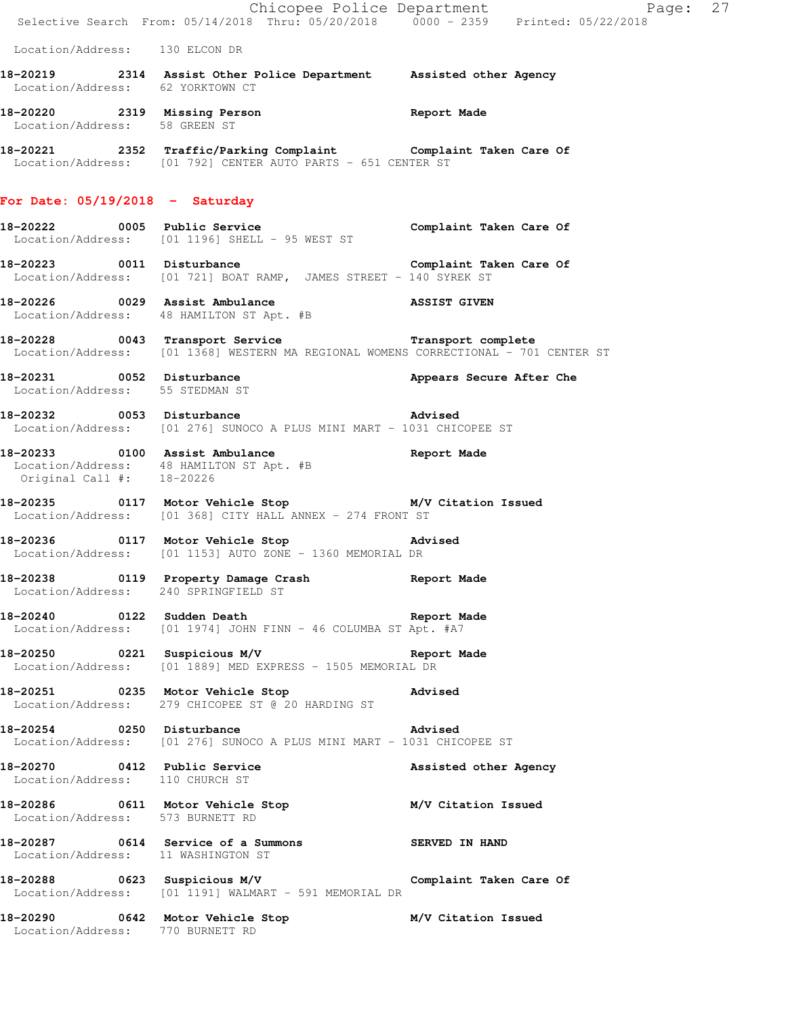|                                                                 | Chicopee Police Department<br>Selective Search From: 05/14/2018 Thru: 05/20/2018 0000 - 2359 Printed: 05/22/2018                          | Page: 27                 |
|-----------------------------------------------------------------|-------------------------------------------------------------------------------------------------------------------------------------------|--------------------------|
| Location/Address: 130 ELCON DR                                  |                                                                                                                                           |                          |
|                                                                 | 18-20219 2314 Assist Other Police Department Assisted other Agency Location/Address: 62 YORKTOWN CT                                       |                          |
|                                                                 | 18-20220 2319 Missing Person<br>Location/Address: 58 GREEN ST                                                                             |                          |
|                                                                 | 18-20221 2352 Traffic/Parking Complaint Complaint Taken Care Of Location/Address: [01 792] CENTER AUTO PARTS - 651 CENTER ST              |                          |
| For Date: $05/19/2018$ - Saturday                               |                                                                                                                                           |                          |
|                                                                 | 18-20222 18-2022 0005 Public Service 19 (Complaint Taken Care Of<br>Location/Address: [01 1196] SHELL - 95 WEST ST                        |                          |
|                                                                 | 18-20223 0011 Disturbance Complaint Taken Care Of<br>Location/Address: [01 721] BOAT RAMP, JAMES STREET - 140 SYREK ST                    |                          |
|                                                                 | 18-20226 0029 Assist Ambulance ASSIST GIVEN Location/Address: 48 HAMILTON ST Apt. #B                                                      |                          |
|                                                                 | 18-20228 0043 Transport Service Transport complete<br>Location/Address: [01 1368] WESTERN MA REGIONAL WOMENS CORRECTIONAL - 701 CENTER ST |                          |
| Location/Address: 55 STEDMAN ST                                 | 18-20231 0052 Disturbance                                                                                                                 | Appears Secure After Che |
|                                                                 | 18-20232 0053 Disturbance and Advised<br>Location/Address: [01 276] SUNOCO A PLUS MINI MART - 1031 CHICOPEE ST                            |                          |
|                                                                 | 18-20233 0100 Assist Ambulance and Report Made<br>Location/Address: 48 HAMILTON ST Apt. #B<br>Original Call #: 18-20226                   |                          |
|                                                                 | 18-20235 0117 Motor Vehicle Stop M/V Citation Issued<br>Location/Address: [01 368] CITY HALL ANNEX - 274 FRONT ST                         |                          |
|                                                                 | 18-20236   0117   Motor Vehicle Stop   18-20236<br>Location/Address: [01 1153] AUTO ZONE - 1360 MEMORIAL DR                               |                          |
| Location/Address: 240 SPRINGFIELD ST                            | 18-20238 0119 Property Damage Crash Report Made                                                                                           |                          |
|                                                                 | Location/Address: [01 1974] JOHN FINN - 46 COLUMBA ST Apt. #A7                                                                            |                          |
|                                                                 | 18-20250 0221 Suspicious M/V Changes of the Report Made<br>Location/Address: [01 1889] MED EXPRESS - 1505 MEMORIAL DR                     |                          |
| 18-20251 0235 Motor Vehicle Stop                                | Advised<br>Location/Address: 279 CHICOPEE ST @ 20 HARDING ST                                                                              |                          |
|                                                                 | 18-20254 0250 Disturbance and Advised<br>Location/Address: [01 276] SUNOCO A PLUS MINI MART - 1031 CHICOPEE ST                            |                          |
| 18-20270 0412 Public Service<br>Location/Address: 110 CHURCH ST |                                                                                                                                           | Assisted other Agency    |
| Location/Address: 573 BURNETT RD                                | 18-20286 0611 Motor Vehicle Stop M/V Citation Issued                                                                                      |                          |
| Location/Address: 11 WASHINGTON ST                              | 18-20287 0614 Service of a Summons SERVED IN HAND                                                                                         |                          |
|                                                                 | 18-20288 0623 Suspicious M/V Complaint Taken Care Of<br>Location/Address: [01 1191] WALMART - 591 MEMORIAL DR                             |                          |
| Location/Address: 770 BURNETT RD                                | 18-20290 0642 Motor Vehicle Stop                                                                                                          | M/V Citation Issued      |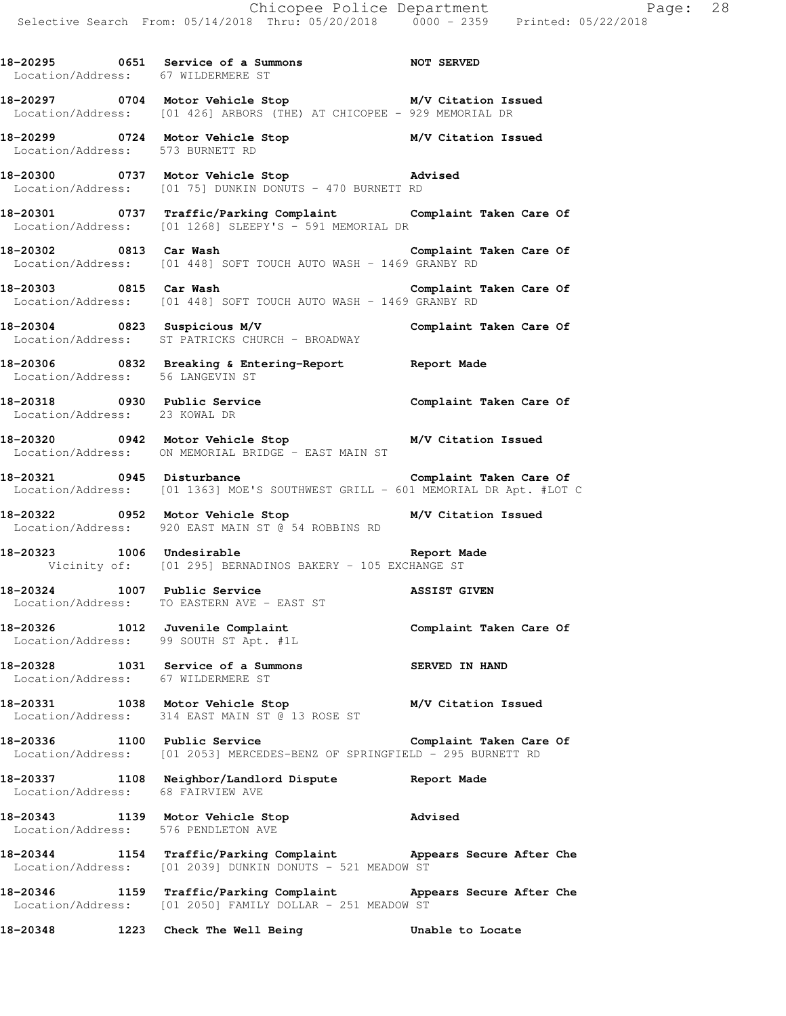**18-20295 0651 Service of a Summons NOT SERVED** 

Location/Address: 67 WILDERMERE ST

**18-20297 0704 Motor Vehicle Stop M/V Citation Issued**  Location/Address: [01 426] ARBORS (THE) AT CHICOPEE - 929 MEMORIAL DR **18-20299 0724 Motor Vehicle Stop M/V Citation Issued**  Location/Address: 573 BURNETT RD **18-20300 0737 Motor Vehicle Stop Advised**  Location/Address: [01 75] DUNKIN DONUTS - 470 BURNETT RD **18-20301 0737 Traffic/Parking Complaint Complaint Taken Care Of**  Location/Address: [01 1268] SLEEPY'S - 591 MEMORIAL DR **18-20302 0813 Car Wash Complaint Taken Care Of**  Location/Address: [01 448] SOFT TOUCH AUTO WASH - 1469 GRANBY RD **18-20303 0815 Car Wash Complaint Taken Care Of**  Location/Address: [01 448] SOFT TOUCH AUTO WASH - 1469 GRANBY RD **18-20304 0823 Suspicious M/V Complaint Taken Care Of**  Location/Address: ST PATRICKS CHURCH - BROADWAY **18-20306 0832 Breaking & Entering-Report Report Made**  Location/Address: 56 LANGEVIN ST **18-20318 0930 Public Service Complaint Taken Care Of**  Location/Address: 23 KOWAL DR **18-20320 0942 Motor Vehicle Stop M/V Citation Issued**  Location/Address: ON MEMORIAL BRIDGE - EAST MAIN ST **18-20321 0945 Disturbance Complaint Taken Care Of**  Location/Address: [01 1363] MOE'S SOUTHWEST GRILL - 601 MEMORIAL DR Apt. #LOT C **18-20322 0952 Motor Vehicle Stop M/V Citation Issued**  Location/Address: 920 EAST MAIN ST @ 54 ROBBINS RD **18-20323 1006 Undesirable Report Made**  Vicinity of: [01 295] BERNADINOS BAKERY - 105 EXCHANGE ST **18-20324 1007 Public Service ASSIST GIVEN**  Location/Address: TO EASTERN AVE - EAST ST **18-20326 1012 Juvenile Complaint Complaint Taken Care Of**  Location/Address: 99 SOUTH ST Apt. #1L **18-20328 1031 Service of a Summons SERVED IN HAND**  Location/Address: 67 WILDERMERE ST **18-20331 1038 Motor Vehicle Stop M/V Citation Issued**  Location/Address: 314 EAST MAIN ST @ 13 ROSE ST **18-20336 1100 Public Service Complaint Taken Care Of**  Location/Address: [01 2053] MERCEDES-BENZ OF SPRINGFIELD - 295 BURNETT RD **18-20337 1108 Neighbor/Landlord Dispute Report Made**  Location/Address: 68 FAIRVIEW AVE **18-20343 1139 Motor Vehicle Stop Advised**  Location/Address: 576 PENDLETON AVE **18-20344 1154 Traffic/Parking Complaint Appears Secure After Che**  Location/Address: [01 2039] DUNKIN DONUTS - 521 MEADOW ST **18-20346 1159 Traffic/Parking Complaint Appears Secure After Che**  Location/Address: [01 2050] FAMILY DOLLAR - 251 MEADOW ST

**18-20348 1223 Check The Well Being Unable to Locate**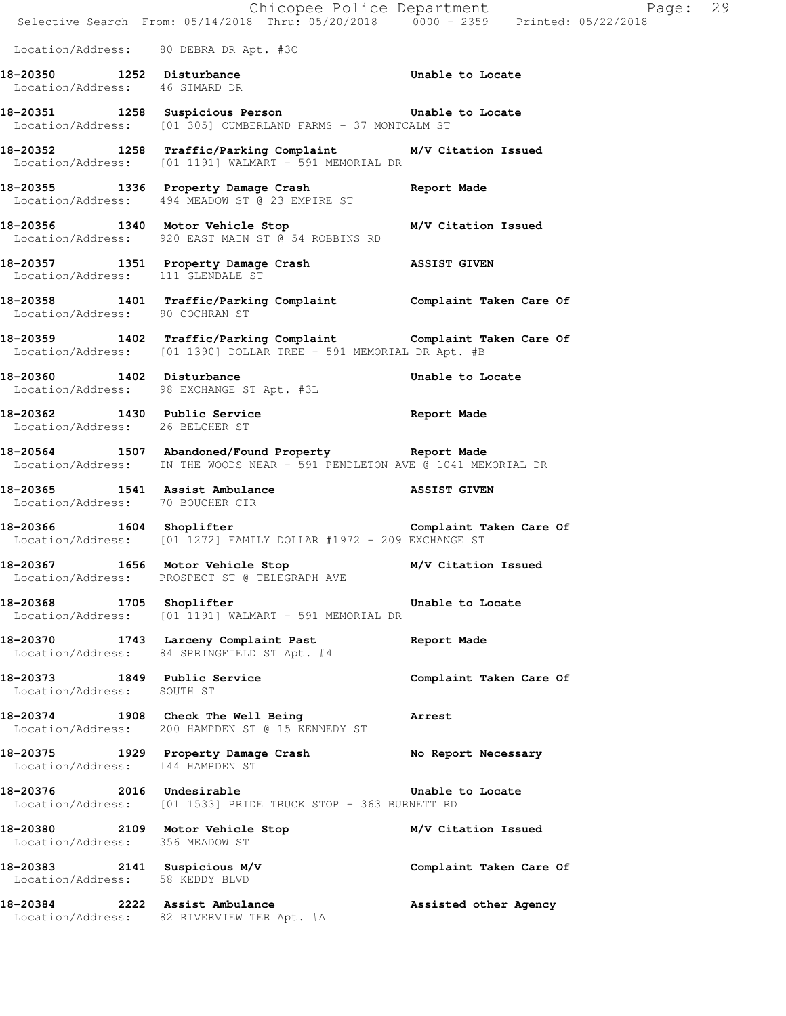|                                                            | Location/Address: 80 DEBRA DR Apt. #3C                                                                                            |                         |  |
|------------------------------------------------------------|-----------------------------------------------------------------------------------------------------------------------------------|-------------------------|--|
| Location/Address: 46 SIMARD DR                             | 18-20350 1252 Disturbance 18-20350 Unable to Locate                                                                               |                         |  |
|                                                            | 18-20351 1258 Suspicious Person 6 Unable to Locate<br>Location/Address: [01 305] CUMBERLAND FARMS - 37 MONTCALM ST                |                         |  |
|                                                            | 18-20352 1258 Traffic/Parking Complaint M/V Citation Issued<br>Location/Address: [01 1191] WALMART - 591 MEMORIAL DR              |                         |  |
|                                                            | 18-20355 1336 Property Damage Crash Report Made<br>Location/Address: 494 MEADOW ST @ 23 EMPIRE ST                                 |                         |  |
|                                                            | 18-20356 1340 Motor Vehicle Stop<br>Location/Address: 920 EAST MAIN ST @ 54 ROBBINS RD                                            | M/V Citation Issued     |  |
|                                                            | 18-20357 1351 Property Damage Crash ASSIST GIVEN Location/Address: 111 GLENDALE ST                                                |                         |  |
| Location/Address: 90 COCHRAN ST                            | 18-20358 1401 Traffic/Parking Complaint Complaint Taken Care Of                                                                   |                         |  |
|                                                            | 18-20359 1402 Traffic/Parking Complaint Complaint Taken Care Of Location/Address: [01 1390] DOLLAR TREE - 591 MEMORIAL DR Apt. #B |                         |  |
| 18-20360 1402 Disturbance                                  | Location/Address: 98 EXCHANGE ST Apt. #3L                                                                                         | Unable to Locate        |  |
| Location/Address: 26 BELCHER ST                            | 18-20362 1430 Public Service 20 18-20362                                                                                          |                         |  |
|                                                            | 18-20564 1507 Abandoned/Found Property Report Made<br>Location/Address: IN THE WOODS NEAR - 591 PENDLETON AVE @ 1041 MEMORIAL DR  |                         |  |
| Location/Address: 70 BOUCHER CIR                           | 18-20365 1541 Assist Ambulance 18-20365 ASSIST GIVEN                                                                              |                         |  |
|                                                            | 18-20366 1604 Shoplifter Complaint Taken Care Of<br>Location/Address: [01 1272] FAMILY DOLLAR #1972 - 209 EXCHANGE ST             |                         |  |
|                                                            | 18-20367 1656 Motor Vehicle Stop<br>Location/Address: PROSPECT ST @ TELEGRAPH AVE                                                 | M/V Citation Issued     |  |
| 18-20368 1705 Shoplifter                                   | Location/Address: [01 1191] WALMART - 591 MEMORIAL DR                                                                             | Unable to Locate        |  |
|                                                            | 18-20370 1743 Larceny Complaint Past<br>Location/Address: 84 SPRINGFIELD ST Apt. #4                                               | Report Made             |  |
| 18-20373 1849 Public Service<br>Location/Address: SOUTH ST |                                                                                                                                   | Complaint Taken Care Of |  |
|                                                            | 18-20374 1908 Check The Well Being<br>Location/Address: 200 HAMPDEN ST @ 15 KENNEDY ST                                            | <b>Arrest</b>           |  |
| Location/Address: 144 HAMPDEN ST                           | 18-20375 1929 Property Damage Crash No Report Necessary                                                                           |                         |  |
| 18-20376 2016 Undesirable                                  | Location/Address: [01 1533] PRIDE TRUCK STOP - 363 BURNETT RD                                                                     | Unable to Locate        |  |
| Location/Address: 356 MEADOW ST                            | 18-20380 2109 Motor Vehicle Stop M/V Citation Issued                                                                              |                         |  |
| Location/Address: 58 KEDDY BLVD                            | 18-20383 2141 Suspicious M/V                                                                                                      | Complaint Taken Care Of |  |
|                                                            | 18-20384 2222 Assist Ambulance<br>Location/Address: 82 RIVERVIEW TER Apt. #A                                                      | Assisted other Agency   |  |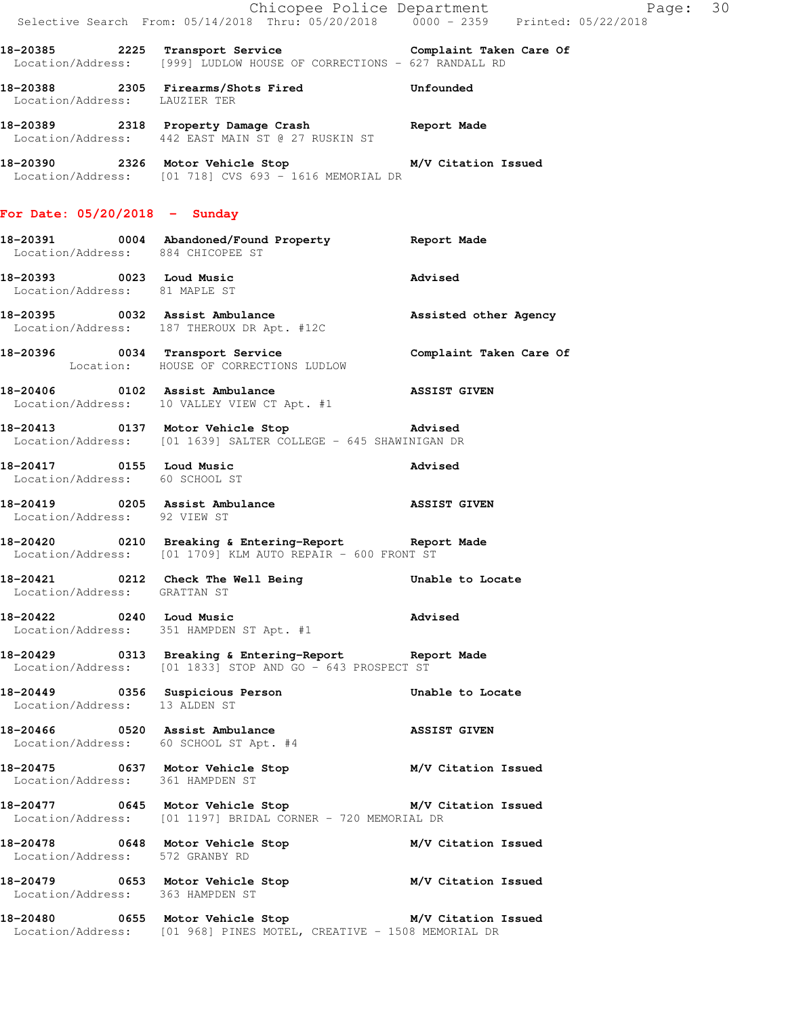|                                                                    |                                                                                                                              | Chicopee Police Department<br>Selective Search From: 05/14/2018 Thru: 05/20/2018 0000 - 2359 Printed: 05/22/2018 |
|--------------------------------------------------------------------|------------------------------------------------------------------------------------------------------------------------------|------------------------------------------------------------------------------------------------------------------|
|                                                                    | 18-20385 2225 Transport Service Complaint Taken Care Of Location/Address: [999] LUDLOW HOUSE OF CORRECTIONS - 627 RANDALL RD |                                                                                                                  |
| Location/Address: LAUZIER TER                                      | 18-20388 2305 Firearms/Shots Fired 515 Unfounded                                                                             |                                                                                                                  |
|                                                                    | 18-20389 2318 Property Damage Crash Report Made<br>Location/Address: 442 EAST MAIN ST @ 27 RUSKIN ST                         |                                                                                                                  |
|                                                                    | 18-20390 2326 Motor Vehicle Stop M/V Citation Issued<br>$Location/Address:$ [01 718] CVS 693 - 1616 MEMORIAL DR              |                                                                                                                  |
| For Date: $05/20/2018$ - Sunday                                    |                                                                                                                              |                                                                                                                  |
| Location/Address: 884 CHICOPEE ST                                  | 18-20391 0004 Abandoned/Found Property Report Made                                                                           |                                                                                                                  |
| 18-20393 0023 Loud Music<br>Location/Address: 81 MAPLE ST          |                                                                                                                              | Advised                                                                                                          |
|                                                                    | 18-20395 0032 Assist Ambulance and Assisted other Agency<br>Location/Address: 187 THEROUX DR Apt. #12C                       |                                                                                                                  |
|                                                                    | 18-20396 0034 Transport Service<br>Location: HOUSE OF CORRECTIONS LUDLOW                                                     | Complaint Taken Care Of                                                                                          |
|                                                                    | Location/Address: 10 VALLEY VIEW CT Apt. #1                                                                                  |                                                                                                                  |
|                                                                    | Location/Address: [01 1639] SALTER COLLEGE - 645 SHAWINIGAN DR                                                               |                                                                                                                  |
| Location/Address: 60 SCHOOL ST                                     | 18-20417 0155 Loud Music                                                                                                     | <b>Advised</b>                                                                                                   |
| Location/Address: 92 VIEW ST                                       |                                                                                                                              |                                                                                                                  |
|                                                                    | 18-20420 0210 Breaking & Entering-Report Report Made<br>Location/Address: [01 1709] KLM AUTO REPAIR - 600 FRONT ST           |                                                                                                                  |
| 18-20421 0212 Check The Well Being<br>Location/Address: GRATTAN ST |                                                                                                                              | Unable to Locate                                                                                                 |
| 18-20422 0240 Loud Music                                           | Location/Address: 351 HAMPDEN ST Apt. #1                                                                                     | Advised                                                                                                          |
|                                                                    | 18-20429 0313 Breaking & Entering-Report Report Made<br>Location/Address: [01 1833] STOP AND GO - 643 PROSPECT ST            |                                                                                                                  |
| Location/Address: 13 ALDEN ST                                      | 18-20449 		 0356 Suspicious Person 		 Unable to Locate                                                                       |                                                                                                                  |
|                                                                    | 18-20466 0520 Assist Ambulance<br>Location/Address: 60 SCHOOL ST Apt. #4                                                     | <b>ASSIST GIVEN</b>                                                                                              |
| Location/Address: 361 HAMPDEN ST                                   | 18-20475 0637 Motor Vehicle Stop M/V Citation Issued                                                                         |                                                                                                                  |
|                                                                    | 18-20477 0645 Motor Vehicle Stop M/V Citation Issued<br>Location/Address: [01 1197] BRIDAL CORNER - 720 MEMORIAL DR          |                                                                                                                  |
| Location/Address: 572 GRANBY RD                                    | 18-20478 		 0648 Motor Vehicle Stop 		 M/V Citation Issued                                                                   |                                                                                                                  |
| Location/Address: 363 HAMPDEN ST                                   | 18-20479 		 0653 Motor Vehicle Stop 		 M/V Citation Issued                                                                   |                                                                                                                  |
|                                                                    | 18-20480 0655 Motor Vehicle Stop M/V Citation Issued<br>Location/Address: [01 968] PINES MOTEL, CREATIVE - 1508 MEMORIAL DR  |                                                                                                                  |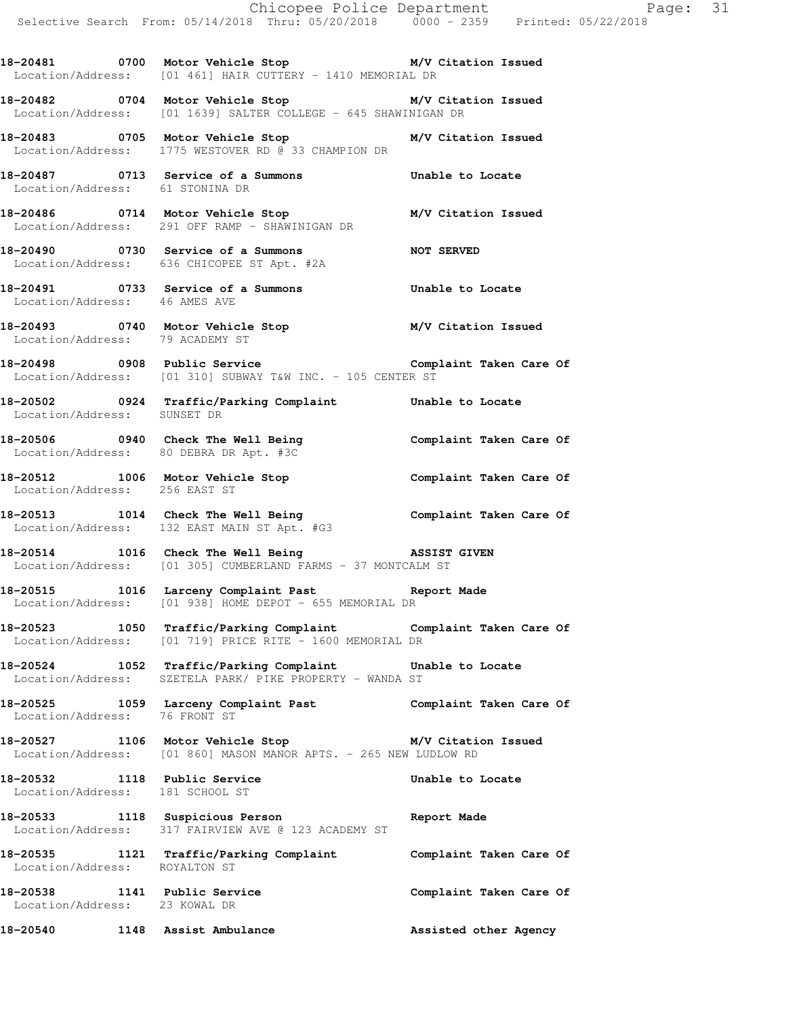**18-20481 0700 Motor Vehicle Stop M/V Citation Issued**  Location/Address: [01 461] HAIR CUTTERY - 1410 MEMORIAL DR

**18-20482 0704 Motor Vehicle Stop M/V Citation Issued**  Location/Address: [01 1639] SALTER COLLEGE - 645 SHAWINIGAN DR

**18-20483 0705 Motor Vehicle Stop M/V Citation Issued**  Location/Address: 1775 WESTOVER RD @ 33 CHAMPION DR

**18-20487 0713 Service of a Summons Unable to Locate**  Location/Address: 61 STONINA DR

**18-20486 0714 Motor Vehicle Stop M/V Citation Issued**  Location/Address: 291 OFF RAMP - SHAWINIGAN DR

**18-20490 0730 Service of a Summons NOT SERVED**  Location/Address: 636 CHICOPEE ST Apt. #2A

**18-20491 0733 Service of a Summons Unable to Locate**  Location/Address: 46 AMES AVE

**18-20493 0740 Motor Vehicle Stop M/V Citation Issued**  Location/Address: 79 ACADEMY ST

**18-20498 0908 Public Service Complaint Taken Care Of**  Location/Address: [01 310] SUBWAY T&W INC. - 105 CENTER ST

**18-20502 0924 Traffic/Parking Complaint Unable to Locate**  Location/Address: SUNSET DR

**18-20506 0940 Check The Well Being Complaint Taken Care Of**  Location/Address: 80 DEBRA DR Apt. #3C

**18-20512 1006 Motor Vehicle Stop Complaint Taken Care Of**  Location/Address: 256 EAST ST

**18-20513 1014 Check The Well Being Complaint Taken Care Of**  Location/Address: 132 EAST MAIN ST Apt. #G3

**18-20514 1016 Check The Well Being ASSIST GIVEN**  Location/Address: [01 305] CUMBERLAND FARMS - 37 MONTCALM ST

**18-20515 1016 Larceny Complaint Past Report Made**  Location/Address: [01 938] HOME DEPOT - 655 MEMORIAL DR

**18-20523 1050 Traffic/Parking Complaint Complaint Taken Care Of**  Location/Address: [01 719] PRICE RITE - 1600 MEMORIAL DR

**18-20524 1052 Traffic/Parking Complaint Unable to Locate**  Location/Address: SZETELA PARK/ PIKE PROPERTY - WANDA ST

**18-20525 1059 Larceny Complaint Past Complaint Taken Care Of**  Location/Address: 76 FRONT ST

**18-20527 1106 Motor Vehicle Stop M/V Citation Issued**  Location/Address: [01 860] MASON MANOR APTS. - 265 NEW LUDLOW RD

**18-20532 1118 Public Service Unable to Locate**  Location/Address: 181 SCHOOL ST

**18-20533 1118 Suspicious Person Report Made**  Location/Address: 317 FAIRVIEW AVE @ 123 ACADEMY ST

**18-20535 1121 Traffic/Parking Complaint Complaint Taken Care Of**  Location/Address: ROYALTON ST **18-20538 1141 Public Service Complaint Taken Care Of**  Location/Address: 23 KOWAL DR

18-20540 1148 Assist Ambulance **Assisted other Agency**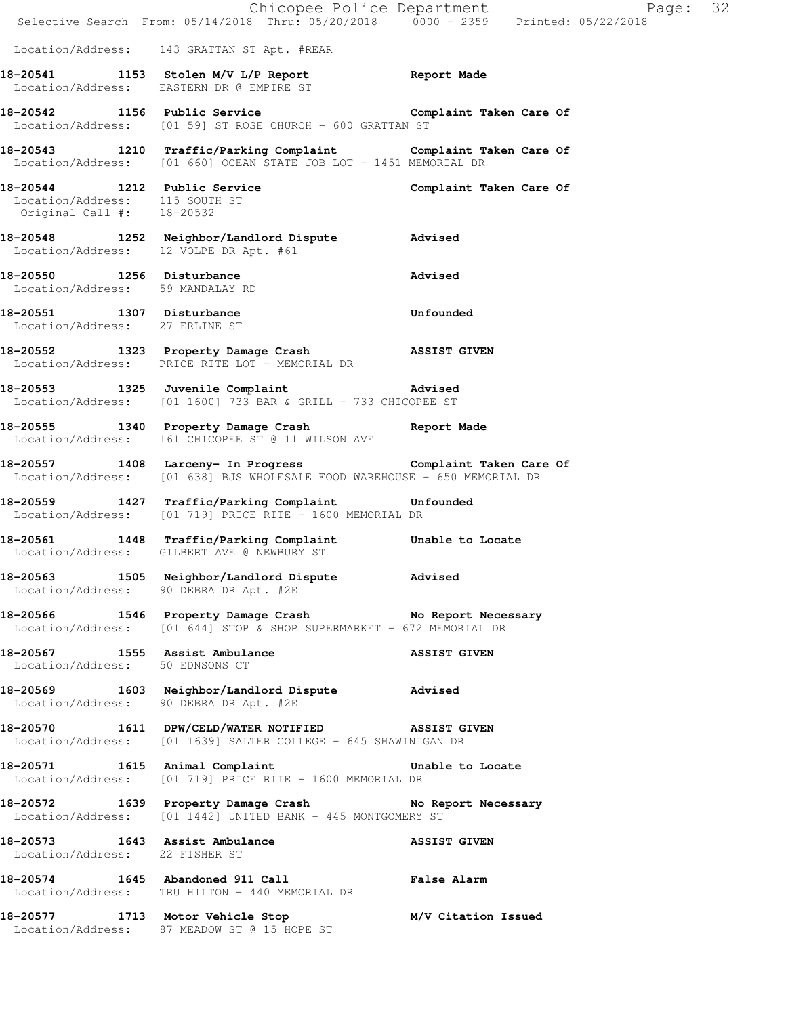|                                                               | E Chicopee Police Department<br>Selective Search From: 05/14/2018 Thru: 05/20/2018 0000 - 2359 Printed: 05/22/2018                   | Page: 32            |
|---------------------------------------------------------------|--------------------------------------------------------------------------------------------------------------------------------------|---------------------|
|                                                               |                                                                                                                                      |                     |
|                                                               | Location/Address: 143 GRATTAN ST Apt. #REAR                                                                                          |                     |
|                                                               | 18-20541 1153 Stolen M/V L/P Report 1153 Stolen M/V L/P Report<br>Location/Address: EASTERN DR @ EMPIRE ST                           |                     |
|                                                               | 18-20542 1156 Public Service Complaint Taken Care Of<br>Location/Address: [01 59] ST ROSE CHURCH - 600 GRATTAN ST                    |                     |
|                                                               | 18-20543 1210 Traffic/Parking Complaint Complaint Taken Care Of Location/Address: [01 660] OCEAN STATE JOB LOT - 1451 MEMORIAL DR    |                     |
| Location/Address: 115 SOUTH ST<br>Original Call #: 18-20532   | 18-20544 1212 Public Service Complaint Taken Care Of                                                                                 |                     |
| Location/Address: 12 VOLPE DR Apt. #61                        | 18-20548 1252 Neighbor/Landlord Dispute Advised                                                                                      |                     |
| 18-20550 1256 Disturbance<br>Location/Address: 59 MANDALAY RD | Advised                                                                                                                              |                     |
| Location/Address: 27 ERLINE ST                                | 18-20551 1307 Disturbance Unfounded                                                                                                  |                     |
|                                                               | 18-20552 1323 Property Damage Crash MSSIST GIVEN<br>Location/Address: PRICE RITE LOT - MEMORIAL DR                                   |                     |
|                                                               | 18-20553 1325 Juvenile Complaint 18-20553<br>Location/Address: $[01 1600]$ 733 BAR & GRILL - 733 CHICOPEE ST                         |                     |
|                                                               | 18-20555 1340 Property Damage Crash Report Made Location/Address: 161 CHICOPEE ST @ 11 WILSON AVE                                    |                     |
|                                                               | 18-20557 1408 Larceny- In Progress Complaint Taken Care Of Location/Address: [01 638] BJS WHOLESALE FOOD WAREHOUSE - 650 MEMORIAL DR |                     |
|                                                               | 18-20559   1427   Traffic/Parking Complaint   Unfounded Location/Address: [01 719] PRICE RITE - 1600 MEMORIAL DR                     |                     |
|                                                               | 18-20561 1448 Traffic/Parking Complaint Unable to Locate<br>Location/Address: GILBERT AVE @ NEWBURY ST                               |                     |
|                                                               | 18-20563 1505 Neighbor/Landlord Dispute Advised<br>Location/Address: 90 DEBRA DR Apt. #2E                                            |                     |
|                                                               | 18-20566 1546 Property Damage Crash No Report Necessary<br>Location/Address: [01 644] STOP & SHOP SUPERMARKET - 672 MEMORIAL DR      |                     |
| Location/Address: 50 EDNSONS CT                               | 18-20567 1555 Assist Ambulance 18-20567 ASSIST GIVEN                                                                                 |                     |
| Location/Address: 90 DEBRA DR Apt. #2E                        | 18-20569 1603 Neighbor/Landlord Dispute Advised                                                                                      |                     |
|                                                               | 18-20570 1611 DPW/CELD/WATER NOTIFIED ASSIST GIVEN<br>Location/Address: [01 1639] SALTER COLLEGE - 645 SHAWINIGAN DR                 |                     |
|                                                               | 18-20571 1615 Animal Complaint 18-20571<br>Location/Address: [01 719] PRICE RITE - 1600 MEMORIAL DR                                  |                     |
|                                                               | 18-20572 1639 Property Damage Crash No Report Necessary<br>Location/Address: [01 1442] UNITED BANK - 445 MONTGOMERY ST               |                     |
| Location/Address: 22 FISHER ST                                | 18-20573 1643 Assist Ambulance NSSIST GIVEN                                                                                          |                     |
|                                                               | 18-20574 1645 Abandoned 911 Call <b>False Alarm</b><br>Location/Address: TRU HILTON - 440 MEMORIAL DR                                |                     |
|                                                               | 18-20577 1713 Motor Vehicle Stop<br>Location/Address: 87 MEADOW ST @ 15 HOPE ST                                                      | M/V Citation Issued |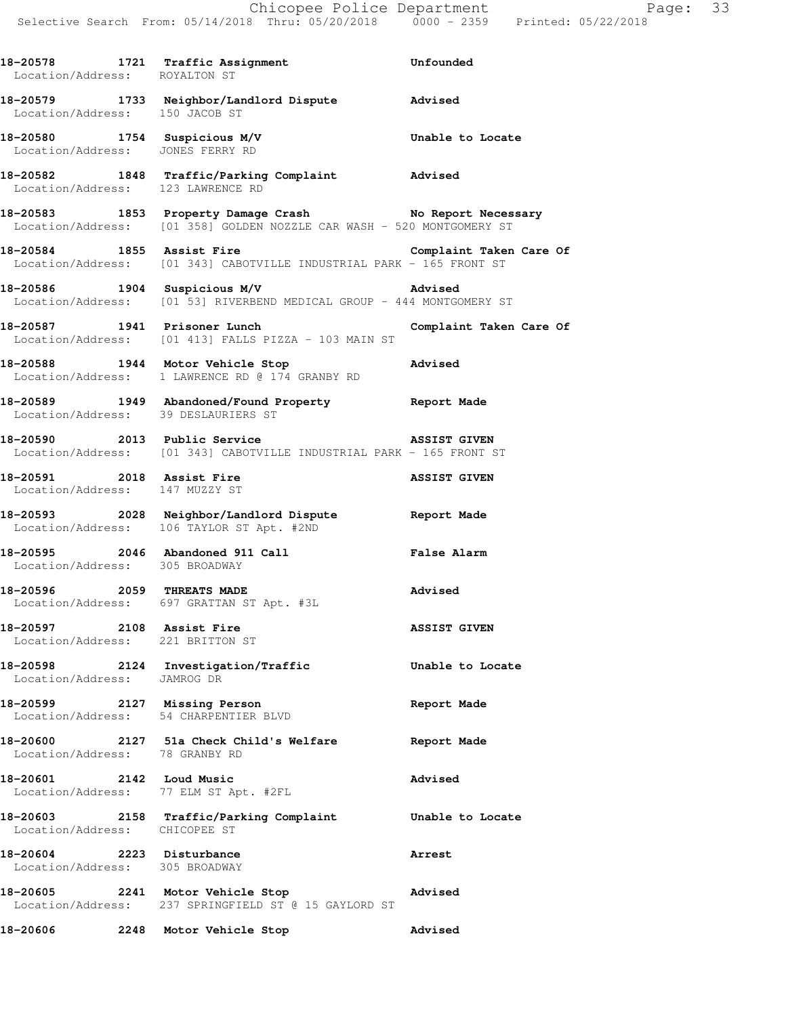|                                                                  | 18-20578 1721 Traffic Assignment Confounded Location/Address: ROYALTON ST                                                        |                     |
|------------------------------------------------------------------|----------------------------------------------------------------------------------------------------------------------------------|---------------------|
|                                                                  | 18-20579 1733 Neighbor/Landlord Dispute Advised<br>Location/Address: 150 JACOB ST                                                |                     |
| 18-20580 1754 Suspicious M/V<br>Location/Address: JONES FERRY RD |                                                                                                                                  | Unable to Locate    |
| Location/Address: 123 LAWRENCE RD                                | 18-20582 1848 Traffic/Parking Complaint Advised                                                                                  |                     |
|                                                                  | 18-20583 1853 Property Damage Crash No Report Necessary<br>Location/Address: [01 358] GOLDEN NOZZLE CAR WASH - 520 MONTGOMERY ST |                     |
|                                                                  | 18-20584 1855 Assist Fire the Complaint Taken Care Of<br>Location/Address: [01 343] CABOTVILLE INDUSTRIAL PARK - 165 FRONT ST    |                     |
| 18-20586 1904 Suspicious M/V                                     | Location/Address: [01 53] RIVERBEND MEDICAL GROUP - 444 MONTGOMERY ST                                                            | Advised             |
|                                                                  | 18-20587 1941 Prisoner Lunch Complaint Taken Care Of<br>Location/Address: [01 413] FALLS PIZZA - 103 MAIN ST                     |                     |
|                                                                  | 18-20588 1944 Motor Vehicle Stop Natural Advised<br>Location/Address: 1 LAWRENCE RD @ 174 GRANBY RD                              |                     |
|                                                                  | 18-20589 1949 Abandoned/Found Property Report Made<br>Location/Address: 39 DESLAURIERS ST                                        |                     |
|                                                                  | 18-20590 2013 Public Service<br>Location/Address: [01 343] CABOTVILLE INDUSTRIAL PARK - 165 FRONT ST                             |                     |
| Location/Address: 147 MUZZY ST                                   | 18-20591 2018 Assist Fire ASSIST GIVEN                                                                                           |                     |
|                                                                  | 18-20593 2028 Neighbor/Landlord Dispute Report Made<br>Location/Address: 106 TAYLOR ST Apt. #2ND                                 |                     |
| Location/Address: 305 BROADWAY                                   | 18-20595 2046 Abandoned 911 Call <b>False Alarm</b>                                                                              |                     |
|                                                                  | 18-20596 2059 THREATS MADE<br>Location/Address: 697 GRATTAN ST Apt. #3L                                                          | Advised             |
| 18-20597 2108 Assist Fire<br>Location/Address: 221 BRITTON ST    |                                                                                                                                  | <b>ASSIST GIVEN</b> |
| Location/Address: JAMROG DR                                      | 18-20598 2124 Investigation/Traffic                                                                                              | Unable to Locate    |
|                                                                  | 18-20599 2127 Missing Person<br>Location/Address: 54 CHARPENTIER BLVD                                                            | Report Made         |
| Location/Address: 78 GRANBY RD                                   | 18-20600 2127 51a Check Child's Welfare Report Made                                                                              |                     |
|                                                                  | 18-20601 2142 Loud Music<br>Location/Address: 77 ELM ST Apt. #2FL                                                                | Advised             |
| Location/Address: CHICOPEE ST                                    | 18-20603 2158 Traffic/Parking Complaint Unable to Locate                                                                         |                     |
| 18-20604 2223 Disturbance<br>Location/Address: 305 BROADWAY      |                                                                                                                                  | <b>Arrest</b>       |
|                                                                  | 18-20605 2241 Motor Vehicle Stop<br>Location/Address: 237 SPRINGFIELD ST @ 15 GAYLORD ST                                         | Advised             |
| 18-20606                                                         | 2248 Motor Vehicle Stop                                                                                                          | Advised             |